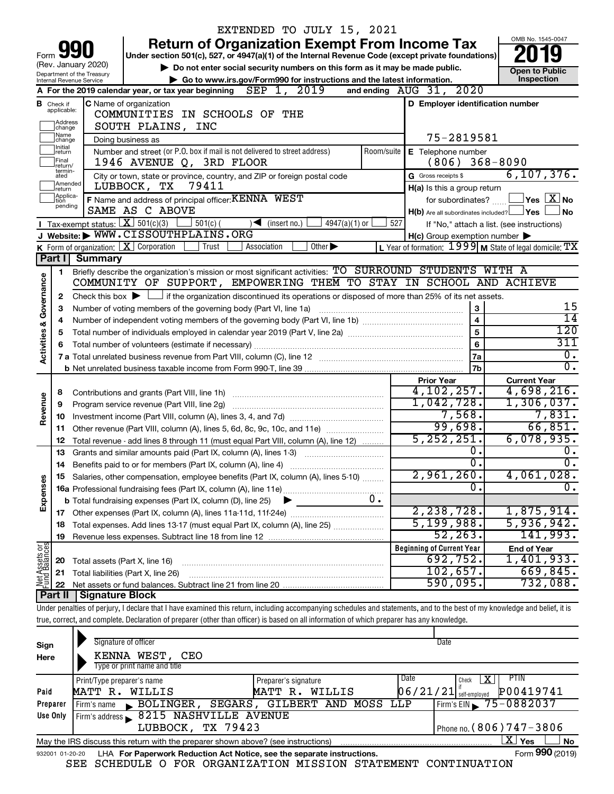|                                |                                                                                                                                            | EXTENDED TO JULY 15, 2021                                                                                                                                                  |                                                              |                                                                  |  |  |  |  |
|--------------------------------|--------------------------------------------------------------------------------------------------------------------------------------------|----------------------------------------------------------------------------------------------------------------------------------------------------------------------------|--------------------------------------------------------------|------------------------------------------------------------------|--|--|--|--|
|                                |                                                                                                                                            | <b>Return of Organization Exempt From Income Tax</b>                                                                                                                       |                                                              | OMB No. 1545-0047                                                |  |  |  |  |
| Form                           |                                                                                                                                            | Under section 501(c), 527, or 4947(a)(1) of the Internal Revenue Code (except private foundations)                                                                         |                                                              |                                                                  |  |  |  |  |
|                                |                                                                                                                                            | (Rev. January 2020)<br>Do not enter social security numbers on this form as it may be made public.                                                                         |                                                              | <b>Open to Public</b>                                            |  |  |  |  |
|                                |                                                                                                                                            | Department of the Treasury<br>Go to www.irs.gov/Form990 for instructions and the latest information.<br>Internal Revenue Service                                           |                                                              | Inspection                                                       |  |  |  |  |
|                                |                                                                                                                                            | A For the 2019 calendar year, or tax year beginning $\text{SEP}$ 1, 2019                                                                                                   | 2020<br>and ending $\overline{\text{AUG}}$ $3\overline{1}$ , |                                                                  |  |  |  |  |
|                                | <b>B</b> Check if<br>applicable:                                                                                                           | C Name of organization                                                                                                                                                     | D Employer identification number                             |                                                                  |  |  |  |  |
|                                | Address                                                                                                                                    | COMMUNITIES IN SCHOOLS OF THE                                                                                                                                              |                                                              |                                                                  |  |  |  |  |
|                                | change<br>Name                                                                                                                             | SOUTH PLAINS, INC                                                                                                                                                          |                                                              |                                                                  |  |  |  |  |
|                                | change<br>Initial                                                                                                                          | Doing business as<br>Number and street (or P.O. box if mail is not delivered to street address)                                                                            | 75-2819581                                                   |                                                                  |  |  |  |  |
|                                | Room/suite   E Telephone number<br>return<br>Final<br>$(806)$ 368-8090<br>1946 AVENUE Q, 3RD FLOOR                                         |                                                                                                                                                                            |                                                              |                                                                  |  |  |  |  |
|                                | return/<br>termin-<br>ated                                                                                                                 | City or town, state or province, country, and ZIP or foreign postal code                                                                                                   | G Gross receipts \$                                          | 6, 107, 376.                                                     |  |  |  |  |
|                                | Amended<br>return                                                                                                                          | LUBBOCK, TX 79411                                                                                                                                                          | H(a) Is this a group return                                  |                                                                  |  |  |  |  |
|                                | Applica-<br>tion                                                                                                                           | F Name and address of principal officer: KENNA WEST                                                                                                                        |                                                              | for subordinates? $\text{mm}$ $\Box$ Yes $\boxed{\mathbf{X}}$ No |  |  |  |  |
|                                | pending                                                                                                                                    | SAME AS C ABOVE                                                                                                                                                            | H(b) Are all subordinates included? Ves                      | <b>No</b>                                                        |  |  |  |  |
|                                |                                                                                                                                            | <b>I</b> Tax-exempt status: $X \ 501(c)(3)$<br>$501(c)$ (<br>$\sqrt{\frac{1}{1}}$ (insert no.)<br>$4947(a)(1)$ or                                                          | 527<br>If "No," attach a list. (see instructions)            |                                                                  |  |  |  |  |
|                                |                                                                                                                                            | J Website: WWW.CISSOUTHPLAINS.ORG                                                                                                                                          | $H(c)$ Group exemption number $\blacktriangleright$          |                                                                  |  |  |  |  |
|                                |                                                                                                                                            | K Form of organization: X Corporation<br>Association<br>Other $\blacktriangleright$<br>Trust                                                                               | L Year of formation: $1999$ M State of legal domicile: TX    |                                                                  |  |  |  |  |
|                                | Part I                                                                                                                                     | <b>Summary</b>                                                                                                                                                             |                                                              |                                                                  |  |  |  |  |
|                                | 1                                                                                                                                          | Briefly describe the organization's mission or most significant activities: TO SURROUND STUDENTS WITH A                                                                    |                                                              |                                                                  |  |  |  |  |
|                                |                                                                                                                                            | COMMUNITY OF SUPPORT, EMPOWERING THEM TO STAY IN SCHOOL AND ACHIEVE                                                                                                        |                                                              |                                                                  |  |  |  |  |
| Governance                     | 2                                                                                                                                          | Check this box $\blacktriangleright$ $\Box$ if the organization discontinued its operations or disposed of more than 25% of its net assets.                                |                                                              |                                                                  |  |  |  |  |
|                                | З                                                                                                                                          | Number of voting members of the governing body (Part VI, line 1a)                                                                                                          | 3                                                            | 15<br>$\overline{14}$                                            |  |  |  |  |
|                                | 4                                                                                                                                          |                                                                                                                                                                            | $\overline{\mathbf{4}}$<br>5                                 | 120                                                              |  |  |  |  |
| <b>Activities &amp;</b>        | 5                                                                                                                                          |                                                                                                                                                                            |                                                              | 311                                                              |  |  |  |  |
|                                | 6                                                                                                                                          |                                                                                                                                                                            | 6                                                            | $\mathbf{0}$ .                                                   |  |  |  |  |
|                                |                                                                                                                                            |                                                                                                                                                                            | 7a<br>7b                                                     | $\overline{0}$ .                                                 |  |  |  |  |
|                                |                                                                                                                                            |                                                                                                                                                                            | <b>Prior Year</b>                                            | <b>Current Year</b>                                              |  |  |  |  |
|                                | 8                                                                                                                                          |                                                                                                                                                                            | 4, 102, 257.                                                 | 4,698,216.                                                       |  |  |  |  |
|                                | 9                                                                                                                                          | Program service revenue (Part VIII, line 2g)                                                                                                                               | 1,042,728.                                                   | 1,306,037.                                                       |  |  |  |  |
| Revenue                        | 10                                                                                                                                         |                                                                                                                                                                            | 7,568.                                                       | 7,831.                                                           |  |  |  |  |
|                                | 11                                                                                                                                         | Other revenue (Part VIII, column (A), lines 5, 6d, 8c, 9c, 10c, and 11e)                                                                                                   | 99,698.                                                      | 66,851.                                                          |  |  |  |  |
|                                | 12                                                                                                                                         | Total revenue - add lines 8 through 11 (must equal Part VIII, column (A), line 12)                                                                                         | 5, 252, 251.                                                 | 6,078,935.                                                       |  |  |  |  |
|                                | 13                                                                                                                                         | Grants and similar amounts paid (Part IX, column (A), lines 1-3)                                                                                                           | о.                                                           | 0.                                                               |  |  |  |  |
|                                | 14                                                                                                                                         | Benefits paid to or for members (Part IX, column (A), line 4)                                                                                                              | $\overline{\mathfrak{o}}$ .                                  | $\overline{0}$ .                                                 |  |  |  |  |
|                                |                                                                                                                                            | 15 Salaries, other compensation, employee benefits (Part IX, column (A), lines 5-10)                                                                                       | $2,961,260$ .                                                | $4,061,028$ .                                                    |  |  |  |  |
|                                |                                                                                                                                            |                                                                                                                                                                            | $\Omega$ .                                                   | 0.                                                               |  |  |  |  |
| Expenses                       |                                                                                                                                            | <b>b</b> Total fundraising expenses (Part IX, column (D), line 25)<br>▸                                                                                                    |                                                              |                                                                  |  |  |  |  |
|                                |                                                                                                                                            |                                                                                                                                                                            | 2,238,728.                                                   | 1,875,914.                                                       |  |  |  |  |
|                                | 18                                                                                                                                         | Total expenses. Add lines 13-17 (must equal Part IX, column (A), line 25)                                                                                                  | 5,199,988.                                                   | 5,936,942.                                                       |  |  |  |  |
|                                | 19                                                                                                                                         |                                                                                                                                                                            | 52, 263.                                                     | 141,993.                                                         |  |  |  |  |
|                                |                                                                                                                                            |                                                                                                                                                                            | <b>Beginning of Current Year</b>                             | <b>End of Year</b>                                               |  |  |  |  |
|                                | 20                                                                                                                                         | Total assets (Part X, line 16)                                                                                                                                             | 692,752.                                                     | 1,401,933.                                                       |  |  |  |  |
| Net Assets or<br>Fund Balances | 21                                                                                                                                         | Total liabilities (Part X, line 26)                                                                                                                                        | 102,657.<br>590,095.                                         | 669,845.<br>732,088.                                             |  |  |  |  |
|                                | 22<br>Part II                                                                                                                              | <b>Signature Block</b>                                                                                                                                                     |                                                              |                                                                  |  |  |  |  |
|                                |                                                                                                                                            | Under penalties of perjury, I declare that I have examined this return, including accompanying schedules and statements, and to the best of my knowledge and belief, it is |                                                              |                                                                  |  |  |  |  |
|                                | true, correct, and complete. Declaration of preparer (other than officer) is based on all information of which preparer has any knowledge. |                                                                                                                                                                            |                                                              |                                                                  |  |  |  |  |
|                                |                                                                                                                                            |                                                                                                                                                                            |                                                              |                                                                  |  |  |  |  |
| Sign                           |                                                                                                                                            | Signature of officer                                                                                                                                                       | Date                                                         |                                                                  |  |  |  |  |
| Here                           |                                                                                                                                            | KENNA WEST,<br>CEO                                                                                                                                                         |                                                              |                                                                  |  |  |  |  |
|                                |                                                                                                                                            | Type or print name and title                                                                                                                                               |                                                              |                                                                  |  |  |  |  |
|                                |                                                                                                                                            | Print/Type preparer's name<br>Preparer's signature                                                                                                                         | Date<br>X<br>Check                                           | <b>PTIN</b>                                                      |  |  |  |  |
| Paid                           |                                                                                                                                            | WILLIS<br>MATT R.<br>MATT R.<br>WILLIS                                                                                                                                     | 06/21/21<br>self-employed                                    | P00419741                                                        |  |  |  |  |
|                                | <b>Prenarei</b>                                                                                                                            | $Eirm/c, n=0$ ROLINGER<br><b>SECARS</b><br>CILBERT AND MOSS                                                                                                                | T.T.D                                                        |                                                                  |  |  |  |  |

| Preparer | Firm's name | BOLINGER, SEGARS, GILBERT AND MOSS LLP                                            |  |  | Firm's EIN | 75-0882037                 |          |    |
|----------|-------------|-----------------------------------------------------------------------------------|--|--|------------|----------------------------|----------|----|
| Use Only |             | Firm's address 8215 NASHVILLE AVENUE                                              |  |  |            |                            |          |    |
|          |             | LUBBOCK, TX 79423                                                                 |  |  |            | I Phone no. (806) 747-3806 |          |    |
|          |             | May the IRS discuss this return with the preparer shown above? (see instructions) |  |  |            |                            | ՝ Yes    | No |
|          |             |                                                                                   |  |  |            |                            | $\cdots$ |    |

| 932001 01-20-20 LHA For Paperwork Reduction Act Notice, see the separate instructions. |  |  | Form 990 (2019)                                                |  |  |  |
|----------------------------------------------------------------------------------------|--|--|----------------------------------------------------------------|--|--|--|
|                                                                                        |  |  | SEE SCHEDULE O FOR ORGANIZATION MISSION STATEMENT CONTINUATION |  |  |  |

**990**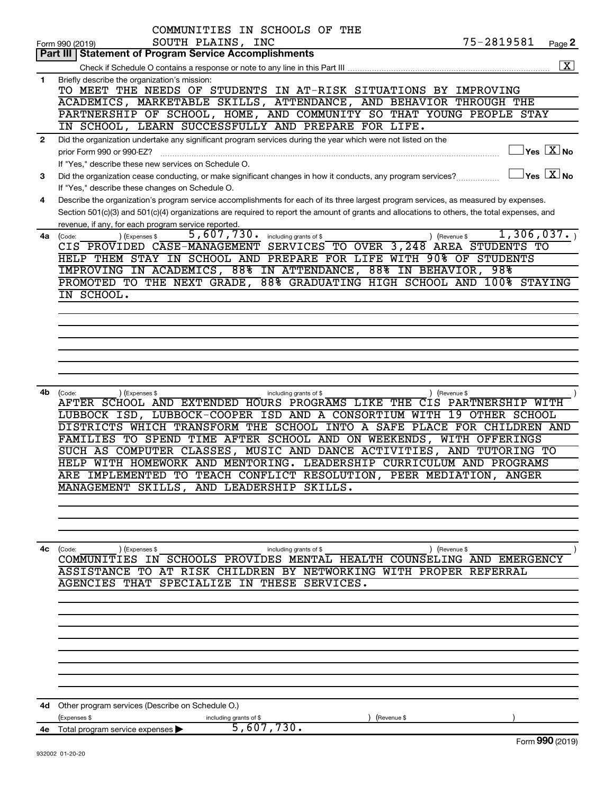|              | COMMUNITIES IN SCHOOLS OF THE<br>75-2819581<br>SOUTH PLAINS, INC<br>Page 2                                                                       |
|--------------|--------------------------------------------------------------------------------------------------------------------------------------------------|
|              | Form 990 (2019)<br>Part III   Statement of Program Service Accomplishments                                                                       |
|              | $\boxed{\textbf{X}}$<br>Check if Schedule O contains a response or note to any line in this Part III                                             |
| 1            | Briefly describe the organization's mission:                                                                                                     |
|              | TO MEET THE NEEDS OF STUDENTS IN AT-RISK SITUATIONS BY IMPROVING                                                                                 |
|              | ACADEMICS, MARKETABLE SKILLS, ATTENDANCE, AND BEHAVIOR THROUGH THE                                                                               |
|              | PARTNERSHIP OF SCHOOL, HOME, AND COMMUNITY SO THAT YOUNG PEOPLE STAY                                                                             |
|              | IN SCHOOL, LEARN SUCCESSFULLY AND PREPARE FOR LIFE.                                                                                              |
| $\mathbf{2}$ | Did the organization undertake any significant program services during the year which were not listed on the                                     |
|              | $\sqrt{\mathsf{Yes}\ \mathbf{X}}$ No<br>prior Form 990 or 990-EZ?                                                                                |
|              | If "Yes," describe these new services on Schedule O.                                                                                             |
|              | $\overline{\ }$ Yes $\overline{\ \text{X}}$ No                                                                                                   |
| 3            | Did the organization cease conducting, or make significant changes in how it conducts, any program services?                                     |
|              | If "Yes," describe these changes on Schedule O.                                                                                                  |
| 4            | Describe the organization's program service accomplishments for each of its three largest program services, as measured by expenses.             |
|              | Section 501(c)(3) and 501(c)(4) organizations are required to report the amount of grants and allocations to others, the total expenses, and     |
|              | revenue, if any, for each program service reported.                                                                                              |
| 4a           | 1,306,037.<br>5,607,730.<br>including grants of \$<br>(Expenses \$<br>) (Revenue \$<br>(Code:                                                    |
|              | SERVICES TO OVER 3, 248 AREA STUDENTS TO<br>CIS PROVIDED CASE-MANAGEMENT                                                                         |
|              | HELP THEM STAY IN SCHOOL AND PREPARE FOR LIFE WITH 90% OF STUDENTS                                                                               |
|              | IMPROVING IN ACADEMICS, 88% IN ATTENDANCE, 88% IN BEHAVIOR, 98%                                                                                  |
|              | 88% GRADUATING HIGH SCHOOL AND 100% STAYING<br>PROMOTED TO THE NEXT GRADE,                                                                       |
|              | IN SCHOOL.                                                                                                                                       |
|              |                                                                                                                                                  |
|              |                                                                                                                                                  |
|              |                                                                                                                                                  |
|              |                                                                                                                                                  |
|              |                                                                                                                                                  |
|              |                                                                                                                                                  |
|              |                                                                                                                                                  |
| 4b           | (Code:<br>(Expenses \$<br>) (Revenue \$<br>including grants of \$                                                                                |
|              | AFTER SCHOOL AND EXTENDED HOURS PROGRAMS LIKE THE CIS PARTNERSHIP WITH                                                                           |
|              | LUBBOCK ISD, LUBBOCK-COOPER ISD AND A CONSORTIUM WITH 19 OTHER SCHOOL<br>DISTRICTS WHICH TRANSFORM THE SCHOOL INTO A SAFE PLACE FOR CHILDREN AND |
|              |                                                                                                                                                  |
|              | FAMILIES TO SPEND TIME AFTER SCHOOL AND ON WEEKENDS, WITH OFFERINGS                                                                              |
|              | SUCH AS COMPUTER CLASSES, MUSIC AND DANCE ACTIVITIES, AND TUTORING TO                                                                            |
|              | HELP WITH HOMEWORK AND MENTORING. LEADERSHIP CURRICULUM AND PROGRAMS                                                                             |
|              | ARE IMPLEMENTED TO TEACH CONFLICT RESOLUTION, PEER MEDIATION, ANGER<br>MANAGEMENT SKILLS, AND LEADERSHIP SKILLS.                                 |
|              |                                                                                                                                                  |
|              |                                                                                                                                                  |
|              |                                                                                                                                                  |
|              |                                                                                                                                                  |
|              |                                                                                                                                                  |
| 4с           | ) (Revenue \$<br>(Code:<br>(Expenses \$<br>including grants of \$<br>COMMUNITIES IN SCHOOLS PROVIDES MENTAL HEALTH COUNSELING AND EMERGENCY      |
|              | ASSISTANCE TO AT RISK CHILDREN BY NETWORKING WITH PROPER REFERRAL                                                                                |
|              | AGENCIES THAT SPECIALIZE IN THESE SERVICES.                                                                                                      |
|              |                                                                                                                                                  |
|              |                                                                                                                                                  |
|              |                                                                                                                                                  |
|              |                                                                                                                                                  |
|              |                                                                                                                                                  |
|              |                                                                                                                                                  |
|              |                                                                                                                                                  |
|              |                                                                                                                                                  |
|              |                                                                                                                                                  |
|              |                                                                                                                                                  |
|              |                                                                                                                                                  |
|              | 4d Other program services (Describe on Schedule O.)                                                                                              |
|              | (Expenses \$<br>(Revenue \$<br>including grants of \$<br>5,607,730.<br>4e Total program service expenses                                         |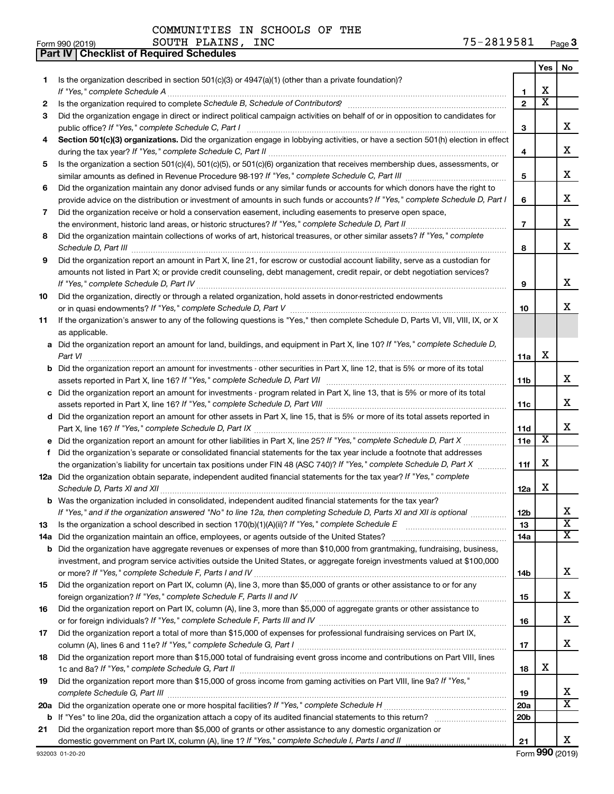**Part IV Checklist of Required Schedules**

|     |                                                                                                                                                                                                                                                           |                 | Yes                     | No                      |
|-----|-----------------------------------------------------------------------------------------------------------------------------------------------------------------------------------------------------------------------------------------------------------|-----------------|-------------------------|-------------------------|
| 1.  | Is the organization described in section 501(c)(3) or 4947(a)(1) (other than a private foundation)?                                                                                                                                                       |                 |                         |                         |
|     |                                                                                                                                                                                                                                                           | 1               | х                       |                         |
| 2   |                                                                                                                                                                                                                                                           | $\overline{2}$  | $\overline{\textbf{x}}$ |                         |
| 3   | Did the organization engage in direct or indirect political campaign activities on behalf of or in opposition to candidates for                                                                                                                           |                 |                         |                         |
|     |                                                                                                                                                                                                                                                           | 3               |                         | x                       |
| 4   | Section 501(c)(3) organizations. Did the organization engage in lobbying activities, or have a section 501(h) election in effect                                                                                                                          | 4               |                         | х                       |
| 5   | Is the organization a section 501(c)(4), 501(c)(5), or 501(c)(6) organization that receives membership dues, assessments, or                                                                                                                              |                 |                         |                         |
|     |                                                                                                                                                                                                                                                           | 5               |                         | х                       |
| 6   | Did the organization maintain any donor advised funds or any similar funds or accounts for which donors have the right to<br>provide advice on the distribution or investment of amounts in such funds or accounts? If "Yes," complete Schedule D, Part I | 6               |                         | х                       |
| 7   | Did the organization receive or hold a conservation easement, including easements to preserve open space,                                                                                                                                                 |                 |                         |                         |
|     |                                                                                                                                                                                                                                                           | $\overline{7}$  |                         | х                       |
| 8   | Did the organization maintain collections of works of art, historical treasures, or other similar assets? If "Yes," complete                                                                                                                              |                 |                         |                         |
|     |                                                                                                                                                                                                                                                           | 8               |                         | х                       |
| 9   | Did the organization report an amount in Part X, line 21, for escrow or custodial account liability, serve as a custodian for                                                                                                                             |                 |                         |                         |
|     | amounts not listed in Part X; or provide credit counseling, debt management, credit repair, or debt negotiation services?                                                                                                                                 |                 |                         |                         |
|     |                                                                                                                                                                                                                                                           | 9               |                         | х                       |
| 10  | Did the organization, directly or through a related organization, hold assets in donor-restricted endowments                                                                                                                                              |                 |                         |                         |
|     |                                                                                                                                                                                                                                                           | 10              |                         | x                       |
| 11  | If the organization's answer to any of the following questions is "Yes," then complete Schedule D, Parts VI, VII, VIII, IX, or X<br>as applicable.                                                                                                        |                 |                         |                         |
|     | a Did the organization report an amount for land, buildings, and equipment in Part X, line 10? If "Yes," complete Schedule D,                                                                                                                             |                 |                         |                         |
|     |                                                                                                                                                                                                                                                           | 11a             | х                       |                         |
|     | <b>b</b> Did the organization report an amount for investments - other securities in Part X, line 12, that is 5% or more of its total                                                                                                                     | 11 <sub>b</sub> |                         | х                       |
|     | c Did the organization report an amount for investments - program related in Part X, line 13, that is 5% or more of its total                                                                                                                             |                 |                         |                         |
|     |                                                                                                                                                                                                                                                           | 11c             |                         | x                       |
|     | d Did the organization report an amount for other assets in Part X, line 15, that is 5% or more of its total assets reported in                                                                                                                           |                 |                         |                         |
|     |                                                                                                                                                                                                                                                           | 11d             |                         | х                       |
|     |                                                                                                                                                                                                                                                           | 11e             | х                       |                         |
| f   | Did the organization's separate or consolidated financial statements for the tax year include a footnote that addresses                                                                                                                                   |                 |                         |                         |
|     | the organization's liability for uncertain tax positions under FIN 48 (ASC 740)? If "Yes," complete Schedule D, Part X                                                                                                                                    | 11f             | х                       |                         |
|     | 12a Did the organization obtain separate, independent audited financial statements for the tax year? If "Yes," complete                                                                                                                                   | 12a             | х                       |                         |
|     | <b>b</b> Was the organization included in consolidated, independent audited financial statements for the tax year?                                                                                                                                        |                 |                         |                         |
|     | If "Yes," and if the organization answered "No" to line 12a, then completing Schedule D, Parts XI and XII is optional                                                                                                                                     | 12 <sub>b</sub> |                         |                         |
| 13  |                                                                                                                                                                                                                                                           | 13              |                         | $\overline{\textbf{x}}$ |
| 14a |                                                                                                                                                                                                                                                           | 14a             |                         | x                       |
|     | <b>b</b> Did the organization have aggregate revenues or expenses of more than \$10,000 from grantmaking, fundraising, business,                                                                                                                          |                 |                         |                         |
|     | investment, and program service activities outside the United States, or aggregate foreign investments valued at \$100,000                                                                                                                                |                 |                         |                         |
|     |                                                                                                                                                                                                                                                           | 14b             |                         | x                       |
| 15  | Did the organization report on Part IX, column (A), line 3, more than \$5,000 of grants or other assistance to or for any                                                                                                                                 |                 |                         |                         |
|     |                                                                                                                                                                                                                                                           | 15              |                         | х                       |
| 16  | Did the organization report on Part IX, column (A), line 3, more than \$5,000 of aggregate grants or other assistance to                                                                                                                                  |                 |                         |                         |
|     |                                                                                                                                                                                                                                                           | 16              |                         | x                       |
| 17  | Did the organization report a total of more than \$15,000 of expenses for professional fundraising services on Part IX,                                                                                                                                   |                 |                         |                         |
|     |                                                                                                                                                                                                                                                           | 17              |                         | x                       |
| 18  | Did the organization report more than \$15,000 total of fundraising event gross income and contributions on Part VIII, lines                                                                                                                              |                 | х                       |                         |
|     | Did the organization report more than \$15,000 of gross income from gaming activities on Part VIII, line 9a? If "Yes,"                                                                                                                                    | 18              |                         |                         |
| 19  |                                                                                                                                                                                                                                                           | 19              |                         | x                       |
| 20a |                                                                                                                                                                                                                                                           | 20a             |                         | x                       |
| b   |                                                                                                                                                                                                                                                           | 20 <sub>b</sub> |                         |                         |
| 21  | Did the organization report more than \$5,000 of grants or other assistance to any domestic organization or                                                                                                                                               |                 |                         |                         |
|     |                                                                                                                                                                                                                                                           | 21              |                         | x                       |
|     |                                                                                                                                                                                                                                                           |                 |                         |                         |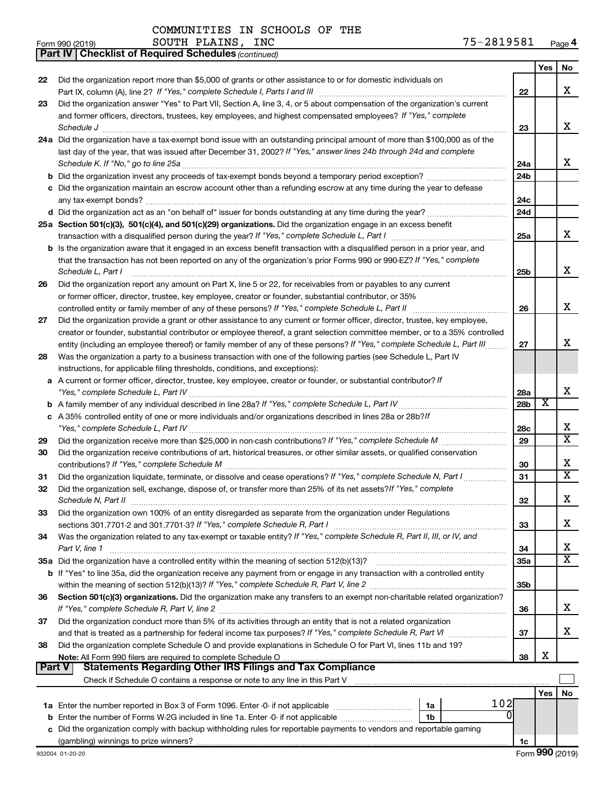|               | <b>Part IV   Checklist of Required Schedules (continued)</b>                                                                              |                 |                       |                       |
|---------------|-------------------------------------------------------------------------------------------------------------------------------------------|-----------------|-----------------------|-----------------------|
|               |                                                                                                                                           |                 | Yes                   | No                    |
| 22            | Did the organization report more than \$5,000 of grants or other assistance to or for domestic individuals on                             |                 |                       |                       |
|               |                                                                                                                                           | 22              |                       | x                     |
| 23            | Did the organization answer "Yes" to Part VII, Section A, line 3, 4, or 5 about compensation of the organization's current                |                 |                       |                       |
|               | and former officers, directors, trustees, key employees, and highest compensated employees? If "Yes," complete                            |                 |                       |                       |
|               |                                                                                                                                           | 23              |                       | х                     |
|               | Schedule J<br>24a Did the organization have a tax-exempt bond issue with an outstanding principal amount of more than \$100,000 as of the |                 |                       |                       |
|               |                                                                                                                                           |                 |                       |                       |
|               | last day of the year, that was issued after December 31, 2002? If "Yes," answer lines 24b through 24d and complete                        |                 |                       | x                     |
|               |                                                                                                                                           | 24a             |                       |                       |
|               |                                                                                                                                           | 24 <sub>b</sub> |                       |                       |
|               | c Did the organization maintain an escrow account other than a refunding escrow at any time during the year to defease                    |                 |                       |                       |
|               |                                                                                                                                           | 24c             |                       |                       |
|               |                                                                                                                                           | 24 <sub>d</sub> |                       |                       |
|               | 25a Section 501(c)(3), 501(c)(4), and 501(c)(29) organizations. Did the organization engage in an excess benefit                          |                 |                       |                       |
|               |                                                                                                                                           | 25a             |                       | x                     |
|               | <b>b</b> Is the organization aware that it engaged in an excess benefit transaction with a disqualified person in a prior year, and       |                 |                       |                       |
|               | that the transaction has not been reported on any of the organization's prior Forms 990 or 990-EZ? If "Yes," complete                     |                 |                       |                       |
|               | Schedule L, Part I                                                                                                                        | 25b             |                       | x                     |
| 26            | Did the organization report any amount on Part X, line 5 or 22, for receivables from or payables to any current                           |                 |                       |                       |
|               | or former officer, director, trustee, key employee, creator or founder, substantial contributor, or 35%                                   |                 |                       |                       |
|               | controlled entity or family member of any of these persons? If "Yes," complete Schedule L, Part II                                        | 26              |                       | х                     |
| 27            | Did the organization provide a grant or other assistance to any current or former officer, director, trustee, key employee,               |                 |                       |                       |
|               |                                                                                                                                           |                 |                       |                       |
|               | creator or founder, substantial contributor or employee thereof, a grant selection committee member, or to a 35% controlled               |                 |                       | x                     |
|               | entity (including an employee thereof) or family member of any of these persons? If "Yes," complete Schedule L, Part III                  | 27              |                       |                       |
| 28            | Was the organization a party to a business transaction with one of the following parties (see Schedule L, Part IV                         |                 |                       |                       |
|               | instructions, for applicable filing thresholds, conditions, and exceptions):                                                              |                 |                       |                       |
|               | a A current or former officer, director, trustee, key employee, creator or founder, or substantial contributor? If                        |                 |                       |                       |
|               |                                                                                                                                           | 28a             |                       | х                     |
|               |                                                                                                                                           | 28 <sub>b</sub> | $\overline{\text{X}}$ |                       |
|               | c A 35% controlled entity of one or more individuals and/or organizations described in lines 28a or 28b?!f                                |                 |                       |                       |
|               |                                                                                                                                           | 28c             |                       | х                     |
| 29            |                                                                                                                                           | 29              |                       | $\overline{\text{X}}$ |
| 30            | Did the organization receive contributions of art, historical treasures, or other similar assets, or qualified conservation               |                 |                       |                       |
|               |                                                                                                                                           | 30              |                       | x                     |
| 31            | Did the organization liquidate, terminate, or dissolve and cease operations? If "Yes," complete Schedule N, Part I                        | 31              |                       | $\overline{\text{X}}$ |
| 32            | Did the organization sell, exchange, dispose of, or transfer more than 25% of its net assets? If "Yes," complete                          |                 |                       |                       |
|               |                                                                                                                                           | 32              |                       | Χ                     |
| 33            | Did the organization own 100% of an entity disregarded as separate from the organization under Regulations                                |                 |                       |                       |
|               |                                                                                                                                           | 33              |                       | х                     |
| 34            | Was the organization related to any tax-exempt or taxable entity? If "Yes," complete Schedule R, Part II, III, or IV, and                 |                 |                       |                       |
|               | Part V, line 1                                                                                                                            | 34              |                       | x                     |
|               | 35a Did the organization have a controlled entity within the meaning of section 512(b)(13)?                                               | 35a             |                       | X                     |
|               |                                                                                                                                           |                 |                       |                       |
|               | b If "Yes" to line 35a, did the organization receive any payment from or engage in any transaction with a controlled entity               |                 |                       |                       |
|               |                                                                                                                                           | 35b             |                       |                       |
| 36            | Section 501(c)(3) organizations. Did the organization make any transfers to an exempt non-charitable related organization?                |                 |                       |                       |
|               |                                                                                                                                           | 36              |                       | x.                    |
| 37            | Did the organization conduct more than 5% of its activities through an entity that is not a related organization                          |                 |                       |                       |
|               |                                                                                                                                           | 37              |                       | x                     |
| 38            | Did the organization complete Schedule O and provide explanations in Schedule O for Part VI, lines 11b and 19?                            |                 |                       |                       |
|               |                                                                                                                                           | 38              | х                     |                       |
| <b>Part V</b> | <b>Statements Regarding Other IRS Filings and Tax Compliance</b>                                                                          |                 |                       |                       |
|               |                                                                                                                                           |                 |                       |                       |
|               |                                                                                                                                           |                 | Yes                   | No                    |
|               | 102<br>1a                                                                                                                                 |                 |                       |                       |
|               | 01<br>1b                                                                                                                                  |                 |                       |                       |
|               | c Did the organization comply with backup withholding rules for reportable payments to vendors and reportable gaming                      |                 |                       |                       |
|               |                                                                                                                                           | 1c              |                       |                       |
|               |                                                                                                                                           |                 |                       |                       |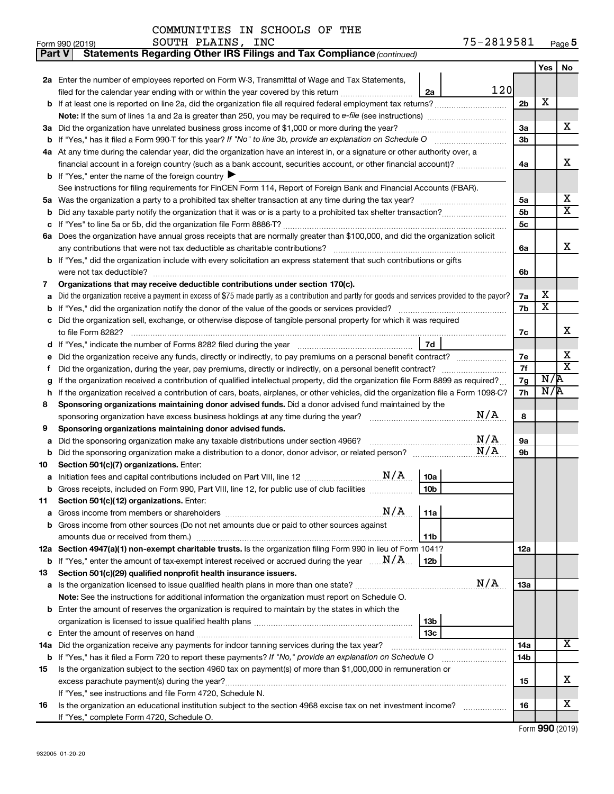| COMMUNITIES IN SCHOOLS OF THE |  |  |  |
|-------------------------------|--|--|--|
|-------------------------------|--|--|--|

| Part V | Statements Regarding Other IRS Filings and Tax Compliance (continued)                                                                           |     |                         |                         |  |  |
|--------|-------------------------------------------------------------------------------------------------------------------------------------------------|-----|-------------------------|-------------------------|--|--|
|        |                                                                                                                                                 |     | Yes                     | No                      |  |  |
|        | 2a Enter the number of employees reported on Form W-3, Transmittal of Wage and Tax Statements,                                                  |     |                         |                         |  |  |
|        | 120<br>filed for the calendar year ending with or within the year covered by this return<br>2a                                                  |     |                         |                         |  |  |
|        |                                                                                                                                                 | 2b  | X                       |                         |  |  |
|        | Note: If the sum of lines 1a and 2a is greater than 250, you may be required to e-file (see instructions) <i></i>                               |     |                         |                         |  |  |
|        | 3a Did the organization have unrelated business gross income of \$1,000 or more during the year?                                                | За  |                         | х                       |  |  |
| b      |                                                                                                                                                 | Зb  |                         |                         |  |  |
|        | 4a At any time during the calendar year, did the organization have an interest in, or a signature or other authority over, a                    |     |                         |                         |  |  |
|        | financial account in a foreign country (such as a bank account, securities account, or other financial account)?                                | 4a  |                         | x                       |  |  |
|        | <b>b</b> If "Yes," enter the name of the foreign country $\blacktriangleright$                                                                  |     |                         |                         |  |  |
|        | See instructions for filing requirements for FinCEN Form 114, Report of Foreign Bank and Financial Accounts (FBAR).                             |     |                         |                         |  |  |
| 5a     |                                                                                                                                                 | 5a  |                         | х                       |  |  |
| b      |                                                                                                                                                 | 5b  |                         | X                       |  |  |
| с      |                                                                                                                                                 | 5c  |                         |                         |  |  |
|        | 6a Does the organization have annual gross receipts that are normally greater than \$100,000, and did the organization solicit                  |     |                         |                         |  |  |
|        |                                                                                                                                                 | 6a  |                         | x                       |  |  |
|        | <b>b</b> If "Yes," did the organization include with every solicitation an express statement that such contributions or gifts                   |     |                         |                         |  |  |
|        |                                                                                                                                                 | 6b  |                         |                         |  |  |
| 7      | Organizations that may receive deductible contributions under section 170(c).                                                                   |     |                         |                         |  |  |
| а      | Did the organization receive a payment in excess of \$75 made partly as a contribution and partly for goods and services provided to the payor? | 7a  | х                       |                         |  |  |
| b      |                                                                                                                                                 | 7b  | $\overline{\textbf{x}}$ |                         |  |  |
| с      | Did the organization sell, exchange, or otherwise dispose of tangible personal property for which it was required                               |     |                         |                         |  |  |
|        |                                                                                                                                                 | 7c  |                         | х                       |  |  |
|        | 7d                                                                                                                                              |     |                         |                         |  |  |
| е      | Did the organization receive any funds, directly or indirectly, to pay premiums on a personal benefit contract?                                 | 7е  |                         | х                       |  |  |
| f.     |                                                                                                                                                 | 7f  | N/R                     | $\overline{\texttt{x}}$ |  |  |
| g      | If the organization received a contribution of qualified intellectual property, did the organization file Form 8899 as required?                |     |                         |                         |  |  |
| h      | If the organization received a contribution of cars, boats, airplanes, or other vehicles, did the organization file a Form 1098-C?              |     |                         |                         |  |  |
| 8      | Sponsoring organizations maintaining donor advised funds. Did a donor advised fund maintained by the                                            |     |                         |                         |  |  |
|        | N/A                                                                                                                                             | 8   |                         |                         |  |  |
| 9      | Sponsoring organizations maintaining donor advised funds.                                                                                       |     |                         |                         |  |  |
| а      | N/A<br>Did the sponsoring organization make any taxable distributions under section 4966?                                                       | 9а  |                         |                         |  |  |
| b      | N/A                                                                                                                                             | 9b  |                         |                         |  |  |
| 10     | Section 501(c)(7) organizations. Enter:                                                                                                         |     |                         |                         |  |  |
| а      | N/A<br>10a                                                                                                                                      |     |                         |                         |  |  |
|        | 10 <sub>b</sub><br>b Gross receipts, included on Form 990, Part VIII, line 12, for public use of club facilities                                |     |                         |                         |  |  |
| 11     | Section 501(c)(12) organizations. Enter:<br>N/A                                                                                                 |     |                         |                         |  |  |
| а      | 11a                                                                                                                                             |     |                         |                         |  |  |
|        | <b>b</b> Gross income from other sources (Do not net amounts due or paid to other sources against                                               |     |                         |                         |  |  |
|        | 11 <sub>b</sub><br>12a Section 4947(a)(1) non-exempt charitable trusts. Is the organization filing Form 990 in lieu of Form 1041?               | 12a |                         |                         |  |  |
|        | <b>b</b> If "Yes," enter the amount of tax-exempt interest received or accrued during the year $\ldots$ $\mathbf{N}/\mathbf{A}$ .<br>12b        |     |                         |                         |  |  |
| 13     | Section 501(c)(29) qualified nonprofit health insurance issuers.                                                                                |     |                         |                         |  |  |
| а      | N/A<br>Is the organization licensed to issue qualified health plans in more than one state?                                                     | 1За |                         |                         |  |  |
|        | Note: See the instructions for additional information the organization must report on Schedule O.                                               |     |                         |                         |  |  |
|        | <b>b</b> Enter the amount of reserves the organization is required to maintain by the states in which the                                       |     |                         |                         |  |  |
|        | 13b                                                                                                                                             |     |                         |                         |  |  |
| с      | 13 <sub>c</sub>                                                                                                                                 |     |                         |                         |  |  |
| 14a    | Did the organization receive any payments for indoor tanning services during the tax year?                                                      | 14a |                         | x                       |  |  |
| b      | If "Yes," has it filed a Form 720 to report these payments? If "No," provide an explanation on Schedule O                                       | 14b |                         |                         |  |  |
| 15     | Is the organization subject to the section 4960 tax on payment(s) of more than \$1,000,000 in remuneration or                                   |     |                         |                         |  |  |
|        |                                                                                                                                                 | 15  |                         | х                       |  |  |
|        | If "Yes," see instructions and file Form 4720, Schedule N.                                                                                      |     |                         |                         |  |  |
| 16     | Is the organization an educational institution subject to the section 4968 excise tax on net investment income?                                 | 16  |                         | х                       |  |  |
|        | If "Yes," complete Form 4720, Schedule O.                                                                                                       |     |                         |                         |  |  |

Form (2019) **990**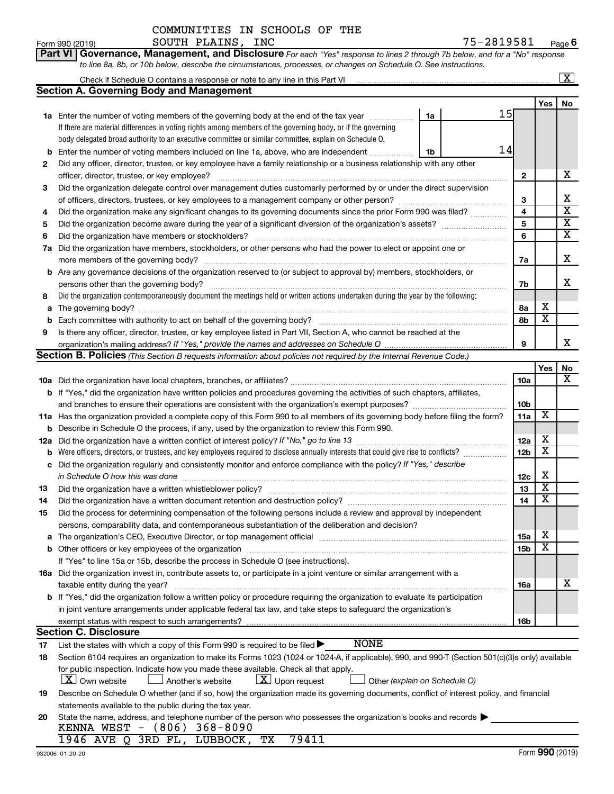|    | SOUTH PLAINS, INC<br>Form 990 (2019)                                                                                                                                                                                           |    | 75-2819581 |                 |                         | Page 6                  |
|----|--------------------------------------------------------------------------------------------------------------------------------------------------------------------------------------------------------------------------------|----|------------|-----------------|-------------------------|-------------------------|
|    | Governance, Management, and Disclosure For each "Yes" response to lines 2 through 7b below, and for a "No" response<br><b>Part VI</b>                                                                                          |    |            |                 |                         |                         |
|    | to line 8a, 8b, or 10b below, describe the circumstances, processes, or changes on Schedule O. See instructions.                                                                                                               |    |            |                 |                         |                         |
|    | Check if Schedule O contains a response or note to any line in this Part VI                                                                                                                                                    |    |            |                 |                         | $\boxed{\text{X}}$      |
|    | <b>Section A. Governing Body and Management</b>                                                                                                                                                                                |    |            |                 |                         |                         |
|    |                                                                                                                                                                                                                                |    |            |                 | Yes                     | No                      |
|    | <b>1a</b> Enter the number of voting members of the governing body at the end of the tax year                                                                                                                                  | 1a | 15         |                 |                         |                         |
|    | If there are material differences in voting rights among members of the governing body, or if the governing                                                                                                                    |    |            |                 |                         |                         |
|    | body delegated broad authority to an executive committee or similar committee, explain on Schedule O.                                                                                                                          |    |            |                 |                         |                         |
| b  | Enter the number of voting members included on line 1a, above, who are independent                                                                                                                                             | 1b | 14         |                 |                         |                         |
| 2  | Did any officer, director, trustee, or key employee have a family relationship or a business relationship with any other                                                                                                       |    |            |                 |                         |                         |
|    | officer, director, trustee, or key employee?                                                                                                                                                                                   |    |            | 2               |                         | х                       |
| 3  | Did the organization delegate control over management duties customarily performed by or under the direct supervision                                                                                                          |    |            |                 |                         |                         |
|    |                                                                                                                                                                                                                                |    |            | 3               |                         | X                       |
| 4  | Did the organization make any significant changes to its governing documents since the prior Form 990 was filed?                                                                                                               |    |            | 4               |                         | $\overline{\mathbf{x}}$ |
| 5  |                                                                                                                                                                                                                                |    |            | 5               |                         | $\overline{\textbf{X}}$ |
| 6  |                                                                                                                                                                                                                                |    |            | 6               |                         | $\overline{\textbf{X}}$ |
| 7а | Did the organization have members, stockholders, or other persons who had the power to elect or appoint one or                                                                                                                 |    |            |                 |                         |                         |
|    |                                                                                                                                                                                                                                |    |            | 7a              |                         | X                       |
|    | <b>b</b> Are any governance decisions of the organization reserved to (or subject to approval by) members, stockholders, or                                                                                                    |    |            |                 |                         |                         |
|    | persons other than the governing body?                                                                                                                                                                                         |    |            | 7b              |                         | x                       |
| 8  | Did the organization contemporaneously document the meetings held or written actions undertaken during the year by the following:                                                                                              |    |            |                 |                         |                         |
| a  |                                                                                                                                                                                                                                |    |            | 8а              | х                       |                         |
| b  |                                                                                                                                                                                                                                |    |            | 8b              | $\overline{\mathbf{X}}$ |                         |
| 9  | Is there any officer, director, trustee, or key employee listed in Part VII, Section A, who cannot be reached at the                                                                                                           |    |            |                 |                         |                         |
|    |                                                                                                                                                                                                                                |    |            | 9               |                         | х                       |
|    | Section B. Policies (This Section B requests information about policies not required by the Internal Revenue Code.)                                                                                                            |    |            |                 |                         |                         |
|    |                                                                                                                                                                                                                                |    |            |                 | Yes                     | No                      |
|    |                                                                                                                                                                                                                                |    |            | 10a             |                         | x                       |
|    | <b>b</b> If "Yes," did the organization have written policies and procedures governing the activities of such chapters, affiliates,                                                                                            |    |            |                 |                         |                         |
|    |                                                                                                                                                                                                                                |    |            | 10b             |                         |                         |
|    | 11a Has the organization provided a complete copy of this Form 990 to all members of its governing body before filing the form?                                                                                                |    |            | 11a             | X                       |                         |
|    | <b>b</b> Describe in Schedule O the process, if any, used by the organization to review this Form 990.                                                                                                                         |    |            |                 |                         |                         |
|    | 12a Did the organization have a written conflict of interest policy? If "No," go to line 13                                                                                                                                    |    |            | 12a             | х                       |                         |
| b  | Were officers, directors, or trustees, and key employees required to disclose annually interests that could give rise to conflicts?                                                                                            |    |            | 12 <sub>b</sub> | X                       |                         |
| c  | Did the organization regularly and consistently monitor and enforce compliance with the policy? If "Yes," describe                                                                                                             |    |            |                 |                         |                         |
|    | in Schedule O how this was done continuous contract to the contract of the set of the contract of the set of t                                                                                                                 |    |            | 12c             | х                       |                         |
| 13 |                                                                                                                                                                                                                                |    |            | 13              | $\overline{\texttt{x}}$ |                         |
| 14 | Did the organization have a written document retention and destruction policy? [11] manufaction in the organization have a written document retention and destruction policy?                                                  |    |            | 14              | $\overline{\textbf{x}}$ |                         |
| 15 | Did the process for determining compensation of the following persons include a review and approval by independent                                                                                                             |    |            |                 |                         |                         |
|    | persons, comparability data, and contemporaneous substantiation of the deliberation and decision?                                                                                                                              |    |            |                 |                         |                         |
| a  | The organization's CEO, Executive Director, or top management official manufactured content of the organization's CEO, Executive Director, or top management official manufactured content of the state of the state of the st |    |            | <b>15a</b>      | х                       |                         |
| b  | Other officers or key employees of the organization [11] continuum material continuum material contracts or key employees of the organization [11] continuum material contracts of the organization [11] contracts with the st |    |            | 15 <sub>b</sub> | X                       |                         |
|    | If "Yes" to line 15a or 15b, describe the process in Schedule O (see instructions).                                                                                                                                            |    |            |                 |                         |                         |
|    | 16a Did the organization invest in, contribute assets to, or participate in a joint venture or similar arrangement with a                                                                                                      |    |            |                 |                         |                         |
|    | taxable entity during the year?                                                                                                                                                                                                |    |            | 16a             |                         | x                       |

|                                                                                                                                       | wa         |
|---------------------------------------------------------------------------------------------------------------------------------------|------------|
| <b>b</b> If "Yes," did the organization follow a written policy or procedure requiring the organization to evaluate its participation |            |
| in joint venture arrangements under applicable federal tax law, and take steps to safeguard the organization's                        |            |
| exempt status with respect to such arrangements?                                                                                      | <b>16b</b> |

## **Section C. Disclosure**

**17 18** Section 6104 requires an organization to make its Forms 1023 (1024 or 1024-A, if applicable), 990, and 990-T (Section 501(c)(3)s only) available **19**  *(explain on Schedule O)* List the states with which a copy of this Form 990 is required to be filed  $\blacktriangleright$ for public inspection. Indicate how you made these available. Check all that apply.  $\boxed{\textbf{X}}$  Own website  $\boxed{\textbf{X}}$  Another's website  $\boxed{\textbf{X}}$  Upon request  $\boxed{\textbf{X}}$  Other Describe on Schedule O whether (and if so, how) the organization made its governing documents, conflict of interest policy, and financial statements available to the public during the tax year. NONE

| statements available to the public during the tax year.                                                                                 |
|-----------------------------------------------------------------------------------------------------------------------------------------|
| 20 State the name, address, and telephone number of the person who possesses the organization's books and records $\blacktriangleright$ |
| KENNA WEST - (806) 368-8090                                                                                                             |

1946 AVE Q 3RD FL, LUBBOCK, TX 79411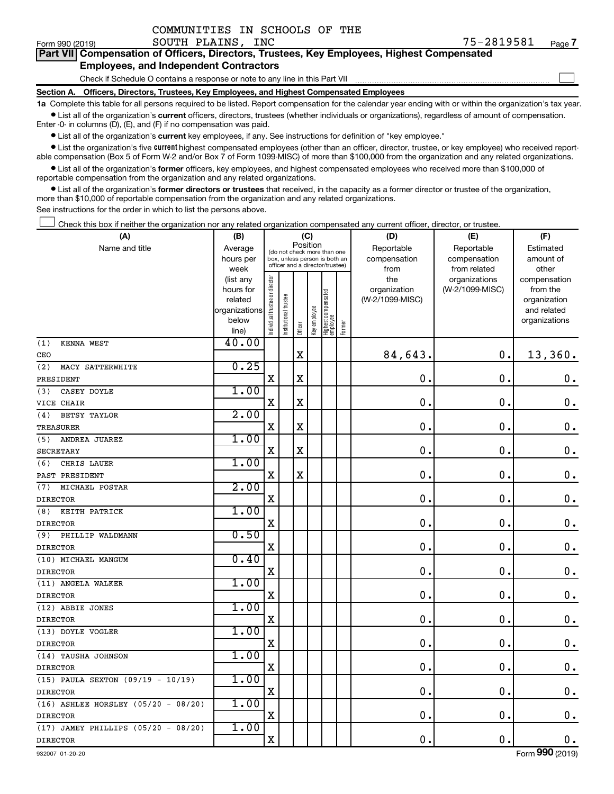| Form 990 (2019)                                                                                                                                            | SOUTH PLAINS, INC                                                                          | 75-2819581 | Page 7 |  |  |  |  |
|------------------------------------------------------------------------------------------------------------------------------------------------------------|--------------------------------------------------------------------------------------------|------------|--------|--|--|--|--|
|                                                                                                                                                            | Part VII Compensation of Officers, Directors, Trustees, Key Employees, Highest Compensated |            |        |  |  |  |  |
|                                                                                                                                                            | <b>Employees, and Independent Contractors</b>                                              |            |        |  |  |  |  |
|                                                                                                                                                            | Check if Schedule O contains a response or note to any line in this Part VII               |            |        |  |  |  |  |
|                                                                                                                                                            | Section A. Officers, Directors, Trustees, Key Employees, and Highest Compensated Employees |            |        |  |  |  |  |
| 1a Complete this table for all persons required to be listed. Report compensation for the calendar year ending with or within the organization's tax year. |                                                                                            |            |        |  |  |  |  |

 $\bullet$  List all of the organization's current officers, directors, trustees (whether individuals or organizations), regardless of amount of compensation. Enter -0- in columns (D), (E), and (F) if no compensation was paid.

**•** List all of the organization's current key employees, if any. See instructions for definition of "key employee."

COMMUNITIES IN SCHOOLS OF THE

• List the organization's five *current* highest compensated employees (other than an officer, director, trustee, or key employee) who received reportable compensation (Box 5 of Form W-2 and/or Box 7 of Form 1099-MISC) of more than \$100,000 from the organization and any related organizations.

 $\bullet$  List all of the organization's former officers, key employees, and highest compensated employees who received more than \$100,000 of reportable compensation from the organization and any related organizations.

**•** List all of the organization's former directors or trustees that received, in the capacity as a former director or trustee of the organization, more than \$10,000 of reportable compensation from the organization and any related organizations.

See instructions for the order in which to list the persons above.

Check this box if neither the organization nor any related organization compensated any current officer, director, or trustee.  $\Box$ 

| (A)                                     | (B)                      |                               |                                                                  | (C)         |              |                                 |        | (D)             | (E)             | (F)                         |
|-----------------------------------------|--------------------------|-------------------------------|------------------------------------------------------------------|-------------|--------------|---------------------------------|--------|-----------------|-----------------|-----------------------------|
| Name and title                          | Average                  |                               | (do not check more than one                                      | Position    |              |                                 |        | Reportable      | Reportable      | Estimated                   |
|                                         | hours per                |                               | box, unless person is both an<br>officer and a director/trustee) |             |              |                                 |        | compensation    | compensation    | amount of                   |
|                                         | week                     |                               |                                                                  |             |              |                                 |        | from            | from related    | other                       |
|                                         | (list any                |                               |                                                                  |             |              |                                 |        | the             | organizations   | compensation                |
|                                         | hours for                |                               |                                                                  |             |              |                                 |        | organization    | (W-2/1099-MISC) | from the                    |
|                                         | related<br>organizations |                               |                                                                  |             |              |                                 |        | (W-2/1099-MISC) |                 | organization<br>and related |
|                                         | below                    |                               |                                                                  |             |              |                                 |        |                 |                 | organizations               |
|                                         | line)                    | ndividual trustee or director | nstitutional trustee                                             | Officer     | Key employee | Highest compensated<br>employee | Former |                 |                 |                             |
| KENNA WEST<br>(1)                       | 40.00                    |                               |                                                                  |             |              |                                 |        |                 |                 |                             |
| CEO                                     |                          |                               |                                                                  | $\mathbf X$ |              |                                 |        | 84,643.         | $\mathbf 0$ .   | 13,360.                     |
| (2)<br>MACY SATTERWHITE                 | 0.25                     |                               |                                                                  |             |              |                                 |        |                 |                 |                             |
| PRESIDENT                               |                          | $\mathbf X$                   |                                                                  | $\mathbf X$ |              |                                 |        | $\mathbf 0$ .   | 0.              | $\mathbf 0$ .               |
| CASEY DOYLE<br>(3)                      | 1.00                     |                               |                                                                  |             |              |                                 |        |                 |                 |                             |
| VICE CHAIR                              |                          | X                             |                                                                  | X           |              |                                 |        | $\mathbf 0$ .   | $\mathbf 0$ .   | $\mathbf 0$ .               |
| <b>BETSY TAYLOR</b><br>(4)              | 2.00                     |                               |                                                                  |             |              |                                 |        |                 |                 |                             |
| TREASURER                               |                          | $\mathbf X$                   |                                                                  | $\mathbf X$ |              |                                 |        | 0.              | $\mathbf 0$ .   | $\mathbf 0$ .               |
| (5)<br>ANDREA JUAREZ                    | 1.00                     |                               |                                                                  |             |              |                                 |        |                 |                 |                             |
| SECRETARY                               |                          | X                             |                                                                  | $\rm X$     |              |                                 |        | 0               | $\mathbf 0$ .   | $0$ .                       |
| CHRIS LAUER<br>(6)                      | 1.00                     |                               |                                                                  |             |              |                                 |        |                 |                 |                             |
| PAST PRESIDENT                          |                          | X                             |                                                                  | $\mathbf X$ |              |                                 |        | $\mathbf 0$     | $\mathbf 0$     | $\mathbf 0$ .               |
| MICHAEL POSTAR<br>(7)                   | 2.00                     |                               |                                                                  |             |              |                                 |        |                 |                 |                             |
| <b>DIRECTOR</b>                         |                          | X                             |                                                                  |             |              |                                 |        | $\mathbf 0$ .   | $\mathbf 0$ .   | $\mathbf 0$ .               |
| KEITH PATRICK<br>(8)                    | 1.00                     |                               |                                                                  |             |              |                                 |        |                 |                 |                             |
| <b>DIRECTOR</b>                         |                          | X                             |                                                                  |             |              |                                 |        | $\mathbf 0$     | $\mathbf 0$ .   | 0.                          |
| (9)<br>PHILLIP WALDMANN                 | 0.50                     |                               |                                                                  |             |              |                                 |        |                 |                 |                             |
| <b>DIRECTOR</b>                         |                          | X                             |                                                                  |             |              |                                 |        | $\mathbf 0$     | $\mathbf 0$ .   | $\mathbf 0$ .               |
| (10) MICHAEL MANGUM                     | 0.40                     |                               |                                                                  |             |              |                                 |        |                 |                 |                             |
| <b>DIRECTOR</b>                         |                          | $\mathbf X$                   |                                                                  |             |              |                                 |        | $\mathbf 0$     | $\mathbf 0$ .   | $\mathbf 0$ .               |
| (11) ANGELA WALKER                      | 1.00                     |                               |                                                                  |             |              |                                 |        |                 |                 |                             |
| <b>DIRECTOR</b>                         |                          | $\mathbf X$                   |                                                                  |             |              |                                 |        | $\mathbf 0$ .   | $\mathbf 0$ .   | $\mathbf 0$ .               |
| (12) ABBIE JONES                        | 1.00                     |                               |                                                                  |             |              |                                 |        |                 |                 |                             |
| <b>DIRECTOR</b>                         |                          | X                             |                                                                  |             |              |                                 |        | 0               | $\mathbf 0$ .   | 0.                          |
| (13) DOYLE VOGLER                       | 1.00                     |                               |                                                                  |             |              |                                 |        |                 |                 |                             |
| <b>DIRECTOR</b>                         |                          | X                             |                                                                  |             |              |                                 |        | $\mathbf 0$ .   | $\mathbf 0$ .   | $\mathbf 0$ .               |
| (14) TAUSHA JOHNSON                     | 1.00                     |                               |                                                                  |             |              |                                 |        |                 |                 |                             |
| <b>DIRECTOR</b>                         |                          | X                             |                                                                  |             |              |                                 |        | $\mathbf 0$ .   | $\mathbf 0$ .   | 0.                          |
| (15) PAULA SEXTON (09/19 - 10/19)       | 1.00                     |                               |                                                                  |             |              |                                 |        |                 |                 |                             |
| <b>DIRECTOR</b>                         |                          | X                             |                                                                  |             |              |                                 |        | $\mathbf 0$     | $\mathbf 0$ .   | $\mathbf 0$ .               |
| (16) ASHLEE HORSLEY (05/20 - 08/20)     | 1.00                     |                               |                                                                  |             |              |                                 |        |                 |                 |                             |
| <b>DIRECTOR</b>                         |                          | $\mathbf X$                   |                                                                  |             |              |                                 |        | $\mathbf 0$     | 0               | $\mathbf 0$ .               |
| $(17)$ JAMEY PHILLIPS $(05/20 - 08/20)$ | 1.00                     |                               |                                                                  |             |              |                                 |        |                 |                 |                             |
| <b>DIRECTOR</b>                         |                          | X                             |                                                                  |             |              |                                 |        | 0.              | $\mathbf 0$ .   | 0.                          |
| 932007 01-20-20                         |                          |                               |                                                                  |             |              |                                 |        |                 |                 | Form 990 (2019)             |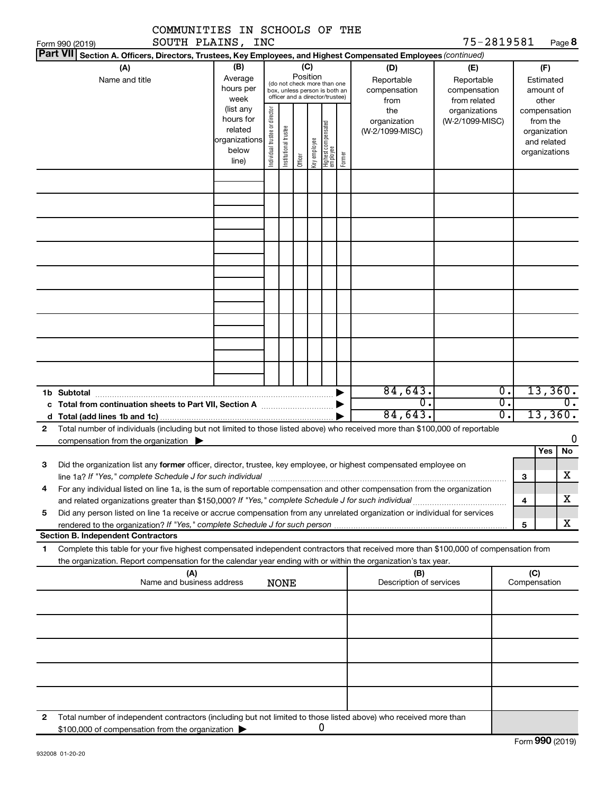|              | COMMUNITIES IN SCHOOLS OF THE                                                                                                                                                                                                                          |                                                                      |                                |                       |         |                 |                                                                                                 |        |                                           |                                                   |                                      |                                                                          |                       |
|--------------|--------------------------------------------------------------------------------------------------------------------------------------------------------------------------------------------------------------------------------------------------------|----------------------------------------------------------------------|--------------------------------|-----------------------|---------|-----------------|-------------------------------------------------------------------------------------------------|--------|-------------------------------------------|---------------------------------------------------|--------------------------------------|--------------------------------------------------------------------------|-----------------------|
|              | SOUTH PLAINS, INC<br>Form 990 (2019)                                                                                                                                                                                                                   |                                                                      |                                |                       |         |                 |                                                                                                 |        |                                           | 75-2819581                                        |                                      |                                                                          | Page 8                |
|              | Part VII Section A. Officers, Directors, Trustees, Key Employees, and Highest Compensated Employees (continued)                                                                                                                                        |                                                                      |                                |                       |         |                 |                                                                                                 |        |                                           |                                                   |                                      |                                                                          |                       |
|              | (A)<br>Name and title                                                                                                                                                                                                                                  | (B)<br>Average<br>hours per<br>week                                  |                                |                       |         | (C)<br>Position | (do not check more than one<br>box, unless person is both an<br>officer and a director/trustee) |        | (D)<br>Reportable<br>compensation<br>from | (E)<br>Reportable<br>compensation<br>from related |                                      | (F)<br>Estimated<br>amount of<br>other                                   |                       |
|              |                                                                                                                                                                                                                                                        | (list any<br>hours for<br>related<br>organizations<br>below<br>line) | Individual trustee or director | Institutional trustee | Officer | Key employee    | Highest compensated<br>employee                                                                 | Former | the<br>organization<br>(W-2/1099-MISC)    | organizations<br>(W-2/1099-MISC)                  |                                      | compensation<br>from the<br>organization<br>and related<br>organizations |                       |
|              |                                                                                                                                                                                                                                                        |                                                                      |                                |                       |         |                 |                                                                                                 |        |                                           |                                                   |                                      |                                                                          |                       |
|              |                                                                                                                                                                                                                                                        |                                                                      |                                |                       |         |                 |                                                                                                 |        |                                           |                                                   |                                      |                                                                          |                       |
|              |                                                                                                                                                                                                                                                        |                                                                      |                                |                       |         |                 |                                                                                                 |        |                                           |                                                   |                                      |                                                                          |                       |
|              |                                                                                                                                                                                                                                                        |                                                                      |                                |                       |         |                 |                                                                                                 |        |                                           |                                                   |                                      |                                                                          |                       |
|              |                                                                                                                                                                                                                                                        |                                                                      |                                |                       |         |                 |                                                                                                 |        |                                           |                                                   |                                      |                                                                          |                       |
|              |                                                                                                                                                                                                                                                        |                                                                      |                                |                       |         |                 |                                                                                                 |        |                                           |                                                   |                                      |                                                                          |                       |
|              | 1b Subtotal                                                                                                                                                                                                                                            |                                                                      |                                |                       |         |                 |                                                                                                 |        | 84,643.<br>σ.                             |                                                   | $\overline{0}$ .<br>$\overline{0}$ . | 13,360.                                                                  | $0$ .                 |
| $\mathbf{2}$ | Total number of individuals (including but not limited to those listed above) who received more than \$100,000 of reportable<br>compensation from the organization $\blacktriangleright$                                                               |                                                                      |                                |                       |         |                 |                                                                                                 |        | 84,643.                                   |                                                   | σ.                                   | 13,360.                                                                  | 0                     |
| З            | Did the organization list any former officer, director, trustee, key employee, or highest compensated employee on                                                                                                                                      |                                                                      |                                |                       |         |                 |                                                                                                 |        |                                           |                                                   |                                      | Yes                                                                      | No                    |
| 4            | line 1a? If "Yes," complete Schedule J for such individual<br>For any individual listed on line 1a, is the sum of reportable compensation and other compensation from the organization                                                                 |                                                                      |                                |                       |         |                 |                                                                                                 |        |                                           |                                                   | З                                    |                                                                          | $\overline{\text{X}}$ |
| 5            | Did any person listed on line 1a receive or accrue compensation from any unrelated organization or individual for services                                                                                                                             |                                                                      |                                |                       |         |                 |                                                                                                 |        |                                           |                                                   | 4<br>5                               |                                                                          | x<br>X                |
|              | <b>Section B. Independent Contractors</b>                                                                                                                                                                                                              |                                                                      |                                |                       |         |                 |                                                                                                 |        |                                           |                                                   |                                      |                                                                          |                       |
| 1            | Complete this table for your five highest compensated independent contractors that received more than \$100,000 of compensation from<br>the organization. Report compensation for the calendar year ending with or within the organization's tax year. |                                                                      |                                |                       |         |                 |                                                                                                 |        |                                           |                                                   |                                      |                                                                          |                       |
|              | (A)<br>Name and business address                                                                                                                                                                                                                       |                                                                      |                                | <b>NONE</b>           |         |                 |                                                                                                 |        | (B)<br>Description of services            |                                                   |                                      | (C)<br>Compensation                                                      |                       |
|              |                                                                                                                                                                                                                                                        |                                                                      |                                |                       |         |                 |                                                                                                 |        |                                           |                                                   |                                      |                                                                          |                       |
|              |                                                                                                                                                                                                                                                        |                                                                      |                                |                       |         |                 |                                                                                                 |        |                                           |                                                   |                                      |                                                                          |                       |
|              |                                                                                                                                                                                                                                                        |                                                                      |                                |                       |         |                 |                                                                                                 |        |                                           |                                                   |                                      |                                                                          |                       |
|              |                                                                                                                                                                                                                                                        |                                                                      |                                |                       |         |                 |                                                                                                 |        |                                           |                                                   |                                      |                                                                          |                       |
| 2            | Total number of independent contractors (including but not limited to those listed above) who received more than<br>\$100,000 of compensation from the organization                                                                                    |                                                                      |                                |                       |         |                 | 0                                                                                               |        |                                           |                                                   |                                      |                                                                          |                       |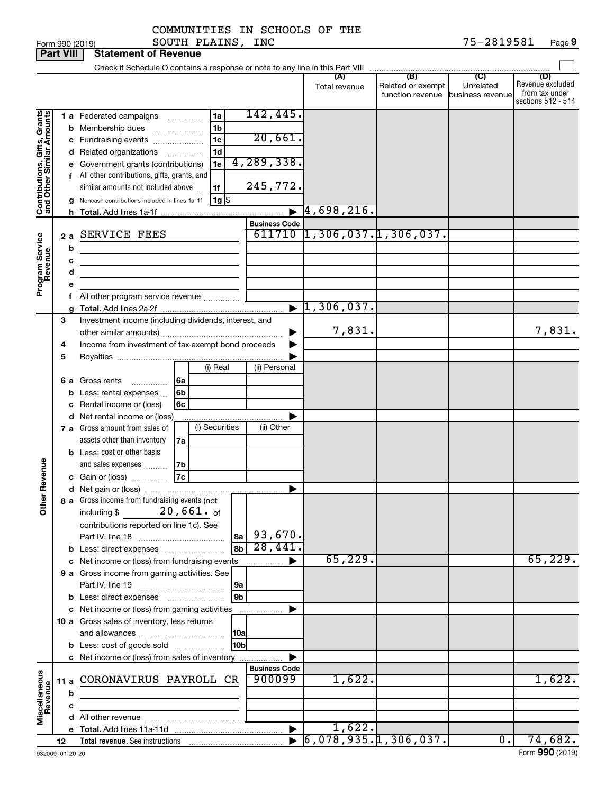|                                                           |                  | Form 990 (2019)                                                            | SOUTH PLAINS, INC      |                   |                      |                                       |                                                               | 75-2819581       | Page 9                                                          |
|-----------------------------------------------------------|------------------|----------------------------------------------------------------------------|------------------------|-------------------|----------------------|---------------------------------------|---------------------------------------------------------------|------------------|-----------------------------------------------------------------|
|                                                           | <b>Part VIII</b> | <b>Statement of Revenue</b>                                                |                        |                   |                      |                                       |                                                               |                  |                                                                 |
|                                                           |                  |                                                                            |                        |                   |                      |                                       |                                                               |                  |                                                                 |
|                                                           |                  |                                                                            |                        |                   |                      | (A)<br>Total revenue                  | (B)<br>Related or exempt<br>function revenue business revenue | (C)<br>Unrelated | (D)<br>Revenue excluded<br>from tax under<br>sections 512 - 514 |
|                                                           |                  | <b>1 a</b> Federated campaigns                                             | 1a                     |                   | 142,445.             |                                       |                                                               |                  |                                                                 |
| Contributions, Gifts, Grants<br>and Other Similar Amounts |                  | <b>b</b> Membership dues                                                   | 1 <sub>b</sub>         |                   |                      |                                       |                                                               |                  |                                                                 |
|                                                           |                  | c Fundraising events                                                       | $\overline{1c}$        |                   | 20,661.              |                                       |                                                               |                  |                                                                 |
|                                                           |                  | d Related organizations                                                    | 1 <sub>d</sub>         |                   |                      |                                       |                                                               |                  |                                                                 |
|                                                           |                  | e Government grants (contributions)                                        | 1e                     |                   | 4,289,338.           |                                       |                                                               |                  |                                                                 |
|                                                           |                  | f All other contributions, gifts, grants, and                              |                        |                   |                      |                                       |                                                               |                  |                                                                 |
|                                                           |                  | similar amounts not included above                                         | 1f                     |                   | 245,772.             |                                       |                                                               |                  |                                                                 |
|                                                           | g                | Noncash contributions included in lines 1a-1f                              | 1g  \$                 |                   |                      |                                       |                                                               |                  |                                                                 |
|                                                           |                  |                                                                            |                        |                   |                      | $ 4,698,216$ .                        |                                                               |                  |                                                                 |
|                                                           |                  |                                                                            |                        |                   | <b>Business Code</b> |                                       |                                                               |                  |                                                                 |
|                                                           | 2a               | SERVICE FEES                                                               |                        |                   |                      | $611710$ $1,306,037.1,306,037.$       |                                                               |                  |                                                                 |
|                                                           | b                |                                                                            |                        |                   |                      |                                       |                                                               |                  |                                                                 |
|                                                           | с                | <u> 1989 - Johann Barbara, martxa alemaniar a</u>                          |                        |                   |                      |                                       |                                                               |                  |                                                                 |
|                                                           | d                | the control of the control of the control of the control of the control of |                        |                   |                      |                                       |                                                               |                  |                                                                 |
| Program Service<br>Revenue                                | е                |                                                                            |                        |                   |                      |                                       |                                                               |                  |                                                                 |
|                                                           |                  |                                                                            |                        |                   |                      | $\blacktriangleright$ 1,306,037.      |                                                               |                  |                                                                 |
|                                                           | q<br>3           | Investment income (including dividends, interest, and                      |                        |                   |                      |                                       |                                                               |                  |                                                                 |
|                                                           |                  |                                                                            |                        |                   |                      | 7,831.                                |                                                               |                  | 7,831.                                                          |
|                                                           | 4                | Income from investment of tax-exempt bond proceeds                         |                        |                   |                      |                                       |                                                               |                  |                                                                 |
|                                                           | 5                |                                                                            |                        |                   |                      |                                       |                                                               |                  |                                                                 |
|                                                           |                  |                                                                            | (i) Real               |                   | (ii) Personal        |                                       |                                                               |                  |                                                                 |
|                                                           | 6а               | Gross rents                                                                | 6a                     |                   |                      |                                       |                                                               |                  |                                                                 |
|                                                           | b                | Less: rental expenses                                                      | 6b                     |                   |                      |                                       |                                                               |                  |                                                                 |
|                                                           | с                | Rental income or (loss)                                                    | 6c                     |                   |                      |                                       |                                                               |                  |                                                                 |
|                                                           |                  | d Net rental income or (loss)                                              |                        |                   |                      |                                       |                                                               |                  |                                                                 |
|                                                           |                  | 7 a Gross amount from sales of                                             | (i) Securities         |                   | (ii) Other           |                                       |                                                               |                  |                                                                 |
|                                                           |                  | assets other than inventory                                                | 7a                     |                   |                      |                                       |                                                               |                  |                                                                 |
|                                                           |                  | <b>b</b> Less: cost or other basis                                         |                        |                   |                      |                                       |                                                               |                  |                                                                 |
| evenue                                                    |                  | and sales expenses                                                         | 7b<br>7c               |                   |                      |                                       |                                                               |                  |                                                                 |
|                                                           |                  | c Gain or (loss)                                                           |                        |                   |                      |                                       |                                                               |                  |                                                                 |
| Other R                                                   |                  | 8 a Gross income from fundraising events (not                              |                        |                   |                      |                                       |                                                               |                  |                                                                 |
|                                                           |                  | including \$                                                               | $20$ ,661. $_{\rm of}$ |                   |                      |                                       |                                                               |                  |                                                                 |
|                                                           |                  | contributions reported on line 1c). See                                    |                        |                   |                      |                                       |                                                               |                  |                                                                 |
|                                                           |                  |                                                                            |                        | 8a l              | 93,670.              |                                       |                                                               |                  |                                                                 |
|                                                           |                  | <b>b</b> Less: direct expenses <b>constants</b> b                          |                        |                   | 28,441.              |                                       |                                                               |                  |                                                                 |
|                                                           |                  | c Net income or (loss) from fundraising events                             |                        |                   |                      | 65, 229.                              |                                                               |                  | 65,229.                                                         |
|                                                           |                  | 9 a Gross income from gaming activities. See                               |                        |                   |                      |                                       |                                                               |                  |                                                                 |
|                                                           |                  |                                                                            |                        | 9a                |                      |                                       |                                                               |                  |                                                                 |
|                                                           |                  |                                                                            |                        | 9 <sub>b</sub>    |                      |                                       |                                                               |                  |                                                                 |
|                                                           |                  | c Net income or (loss) from gaming activities                              |                        |                   |                      |                                       |                                                               |                  |                                                                 |
|                                                           |                  | 10 a Gross sales of inventory, less returns                                |                        |                   |                      |                                       |                                                               |                  |                                                                 |
|                                                           |                  |                                                                            |                        | <b>10a</b><br>10b |                      |                                       |                                                               |                  |                                                                 |
|                                                           |                  | <b>b</b> Less: cost of goods sold                                          |                        |                   |                      |                                       |                                                               |                  |                                                                 |
|                                                           |                  | c Net income or (loss) from sales of inventory                             |                        |                   | <b>Business Code</b> |                                       |                                                               |                  |                                                                 |
|                                                           | 11 a             | CORONAVIRUS PAYROLL CR                                                     |                        |                   | 900099               | 1,622.                                |                                                               |                  | 1,622.                                                          |
|                                                           | b                |                                                                            |                        |                   |                      |                                       |                                                               |                  |                                                                 |
| Miscellaneous<br>Revenue                                  | с                |                                                                            |                        |                   |                      |                                       |                                                               |                  |                                                                 |
|                                                           |                  |                                                                            |                        |                   |                      |                                       |                                                               |                  |                                                                 |
|                                                           |                  |                                                                            |                        |                   |                      | 1,622.                                |                                                               |                  |                                                                 |
|                                                           | 12               |                                                                            |                        |                   |                      | $\triangleright$ 6,078,935.1,306,037. |                                                               | $\overline{0}$ . | 74,682.                                                         |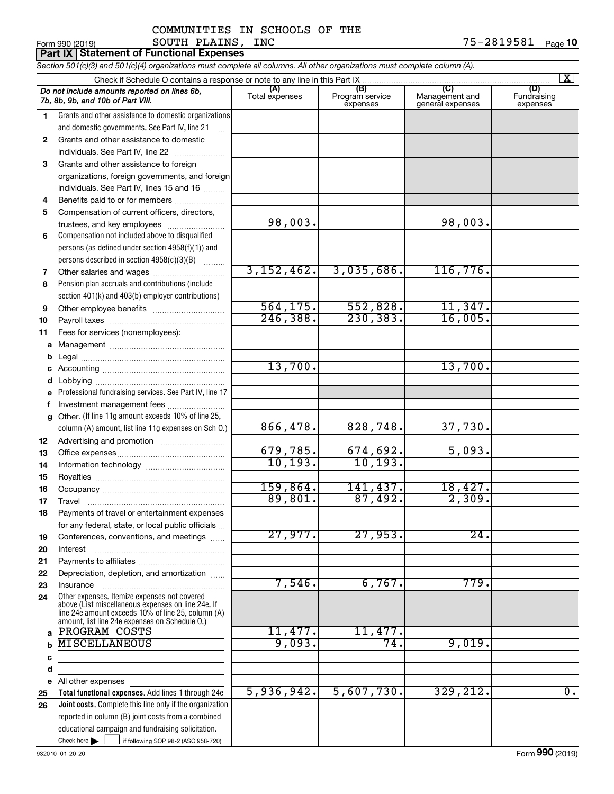|              | SOUTH PLAINS, INC<br>Form 990 (2019)<br><b>Part IX   Statement of Functional Expenses</b>                                  |                       |                                    |                                           | 75-2819581 Page 10             |
|--------------|----------------------------------------------------------------------------------------------------------------------------|-----------------------|------------------------------------|-------------------------------------------|--------------------------------|
|              | Section 501(c)(3) and 501(c)(4) organizations must complete all columns. All other organizations must complete column (A). |                       |                                    |                                           |                                |
|              | Check if Schedule O contains a response or note to any line in this Part IX                                                |                       |                                    |                                           | $\overline{\mathbf{X}}$        |
|              | Do not include amounts reported on lines 6b,<br>7b, 8b, 9b, and 10b of Part VIII.                                          | (A)<br>Total expenses | (B)<br>Program service<br>expenses | (C)<br>Management and<br>general expenses | (D)<br>Fundraising<br>expenses |
| 1            | Grants and other assistance to domestic organizations                                                                      |                       |                                    |                                           |                                |
|              | and domestic governments. See Part IV, line 21                                                                             |                       |                                    |                                           |                                |
| $\mathbf{2}$ | Grants and other assistance to domestic                                                                                    |                       |                                    |                                           |                                |
|              | individuals. See Part IV, line 22                                                                                          |                       |                                    |                                           |                                |
| 3            | Grants and other assistance to foreign                                                                                     |                       |                                    |                                           |                                |
|              | organizations, foreign governments, and foreign                                                                            |                       |                                    |                                           |                                |
|              | individuals. See Part IV, lines 15 and 16                                                                                  |                       |                                    |                                           |                                |
| 4            | Benefits paid to or for members                                                                                            |                       |                                    |                                           |                                |
| 5            | Compensation of current officers, directors,                                                                               | 98,003.               |                                    | 98,003.                                   |                                |
| 6            | trustees, and key employees<br>Compensation not included above to disqualified                                             |                       |                                    |                                           |                                |
|              | persons (as defined under section 4958(f)(1)) and                                                                          |                       |                                    |                                           |                                |
|              | persons described in section 4958(c)(3)(B)                                                                                 |                       |                                    |                                           |                                |
| 7            | Other salaries and wages                                                                                                   | 3,152,462.            | 3,035,686.                         | 116,776.                                  |                                |
| 8            | Pension plan accruals and contributions (include                                                                           |                       |                                    |                                           |                                |
|              | section 401(k) and 403(b) employer contributions)                                                                          |                       |                                    |                                           |                                |
| 9            |                                                                                                                            | 564, 175.             | 552,828.                           | 11,347.                                   |                                |
| 10           |                                                                                                                            | 246,388.              | 230,383.                           | 16,005.                                   |                                |
| 11           | Fees for services (nonemployees):                                                                                          |                       |                                    |                                           |                                |
| а            |                                                                                                                            |                       |                                    |                                           |                                |
| b            |                                                                                                                            |                       |                                    |                                           |                                |
| с            |                                                                                                                            | 13,700.               |                                    | 13,700.                                   |                                |
| d            |                                                                                                                            |                       |                                    |                                           |                                |
| е            | Professional fundraising services. See Part IV, line 17                                                                    |                       |                                    |                                           |                                |
| f            | Investment management fees<br>Other. (If line 11g amount exceeds 10% of line 25,                                           |                       |                                    |                                           |                                |
| a            | column (A) amount, list line 11g expenses on Sch O.)                                                                       | 866,478.              | 828,748.                           | 37,730.                                   |                                |
| 12           |                                                                                                                            |                       |                                    |                                           |                                |
| 13           |                                                                                                                            | 679,785.              | 674,692.                           | 5,093.                                    |                                |
| 14           |                                                                                                                            | 10, 193.              | 10, 193.                           |                                           |                                |
| 15           |                                                                                                                            |                       |                                    |                                           |                                |
| 16           |                                                                                                                            | 159,864.              | 141,437.                           | 18,427.                                   |                                |
| 17           | Travel                                                                                                                     | 89,801.               | 87,492.                            | 2,309.                                    |                                |
| 18           | Payments of travel or entertainment expenses                                                                               |                       |                                    |                                           |                                |
|              | for any federal, state, or local public officials                                                                          |                       |                                    |                                           |                                |
| 19           | Conferences, conventions, and meetings                                                                                     | 27,977.               | 27,953.                            | 24.                                       |                                |
| 20           | Interest                                                                                                                   |                       |                                    |                                           |                                |
| 21           | Depreciation, depletion, and amortization                                                                                  |                       |                                    |                                           |                                |
| 22<br>23     | Insurance                                                                                                                  | 7,546.                | 6,767.                             | 779.                                      |                                |
| 24           | Other expenses. Itemize expenses not covered                                                                               |                       |                                    |                                           |                                |
|              | above (List miscellaneous expenses on line 24e. If<br>line 24e amount exceeds 10% of line 25, column (A)                   |                       |                                    |                                           |                                |
| a            | amount, list line 24e expenses on Schedule O.)<br>PROGRAM COSTS                                                            | 11,477.               | 11,477.                            |                                           |                                |
| b            | <b>MISCELLANEOUS</b>                                                                                                       | 9,093.                | 74.                                | 9,019.                                    |                                |
| с            |                                                                                                                            |                       |                                    |                                           |                                |
| d            |                                                                                                                            |                       |                                    |                                           |                                |
| е            | All other expenses                                                                                                         |                       |                                    |                                           |                                |
| 25           | Total functional expenses. Add lines 1 through 24e                                                                         | 5,936,942.            | 5,607,730.                         | 329, 212.                                 | $\overline{0}$ .               |
| 26           | Joint costs. Complete this line only if the organization                                                                   |                       |                                    |                                           |                                |
|              | reported in column (B) joint costs from a combined                                                                         |                       |                                    |                                           |                                |
|              | educational campaign and fundraising solicitation.                                                                         |                       |                                    |                                           |                                |

Check here if following SOP 98-2 (ASC 958-720)

- 1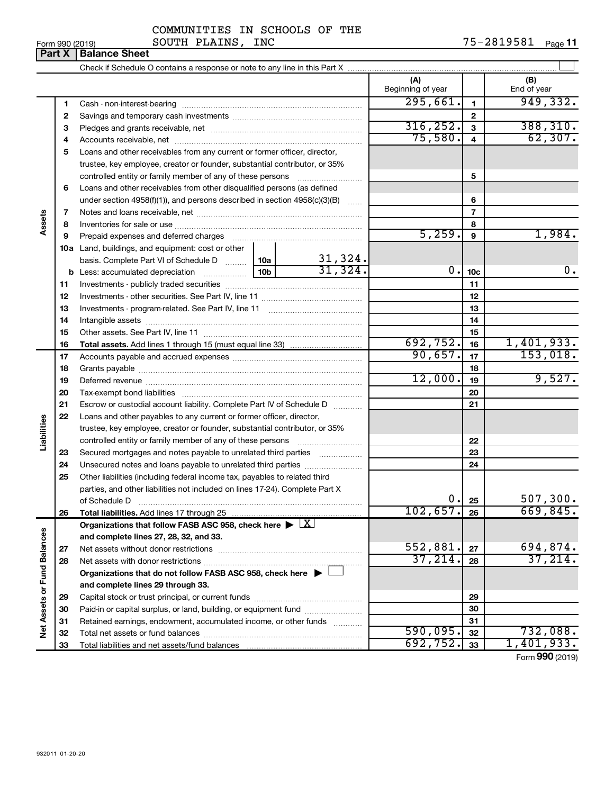$\overline{\phantom{0}}$ 

| COMMUNITIES IN SCHOOLS OF THE |  |                        |  |
|-------------------------------|--|------------------------|--|
| SOUTH PLAINS, INC             |  | $75 - 2819581$ Page 11 |  |

|                             |    | Part X   Balance Sheet                                                                                                         |         |         |                          |                         |                                   |
|-----------------------------|----|--------------------------------------------------------------------------------------------------------------------------------|---------|---------|--------------------------|-------------------------|-----------------------------------|
|                             |    |                                                                                                                                |         |         |                          |                         |                                   |
|                             |    |                                                                                                                                |         |         | (A)<br>Beginning of year |                         | (B)<br>End of year                |
|                             | 1  |                                                                                                                                |         |         | 295,661.                 | 1                       | 949,332.                          |
|                             | 2  |                                                                                                                                |         |         |                          | $\mathbf{2}$            |                                   |
|                             | з  |                                                                                                                                |         |         | 316, 252.                | $\mathbf{3}$            | 388, 310.                         |
|                             | 4  |                                                                                                                                |         |         | 75,580.                  | $\overline{\mathbf{4}}$ | 62,307.                           |
|                             | 5  | Loans and other receivables from any current or former officer, director,                                                      |         |         |                          |                         |                                   |
|                             |    | trustee, key employee, creator or founder, substantial contributor, or 35%                                                     |         |         |                          |                         |                                   |
|                             |    | controlled entity or family member of any of these persons                                                                     |         |         |                          | 5                       |                                   |
|                             | 6  | Loans and other receivables from other disqualified persons (as defined                                                        |         |         |                          |                         |                                   |
|                             |    | under section $4958(f)(1)$ , and persons described in section $4958(c)(3)(B)$                                                  |         |         |                          | 6                       |                                   |
|                             | 7  |                                                                                                                                |         |         |                          | $\overline{7}$          |                                   |
| Assets                      | 8  |                                                                                                                                |         |         | 8                        |                         |                                   |
|                             | 9  |                                                                                                                                | 5,259.  | 9       | 1,984.                   |                         |                                   |
|                             |    | <b>10a</b> Land, buildings, and equipment: cost or other                                                                       |         |         |                          |                         |                                   |
|                             |    | basis. Complete Part VI of Schedule D  10a                                                                                     |         | 31,324. |                          |                         |                                   |
|                             | b  |                                                                                                                                |         | 31,324. | 0.                       | 10 <sub>c</sub>         | 0.                                |
|                             | 11 |                                                                                                                                |         |         |                          | 11                      |                                   |
|                             | 12 |                                                                                                                                |         | 12      |                          |                         |                                   |
|                             | 13 |                                                                                                                                |         |         | 13                       |                         |                                   |
|                             | 14 |                                                                                                                                |         |         |                          | 14                      |                                   |
|                             | 15 |                                                                                                                                |         |         |                          | 15                      |                                   |
|                             | 16 |                                                                                                                                |         |         | 692,752.                 | 16                      | 1,401,933.                        |
|                             | 17 |                                                                                                                                |         |         | 90,657.                  | 17                      | 153,018.                          |
|                             | 18 |                                                                                                                                | 12,000. | 18      | 9,527.                   |                         |                                   |
|                             | 19 |                                                                                                                                |         | 19      |                          |                         |                                   |
|                             | 20 |                                                                                                                                |         |         |                          | 20                      |                                   |
|                             | 21 | Escrow or custodial account liability. Complete Part IV of Schedule D                                                          |         |         |                          | 21                      |                                   |
| Liabilities                 | 22 | Loans and other payables to any current or former officer, director,                                                           |         |         |                          |                         |                                   |
|                             |    | trustee, key employee, creator or founder, substantial contributor, or 35%                                                     |         |         |                          | 22                      |                                   |
|                             | 23 | controlled entity or family member of any of these persons [<br>Secured mortgages and notes payable to unrelated third parties |         |         |                          | 23                      |                                   |
|                             | 24 | Unsecured notes and loans payable to unrelated third parties                                                                   |         |         |                          | 24                      |                                   |
|                             | 25 | Other liabilities (including federal income tax, payables to related third                                                     |         |         |                          |                         |                                   |
|                             |    | parties, and other liabilities not included on lines 17-24). Complete Part X                                                   |         |         |                          |                         |                                   |
|                             |    | of Schedule D                                                                                                                  |         |         | 0.                       | 25                      | 507,300.                          |
|                             | 26 | Total liabilities. Add lines 17 through 25                                                                                     |         |         | 102,657.                 | 26                      | 669,845.                          |
|                             |    | Organizations that follow FASB ASC 958, check here $\blacktriangleright \lfloor \underline{X} \rfloor$                         |         |         |                          |                         |                                   |
|                             |    | and complete lines 27, 28, 32, and 33.                                                                                         |         |         |                          |                         |                                   |
|                             | 27 |                                                                                                                                |         |         | 552,881.                 | 27                      | 694,874.                          |
|                             | 28 |                                                                                                                                |         |         | 37,214.                  | 28                      | 37,214.                           |
|                             |    | Organizations that do not follow FASB ASC 958, check here $\blacktriangleright$                                                |         |         |                          |                         |                                   |
|                             |    | and complete lines 29 through 33.                                                                                              |         |         |                          |                         |                                   |
| Net Assets or Fund Balances | 29 |                                                                                                                                |         |         |                          | 29                      |                                   |
|                             | 30 | Paid-in or capital surplus, or land, building, or equipment fund                                                               |         |         |                          | 30                      |                                   |
|                             | 31 | Retained earnings, endowment, accumulated income, or other funds                                                               |         |         |                          | 31                      |                                   |
|                             | 32 |                                                                                                                                |         |         | 590,095.                 | 32                      | 732,088.                          |
|                             | 33 |                                                                                                                                |         |         | 692,752.                 | 33                      | 1,401,933.                        |
|                             |    |                                                                                                                                |         |         |                          |                         | $F_{\alpha r}$ QQ $\Omega$ (2010) |

Form (2019) **990**

### Form 990 (2019) Page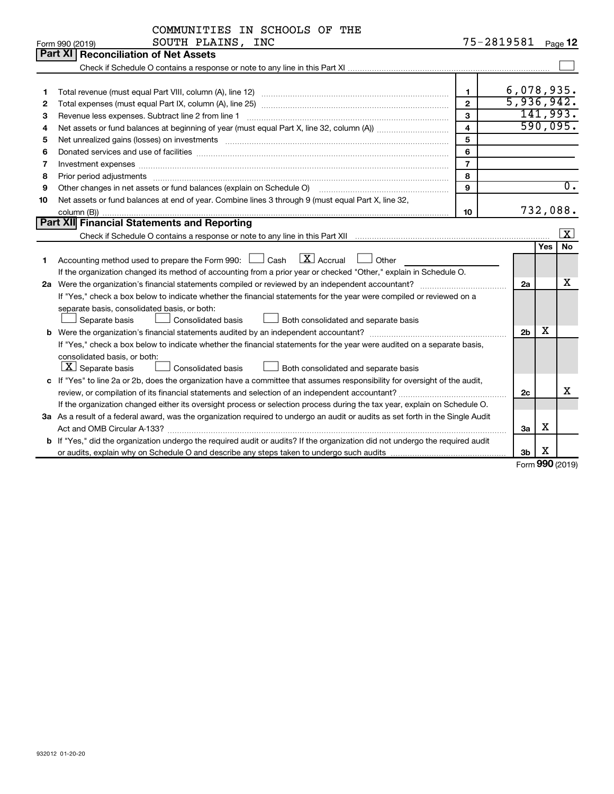|                              | COMMUNITIES IN SCHOOLS OF THE                                                                                                   |                |                |     |                      |  |  |
|------------------------------|---------------------------------------------------------------------------------------------------------------------------------|----------------|----------------|-----|----------------------|--|--|
|                              | SOUTH PLAINS, INC<br>Form 990 (2019)                                                                                            |                | 75-2819581     |     | Page 12              |  |  |
|                              | <b>Part XI Reconciliation of Net Assets</b>                                                                                     |                |                |     |                      |  |  |
|                              |                                                                                                                                 |                |                |     |                      |  |  |
|                              |                                                                                                                                 |                |                |     |                      |  |  |
| 1                            |                                                                                                                                 | $\mathbf{1}$   | 6,078,935.     |     |                      |  |  |
| 2                            |                                                                                                                                 | $\mathbf{2}$   | 5,936,942.     |     |                      |  |  |
| З                            | Revenue less expenses. Subtract line 2 from line 1                                                                              | 3              |                |     | 141,993.<br>590,095. |  |  |
| $\overline{\mathbf{4}}$<br>4 |                                                                                                                                 |                |                |     |                      |  |  |
| 5                            | Net unrealized gains (losses) on investments [111] www.marting.community.community.community.community.communi                  | 5              |                |     |                      |  |  |
| 6                            |                                                                                                                                 | 6              |                |     |                      |  |  |
| 7                            | Investment expenses www.communication.com/www.communication.com/www.communication.com/www.com                                   | $\overline{7}$ |                |     |                      |  |  |
| 8                            | Prior period adjustments                                                                                                        | 8              |                |     |                      |  |  |
| 9                            | Other changes in net assets or fund balances (explain on Schedule O)                                                            | q              |                |     | $\overline{0}$ .     |  |  |
| 10                           | Net assets or fund balances at end of year. Combine lines 3 through 9 (must equal Part X, line 32,                              |                |                |     |                      |  |  |
|                              |                                                                                                                                 | 10             |                |     | 732,088.             |  |  |
|                              | <b>Part XII Financial Statements and Reporting</b>                                                                              |                |                |     |                      |  |  |
|                              |                                                                                                                                 |                |                |     | x                    |  |  |
|                              |                                                                                                                                 |                |                | Yes | <b>No</b>            |  |  |
| 1.                           | $\boxed{\text{X}}$ Accrual<br>Accounting method used to prepare the Form 990: $\Box$ Cash<br>Other                              |                |                |     |                      |  |  |
|                              | If the organization changed its method of accounting from a prior year or checked "Other," explain in Schedule O.               |                |                |     |                      |  |  |
|                              | 2a Were the organization's financial statements compiled or reviewed by an independent accountant?                              |                | 2a             |     | х                    |  |  |
|                              | If "Yes," check a box below to indicate whether the financial statements for the year were compiled or reviewed on a            |                |                |     |                      |  |  |
|                              | separate basis, consolidated basis, or both:                                                                                    |                |                |     |                      |  |  |
|                              | Separate basis<br><b>Consolidated basis</b><br>Both consolidated and separate basis                                             |                |                |     |                      |  |  |
|                              |                                                                                                                                 |                | 2 <sub>b</sub> | X   |                      |  |  |
|                              | If "Yes," check a box below to indicate whether the financial statements for the year were audited on a separate basis,         |                |                |     |                      |  |  |
|                              | consolidated basis, or both:                                                                                                    |                |                |     |                      |  |  |
|                              | $ \mathbf{X} $ Separate basis<br>Consolidated basis<br>Both consolidated and separate basis                                     |                |                |     |                      |  |  |
|                              | c If "Yes" to line 2a or 2b, does the organization have a committee that assumes responsibility for oversight of the audit,     |                |                |     |                      |  |  |
|                              |                                                                                                                                 |                | 2c             |     | х                    |  |  |
|                              | If the organization changed either its oversight process or selection process during the tax year, explain on Schedule O.       |                |                |     |                      |  |  |
|                              | 3a As a result of a federal award, was the organization required to undergo an audit or audits as set forth in the Single Audit |                |                |     |                      |  |  |
|                              |                                                                                                                                 |                | За             | х   |                      |  |  |
|                              | b If "Yes," did the organization undergo the required audit or audits? If the organization did not undergo the required audit   |                |                |     |                      |  |  |
|                              |                                                                                                                                 |                | 3b             | х   | $000 \text{ hours}$  |  |  |

Form (2019) **990**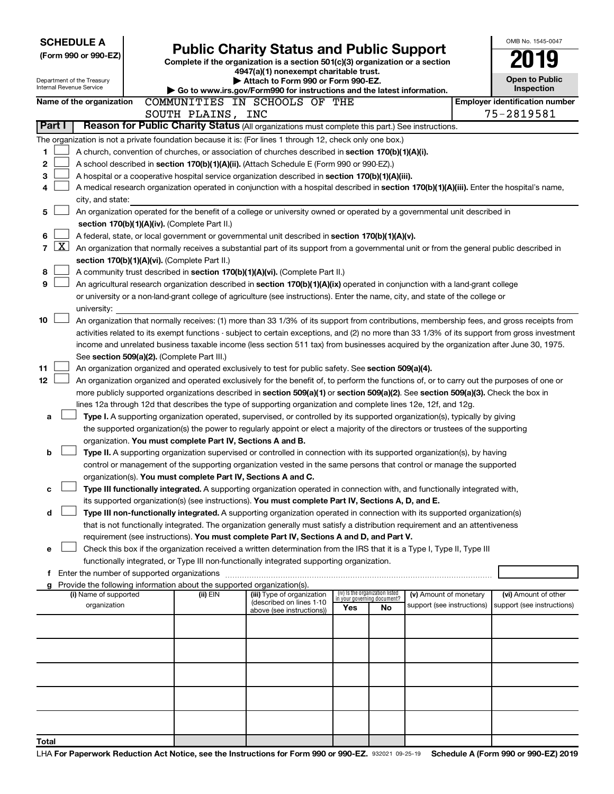| <b>SCHEDULE A</b>               |                                                        |  |                                                                        |                                                                                                                                                                                                                                                                                  |                                 |    |                                                      |  | OMB No. 1545-0047                                  |  |  |
|---------------------------------|--------------------------------------------------------|--|------------------------------------------------------------------------|----------------------------------------------------------------------------------------------------------------------------------------------------------------------------------------------------------------------------------------------------------------------------------|---------------------------------|----|------------------------------------------------------|--|----------------------------------------------------|--|--|
|                                 | (Form 990 or 990-EZ)                                   |  |                                                                        | <b>Public Charity Status and Public Support</b>                                                                                                                                                                                                                                  |                                 |    |                                                      |  |                                                    |  |  |
|                                 |                                                        |  |                                                                        | Complete if the organization is a section 501(c)(3) organization or a section<br>4947(a)(1) nonexempt charitable trust.                                                                                                                                                          |                                 |    |                                                      |  |                                                    |  |  |
|                                 | Department of the Treasury<br>Internal Revenue Service |  |                                                                        | Attach to Form 990 or Form 990-EZ.                                                                                                                                                                                                                                               |                                 |    |                                                      |  | <b>Open to Public</b><br><b>Inspection</b>         |  |  |
|                                 | Name of the organization                               |  |                                                                        | Go to www.irs.gov/Form990 for instructions and the latest information.<br>COMMUNITIES IN SCHOOLS OF THE                                                                                                                                                                          |                                 |    |                                                      |  | <b>Employer identification number</b>              |  |  |
|                                 |                                                        |  | SOUTH PLAINS, INC                                                      |                                                                                                                                                                                                                                                                                  |                                 |    |                                                      |  | 75-2819581                                         |  |  |
| Part I                          |                                                        |  |                                                                        | Reason for Public Charity Status (All organizations must complete this part.) See instructions.                                                                                                                                                                                  |                                 |    |                                                      |  |                                                    |  |  |
|                                 |                                                        |  |                                                                        | The organization is not a private foundation because it is: (For lines 1 through 12, check only one box.)                                                                                                                                                                        |                                 |    |                                                      |  |                                                    |  |  |
| 1                               |                                                        |  |                                                                        | A church, convention of churches, or association of churches described in section 170(b)(1)(A)(i).                                                                                                                                                                               |                                 |    |                                                      |  |                                                    |  |  |
| 2                               |                                                        |  |                                                                        | A school described in section 170(b)(1)(A)(ii). (Attach Schedule E (Form 990 or 990-EZ).)                                                                                                                                                                                        |                                 |    |                                                      |  |                                                    |  |  |
| 3                               |                                                        |  |                                                                        | A hospital or a cooperative hospital service organization described in section $170(b)(1)(A)(iii)$ .                                                                                                                                                                             |                                 |    |                                                      |  |                                                    |  |  |
| 4                               |                                                        |  |                                                                        | A medical research organization operated in conjunction with a hospital described in section 170(b)(1)(A)(iii). Enter the hospital's name,                                                                                                                                       |                                 |    |                                                      |  |                                                    |  |  |
|                                 | city, and state:                                       |  |                                                                        |                                                                                                                                                                                                                                                                                  |                                 |    |                                                      |  |                                                    |  |  |
| 5                               |                                                        |  |                                                                        | An organization operated for the benefit of a college or university owned or operated by a governmental unit described in                                                                                                                                                        |                                 |    |                                                      |  |                                                    |  |  |
|                                 |                                                        |  | section 170(b)(1)(A)(iv). (Complete Part II.)                          |                                                                                                                                                                                                                                                                                  |                                 |    |                                                      |  |                                                    |  |  |
| 6<br><u>x</u><br>$\overline{7}$ |                                                        |  |                                                                        | A federal, state, or local government or governmental unit described in section 170(b)(1)(A)(v).                                                                                                                                                                                 |                                 |    |                                                      |  |                                                    |  |  |
|                                 |                                                        |  | section 170(b)(1)(A)(vi). (Complete Part II.)                          | An organization that normally receives a substantial part of its support from a governmental unit or from the general public described in                                                                                                                                        |                                 |    |                                                      |  |                                                    |  |  |
| 8                               |                                                        |  |                                                                        | A community trust described in section 170(b)(1)(A)(vi). (Complete Part II.)                                                                                                                                                                                                     |                                 |    |                                                      |  |                                                    |  |  |
| 9                               |                                                        |  |                                                                        | An agricultural research organization described in section 170(b)(1)(A)(ix) operated in conjunction with a land-grant college                                                                                                                                                    |                                 |    |                                                      |  |                                                    |  |  |
|                                 |                                                        |  |                                                                        | or university or a non-land-grant college of agriculture (see instructions). Enter the name, city, and state of the college or                                                                                                                                                   |                                 |    |                                                      |  |                                                    |  |  |
|                                 | university:                                            |  |                                                                        |                                                                                                                                                                                                                                                                                  |                                 |    |                                                      |  |                                                    |  |  |
| 10                              |                                                        |  |                                                                        | An organization that normally receives: (1) more than 33 1/3% of its support from contributions, membership fees, and gross receipts from                                                                                                                                        |                                 |    |                                                      |  |                                                    |  |  |
|                                 |                                                        |  |                                                                        | activities related to its exempt functions - subject to certain exceptions, and (2) no more than 33 1/3% of its support from gross investment                                                                                                                                    |                                 |    |                                                      |  |                                                    |  |  |
|                                 |                                                        |  |                                                                        | income and unrelated business taxable income (less section 511 tax) from businesses acquired by the organization after June 30, 1975.                                                                                                                                            |                                 |    |                                                      |  |                                                    |  |  |
|                                 |                                                        |  | See section 509(a)(2). (Complete Part III.)                            |                                                                                                                                                                                                                                                                                  |                                 |    |                                                      |  |                                                    |  |  |
| 11<br>12                        |                                                        |  |                                                                        | An organization organized and operated exclusively to test for public safety. See section 509(a)(4).                                                                                                                                                                             |                                 |    |                                                      |  |                                                    |  |  |
|                                 |                                                        |  |                                                                        | An organization organized and operated exclusively for the benefit of, to perform the functions of, or to carry out the purposes of one or<br>more publicly supported organizations described in section 509(a)(1) or section 509(a)(2). See section 509(a)(3). Check the box in |                                 |    |                                                      |  |                                                    |  |  |
|                                 |                                                        |  |                                                                        | lines 12a through 12d that describes the type of supporting organization and complete lines 12e, 12f, and 12g.                                                                                                                                                                   |                                 |    |                                                      |  |                                                    |  |  |
| а                               |                                                        |  |                                                                        | Type I. A supporting organization operated, supervised, or controlled by its supported organization(s), typically by giving                                                                                                                                                      |                                 |    |                                                      |  |                                                    |  |  |
|                                 |                                                        |  |                                                                        | the supported organization(s) the power to regularly appoint or elect a majority of the directors or trustees of the supporting                                                                                                                                                  |                                 |    |                                                      |  |                                                    |  |  |
|                                 |                                                        |  | organization. You must complete Part IV, Sections A and B.             |                                                                                                                                                                                                                                                                                  |                                 |    |                                                      |  |                                                    |  |  |
| b                               |                                                        |  |                                                                        | Type II. A supporting organization supervised or controlled in connection with its supported organization(s), by having                                                                                                                                                          |                                 |    |                                                      |  |                                                    |  |  |
|                                 |                                                        |  |                                                                        | control or management of the supporting organization vested in the same persons that control or manage the supported                                                                                                                                                             |                                 |    |                                                      |  |                                                    |  |  |
|                                 |                                                        |  | organization(s). You must complete Part IV, Sections A and C.          |                                                                                                                                                                                                                                                                                  |                                 |    |                                                      |  |                                                    |  |  |
| с                               |                                                        |  |                                                                        | Type III functionally integrated. A supporting organization operated in connection with, and functionally integrated with,                                                                                                                                                       |                                 |    |                                                      |  |                                                    |  |  |
| d                               |                                                        |  |                                                                        | its supported organization(s) (see instructions). You must complete Part IV, Sections A, D, and E.<br>Type III non-functionally integrated. A supporting organization operated in connection with its supported organization(s)                                                  |                                 |    |                                                      |  |                                                    |  |  |
|                                 |                                                        |  |                                                                        | that is not functionally integrated. The organization generally must satisfy a distribution requirement and an attentiveness                                                                                                                                                     |                                 |    |                                                      |  |                                                    |  |  |
|                                 |                                                        |  |                                                                        | requirement (see instructions). You must complete Part IV, Sections A and D, and Part V.                                                                                                                                                                                         |                                 |    |                                                      |  |                                                    |  |  |
| е                               |                                                        |  |                                                                        | Check this box if the organization received a written determination from the IRS that it is a Type I, Type II, Type III                                                                                                                                                          |                                 |    |                                                      |  |                                                    |  |  |
|                                 |                                                        |  |                                                                        | functionally integrated, or Type III non-functionally integrated supporting organization.                                                                                                                                                                                        |                                 |    |                                                      |  |                                                    |  |  |
|                                 |                                                        |  |                                                                        |                                                                                                                                                                                                                                                                                  |                                 |    |                                                      |  |                                                    |  |  |
| g                               |                                                        |  | Provide the following information about the supported organization(s). |                                                                                                                                                                                                                                                                                  | (iv) Is the organization listed |    |                                                      |  |                                                    |  |  |
|                                 | (i) Name of supported<br>organization                  |  | (ii) EIN                                                               | (iii) Type of organization<br>(described on lines 1-10                                                                                                                                                                                                                           | in your governing document?     |    | (v) Amount of monetary<br>support (see instructions) |  | (vi) Amount of other<br>support (see instructions) |  |  |
|                                 |                                                        |  |                                                                        | above (see instructions))                                                                                                                                                                                                                                                        | Yes                             | No |                                                      |  |                                                    |  |  |
|                                 |                                                        |  |                                                                        |                                                                                                                                                                                                                                                                                  |                                 |    |                                                      |  |                                                    |  |  |
|                                 |                                                        |  |                                                                        |                                                                                                                                                                                                                                                                                  |                                 |    |                                                      |  |                                                    |  |  |
|                                 |                                                        |  |                                                                        |                                                                                                                                                                                                                                                                                  |                                 |    |                                                      |  |                                                    |  |  |
|                                 |                                                        |  |                                                                        |                                                                                                                                                                                                                                                                                  |                                 |    |                                                      |  |                                                    |  |  |
|                                 |                                                        |  |                                                                        |                                                                                                                                                                                                                                                                                  |                                 |    |                                                      |  |                                                    |  |  |
|                                 |                                                        |  |                                                                        |                                                                                                                                                                                                                                                                                  |                                 |    |                                                      |  |                                                    |  |  |
|                                 |                                                        |  |                                                                        |                                                                                                                                                                                                                                                                                  |                                 |    |                                                      |  |                                                    |  |  |
|                                 |                                                        |  |                                                                        |                                                                                                                                                                                                                                                                                  |                                 |    |                                                      |  |                                                    |  |  |
| Total                           |                                                        |  |                                                                        |                                                                                                                                                                                                                                                                                  |                                 |    |                                                      |  |                                                    |  |  |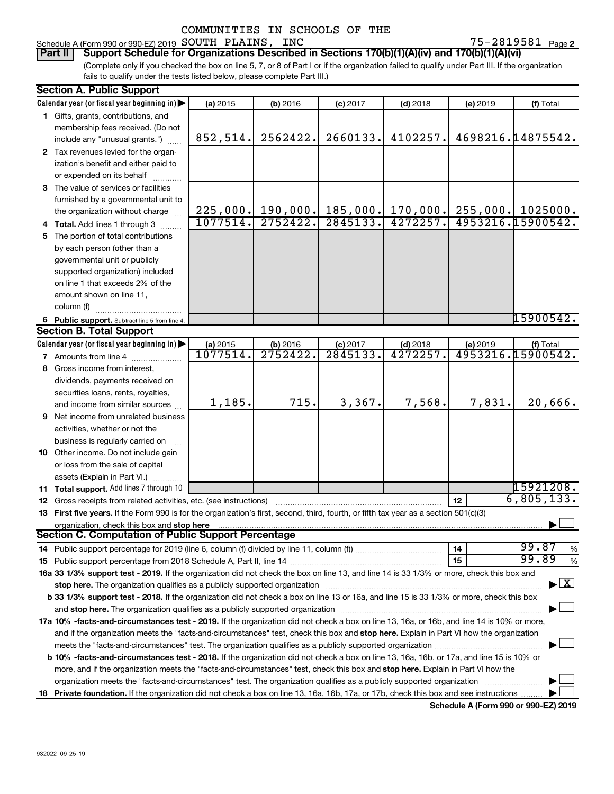## Schedule A (Form 990 or 990-EZ) 2019 Page SOUTH PLAINS, INC 75-2819581

75-2819581 Page 2

(Complete only if you checked the box on line 5, 7, or 8 of Part I or if the organization failed to qualify under Part III. If the organization fails to qualify under the tests listed below, please complete Part III.) **Part II Support Schedule for Organizations Described in Sections 170(b)(1)(A)(iv) and 170(b)(1)(A)(vi)**

| <b>Section A. Public Support</b>                                                                                                                                                                                               |                      |                                  |                       |                        |          |                                 |  |  |
|--------------------------------------------------------------------------------------------------------------------------------------------------------------------------------------------------------------------------------|----------------------|----------------------------------|-----------------------|------------------------|----------|---------------------------------|--|--|
| Calendar year (or fiscal year beginning in)                                                                                                                                                                                    | (a) 2015             | (b) 2016                         | $(c)$ 2017            | $(d)$ 2018             | (e) 2019 | (f) Total                       |  |  |
| 1 Gifts, grants, contributions, and                                                                                                                                                                                            |                      |                                  |                       |                        |          |                                 |  |  |
| membership fees received. (Do not                                                                                                                                                                                              |                      |                                  |                       |                        |          |                                 |  |  |
| include any "unusual grants.")                                                                                                                                                                                                 | 852,514.             | 2562422.                         | 2660133.              | 4102257.               |          | 4698216.14875542.               |  |  |
| 2 Tax revenues levied for the organ-                                                                                                                                                                                           |                      |                                  |                       |                        |          |                                 |  |  |
| ization's benefit and either paid to                                                                                                                                                                                           |                      |                                  |                       |                        |          |                                 |  |  |
| or expended on its behalf                                                                                                                                                                                                      |                      |                                  |                       |                        |          |                                 |  |  |
| 3 The value of services or facilities                                                                                                                                                                                          |                      |                                  |                       |                        |          |                                 |  |  |
| furnished by a governmental unit to                                                                                                                                                                                            |                      |                                  |                       |                        |          |                                 |  |  |
| the organization without charge                                                                                                                                                                                                |                      | $225,000$ . 190,000.             | 185,000.              | 170,000.               |          | $255,000.$ 1025000.             |  |  |
| 4 Total. Add lines 1 through 3                                                                                                                                                                                                 | 1077514.             | 2752422.                         | 2845133.              | 4272257.               |          | 4953216.15900542.               |  |  |
| 5 The portion of total contributions                                                                                                                                                                                           |                      |                                  |                       |                        |          |                                 |  |  |
| by each person (other than a                                                                                                                                                                                                   |                      |                                  |                       |                        |          |                                 |  |  |
| governmental unit or publicly                                                                                                                                                                                                  |                      |                                  |                       |                        |          |                                 |  |  |
| supported organization) included                                                                                                                                                                                               |                      |                                  |                       |                        |          |                                 |  |  |
| on line 1 that exceeds 2% of the                                                                                                                                                                                               |                      |                                  |                       |                        |          |                                 |  |  |
| amount shown on line 11,                                                                                                                                                                                                       |                      |                                  |                       |                        |          |                                 |  |  |
| column (f)                                                                                                                                                                                                                     |                      |                                  |                       |                        |          |                                 |  |  |
|                                                                                                                                                                                                                                |                      |                                  |                       |                        |          | 15900542.                       |  |  |
| 6 Public support. Subtract line 5 from line 4.<br><b>Section B. Total Support</b>                                                                                                                                              |                      |                                  |                       |                        |          |                                 |  |  |
| Calendar year (or fiscal year beginning in)                                                                                                                                                                                    |                      |                                  |                       |                        |          |                                 |  |  |
| 7 Amounts from line 4                                                                                                                                                                                                          | (a) 2015<br>1077514. | (b) 2016<br>$\overline{2752422}$ | $(c)$ 2017<br>2845133 | $(d)$ 2018<br>4272257. | (e) 2019 | (f) Total<br>4953216.15900542.  |  |  |
|                                                                                                                                                                                                                                |                      |                                  |                       |                        |          |                                 |  |  |
| 8 Gross income from interest,                                                                                                                                                                                                  |                      |                                  |                       |                        |          |                                 |  |  |
| dividends, payments received on                                                                                                                                                                                                |                      |                                  |                       |                        |          |                                 |  |  |
| securities loans, rents, royalties,                                                                                                                                                                                            | 1,185.               | 715.                             | 3,367.                | 7,568.                 | 7,831.   | 20,666.                         |  |  |
| and income from similar sources                                                                                                                                                                                                |                      |                                  |                       |                        |          |                                 |  |  |
| <b>9</b> Net income from unrelated business                                                                                                                                                                                    |                      |                                  |                       |                        |          |                                 |  |  |
| activities, whether or not the                                                                                                                                                                                                 |                      |                                  |                       |                        |          |                                 |  |  |
| business is regularly carried on                                                                                                                                                                                               |                      |                                  |                       |                        |          |                                 |  |  |
| 10 Other income. Do not include gain                                                                                                                                                                                           |                      |                                  |                       |                        |          |                                 |  |  |
| or loss from the sale of capital                                                                                                                                                                                               |                      |                                  |                       |                        |          |                                 |  |  |
| assets (Explain in Part VI.)                                                                                                                                                                                                   |                      |                                  |                       |                        |          |                                 |  |  |
| 11 Total support. Add lines 7 through 10                                                                                                                                                                                       |                      |                                  |                       |                        |          | 15921208.                       |  |  |
| <b>12</b> Gross receipts from related activities, etc. (see instructions)                                                                                                                                                      |                      |                                  |                       |                        | 12       | 6,805,133.                      |  |  |
| 13 First five years. If the Form 990 is for the organization's first, second, third, fourth, or fifth tax year as a section 501(c)(3)                                                                                          |                      |                                  |                       |                        |          |                                 |  |  |
| organization, check this box and stop here                                                                                                                                                                                     |                      |                                  |                       |                        |          |                                 |  |  |
| <b>Section C. Computation of Public Support Percentage</b>                                                                                                                                                                     |                      |                                  |                       |                        |          |                                 |  |  |
|                                                                                                                                                                                                                                |                      |                                  |                       |                        | 14       | 99.87<br>$\%$                   |  |  |
|                                                                                                                                                                                                                                |                      |                                  |                       |                        | 15       | 99.89<br>%                      |  |  |
| 16a 33 1/3% support test - 2019. If the organization did not check the box on line 13, and line 14 is 33 1/3% or more, check this box and                                                                                      |                      |                                  |                       |                        |          |                                 |  |  |
| stop here. The organization qualifies as a publicly supported organization manufactured content and the support of the state of the state of the state of the state of the state of the state of the state of the state of the |                      |                                  |                       |                        |          | $\blacktriangleright$ $\vert$ X |  |  |
| b 33 1/3% support test - 2018. If the organization did not check a box on line 13 or 16a, and line 15 is 33 1/3% or more, check this box                                                                                       |                      |                                  |                       |                        |          |                                 |  |  |
|                                                                                                                                                                                                                                |                      |                                  |                       |                        |          |                                 |  |  |
| 17a 10% -facts-and-circumstances test - 2019. If the organization did not check a box on line 13, 16a, or 16b, and line 14 is 10% or more,                                                                                     |                      |                                  |                       |                        |          |                                 |  |  |
| and if the organization meets the "facts-and-circumstances" test, check this box and stop here. Explain in Part VI how the organization                                                                                        |                      |                                  |                       |                        |          |                                 |  |  |
|                                                                                                                                                                                                                                |                      |                                  |                       |                        |          |                                 |  |  |
| <b>b 10%</b> -facts-and-circumstances test - 2018. If the organization did not check a box on line 13, 16a, 16b, or 17a, and line 15 is 10% or                                                                                 |                      |                                  |                       |                        |          |                                 |  |  |
| more, and if the organization meets the "facts-and-circumstances" test, check this box and stop here. Explain in Part VI how the                                                                                               |                      |                                  |                       |                        |          |                                 |  |  |
| organization meets the "facts-and-circumstances" test. The organization qualifies as a publicly supported organization                                                                                                         |                      |                                  |                       |                        |          |                                 |  |  |
| 18 Private foundation. If the organization did not check a box on line 13, 16a, 16b, 17a, or 17b, check this box and see instructions                                                                                          |                      |                                  |                       |                        |          |                                 |  |  |
|                                                                                                                                                                                                                                |                      |                                  |                       |                        |          |                                 |  |  |

**Schedule A (Form 990 or 990-EZ) 2019**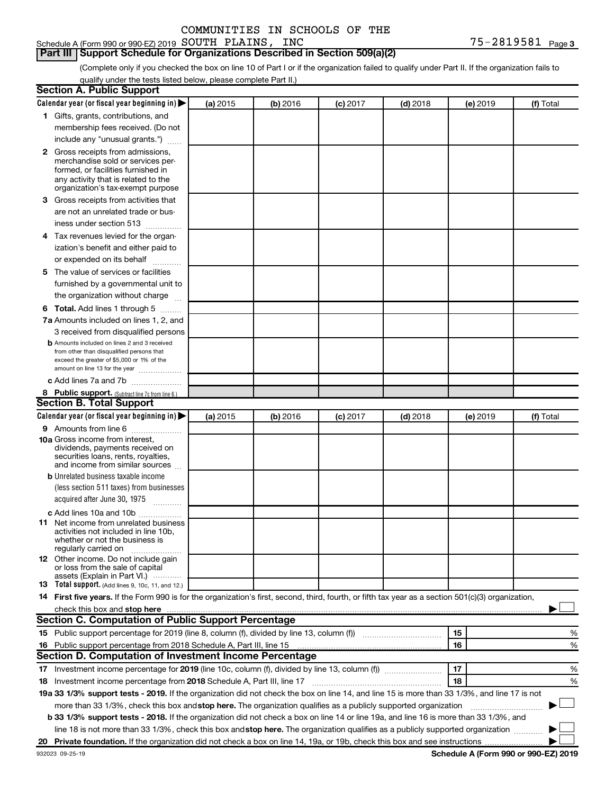### **Part III Support Schedule for Organizations Described in Section 509(a)(2)**

(Complete only if you checked the box on line 10 of Part I or if the organization failed to qualify under Part II. If the organization fails to qualify under the tests listed below, please complete Part II.)

| <b>Section A. Public Support</b>                                                                                                                                                                                                                                                                                                     |          |          |          |            |          |           |
|--------------------------------------------------------------------------------------------------------------------------------------------------------------------------------------------------------------------------------------------------------------------------------------------------------------------------------------|----------|----------|----------|------------|----------|-----------|
| Calendar year (or fiscal year beginning in)                                                                                                                                                                                                                                                                                          | (a) 2015 | (b) 2016 | (c) 2017 | $(d)$ 2018 | (e) 2019 | (f) Total |
| 1 Gifts, grants, contributions, and                                                                                                                                                                                                                                                                                                  |          |          |          |            |          |           |
| membership fees received. (Do not                                                                                                                                                                                                                                                                                                    |          |          |          |            |          |           |
| include any "unusual grants.")                                                                                                                                                                                                                                                                                                       |          |          |          |            |          |           |
| <b>2</b> Gross receipts from admissions,                                                                                                                                                                                                                                                                                             |          |          |          |            |          |           |
| merchandise sold or services per-                                                                                                                                                                                                                                                                                                    |          |          |          |            |          |           |
| formed, or facilities furnished in<br>any activity that is related to the                                                                                                                                                                                                                                                            |          |          |          |            |          |           |
| organization's tax-exempt purpose                                                                                                                                                                                                                                                                                                    |          |          |          |            |          |           |
| 3 Gross receipts from activities that                                                                                                                                                                                                                                                                                                |          |          |          |            |          |           |
| are not an unrelated trade or bus-                                                                                                                                                                                                                                                                                                   |          |          |          |            |          |           |
| iness under section 513                                                                                                                                                                                                                                                                                                              |          |          |          |            |          |           |
| 4 Tax revenues levied for the organ-                                                                                                                                                                                                                                                                                                 |          |          |          |            |          |           |
| ization's benefit and either paid to                                                                                                                                                                                                                                                                                                 |          |          |          |            |          |           |
| or expended on its behalf<br>.                                                                                                                                                                                                                                                                                                       |          |          |          |            |          |           |
| 5 The value of services or facilities                                                                                                                                                                                                                                                                                                |          |          |          |            |          |           |
| furnished by a governmental unit to                                                                                                                                                                                                                                                                                                  |          |          |          |            |          |           |
| the organization without charge                                                                                                                                                                                                                                                                                                      |          |          |          |            |          |           |
| <b>6 Total.</b> Add lines 1 through 5                                                                                                                                                                                                                                                                                                |          |          |          |            |          |           |
| 7a Amounts included on lines 1, 2, and                                                                                                                                                                                                                                                                                               |          |          |          |            |          |           |
| 3 received from disqualified persons                                                                                                                                                                                                                                                                                                 |          |          |          |            |          |           |
| <b>b</b> Amounts included on lines 2 and 3 received                                                                                                                                                                                                                                                                                  |          |          |          |            |          |           |
| from other than disqualified persons that                                                                                                                                                                                                                                                                                            |          |          |          |            |          |           |
| exceed the greater of \$5,000 or 1% of the<br>amount on line 13 for the year                                                                                                                                                                                                                                                         |          |          |          |            |          |           |
| c Add lines 7a and 7b                                                                                                                                                                                                                                                                                                                |          |          |          |            |          |           |
| 8 Public support. (Subtract line 7c from line 6.)                                                                                                                                                                                                                                                                                    |          |          |          |            |          |           |
| <b>Section B. Total Support</b>                                                                                                                                                                                                                                                                                                      |          |          |          |            |          |           |
| Calendar year (or fiscal year beginning in)                                                                                                                                                                                                                                                                                          | (a) 2015 | (b) 2016 | (c) 2017 | $(d)$ 2018 | (e) 2019 | (f) Total |
| <b>9</b> Amounts from line 6                                                                                                                                                                                                                                                                                                         |          |          |          |            |          |           |
| <b>10a</b> Gross income from interest,                                                                                                                                                                                                                                                                                               |          |          |          |            |          |           |
| dividends, payments received on                                                                                                                                                                                                                                                                                                      |          |          |          |            |          |           |
| securities loans, rents, royalties,<br>and income from similar sources                                                                                                                                                                                                                                                               |          |          |          |            |          |           |
| <b>b</b> Unrelated business taxable income                                                                                                                                                                                                                                                                                           |          |          |          |            |          |           |
| (less section 511 taxes) from businesses                                                                                                                                                                                                                                                                                             |          |          |          |            |          |           |
| acquired after June 30, 1975                                                                                                                                                                                                                                                                                                         |          |          |          |            |          |           |
|                                                                                                                                                                                                                                                                                                                                      |          |          |          |            |          |           |
| c Add lines 10a and 10b<br><b>11</b> Net income from unrelated business                                                                                                                                                                                                                                                              |          |          |          |            |          |           |
| activities not included in line 10b.                                                                                                                                                                                                                                                                                                 |          |          |          |            |          |           |
| whether or not the business is                                                                                                                                                                                                                                                                                                       |          |          |          |            |          |           |
| regularly carried on<br>12 Other income. Do not include gain                                                                                                                                                                                                                                                                         |          |          |          |            |          |           |
| or loss from the sale of capital                                                                                                                                                                                                                                                                                                     |          |          |          |            |          |           |
| assets (Explain in Part VI.)                                                                                                                                                                                                                                                                                                         |          |          |          |            |          |           |
| <b>13</b> Total support. (Add lines 9, 10c, 11, and 12.)                                                                                                                                                                                                                                                                             |          |          |          |            |          |           |
| 14 First five years. If the Form 990 is for the organization's first, second, third, fourth, or fifth tax year as a section 501(c)(3) organization,                                                                                                                                                                                  |          |          |          |            |          |           |
| check this box and stop here <b>construction and construction</b> and stop here <b>constructed</b> and stop here <b>constructed</b> and stop here <b>constructed</b> and <b>construction</b> and <b>construction</b> and <b>construction</b> and <b>construction</b> a<br><b>Section C. Computation of Public Support Percentage</b> |          |          |          |            |          |           |
|                                                                                                                                                                                                                                                                                                                                      |          |          |          |            |          |           |
| 15 Public support percentage for 2019 (line 8, column (f), divided by line 13, column (f) <i>manumeronominium</i>                                                                                                                                                                                                                    |          |          |          |            | 15       | %         |
| 16 Public support percentage from 2018 Schedule A, Part III, line 15                                                                                                                                                                                                                                                                 |          |          |          |            | 16       | %         |
| Section D. Computation of Investment Income Percentage                                                                                                                                                                                                                                                                               |          |          |          |            |          |           |
| 17 Investment income percentage for 2019 (line 10c, column (f), divided by line 13, column (f))                                                                                                                                                                                                                                      |          |          |          |            | 17       | %         |
| 18 Investment income percentage from 2018 Schedule A, Part III, line 17                                                                                                                                                                                                                                                              |          |          |          |            | 18       | %         |
| 19a 33 1/3% support tests - 2019. If the organization did not check the box on line 14, and line 15 is more than 33 1/3%, and line 17 is not                                                                                                                                                                                         |          |          |          |            |          |           |
| more than 33 1/3%, check this box and stop here. The organization qualifies as a publicly supported organization                                                                                                                                                                                                                     |          |          |          |            |          |           |
| b 33 1/3% support tests - 2018. If the organization did not check a box on line 14 or line 19a, and line 16 is more than 33 1/3%, and                                                                                                                                                                                                |          |          |          |            |          |           |
| line 18 is not more than 33 1/3%, check this box and stop here. The organization qualifies as a publicly supported organization                                                                                                                                                                                                      |          |          |          |            |          |           |
|                                                                                                                                                                                                                                                                                                                                      |          |          |          |            |          |           |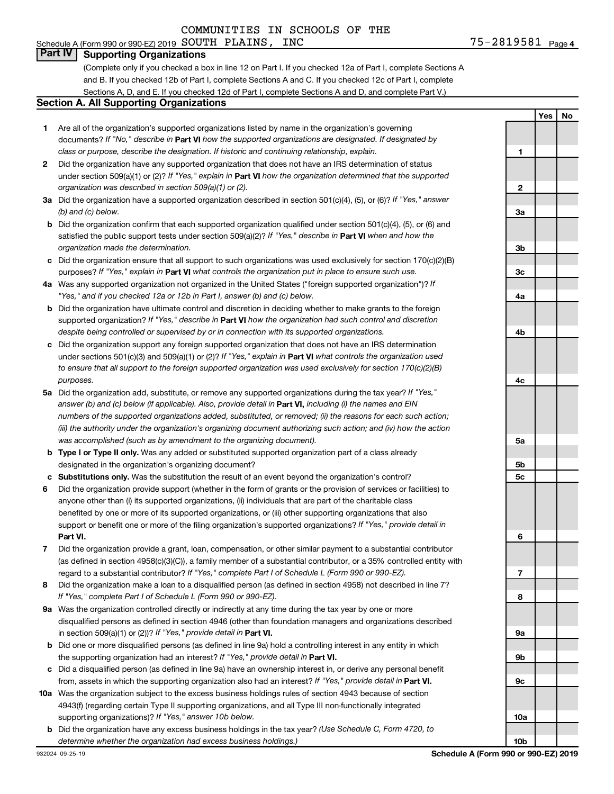#### 75-2819581 <sub>Page 4</sub> Schedule A (Form 990 or 990-EZ) 2019 Page SOUTH PLAINS, INC 75-2819581

## **Part IV Supporting Organizations**

(Complete only if you checked a box in line 12 on Part I. If you checked 12a of Part I, complete Sections A and B. If you checked 12b of Part I, complete Sections A and C. If you checked 12c of Part I, complete Sections A, D, and E. If you checked 12d of Part I, complete Sections A and D, and complete Part V.)

### **Section A. All Supporting Organizations**

- **1** Are all of the organization's supported organizations listed by name in the organization's governing documents? If "No," describe in Part VI how the supported organizations are designated. If designated by *class or purpose, describe the designation. If historic and continuing relationship, explain.*
- **2** Did the organization have any supported organization that does not have an IRS determination of status under section 509(a)(1) or (2)? If "Yes," explain in Part **VI** how the organization determined that the supported *organization was described in section 509(a)(1) or (2).*
- **3a** Did the organization have a supported organization described in section 501(c)(4), (5), or (6)? If "Yes," answer *(b) and (c) below.*
- **b** Did the organization confirm that each supported organization qualified under section 501(c)(4), (5), or (6) and satisfied the public support tests under section 509(a)(2)? If "Yes," describe in Part VI when and how the *organization made the determination.*
- **c** Did the organization ensure that all support to such organizations was used exclusively for section 170(c)(2)(B) purposes? If "Yes," explain in Part VI what controls the organization put in place to ensure such use.
- **4 a** *If* Was any supported organization not organized in the United States ("foreign supported organization")? *"Yes," and if you checked 12a or 12b in Part I, answer (b) and (c) below.*
- **b** Did the organization have ultimate control and discretion in deciding whether to make grants to the foreign supported organization? If "Yes," describe in Part VI how the organization had such control and discretion *despite being controlled or supervised by or in connection with its supported organizations.*
- **c** Did the organization support any foreign supported organization that does not have an IRS determination under sections 501(c)(3) and 509(a)(1) or (2)? If "Yes," explain in Part VI what controls the organization used *to ensure that all support to the foreign supported organization was used exclusively for section 170(c)(2)(B) purposes.*
- **5a** Did the organization add, substitute, or remove any supported organizations during the tax year? If "Yes," answer (b) and (c) below (if applicable). Also, provide detail in **Part VI,** including (i) the names and EIN *numbers of the supported organizations added, substituted, or removed; (ii) the reasons for each such action; (iii) the authority under the organization's organizing document authorizing such action; and (iv) how the action was accomplished (such as by amendment to the organizing document).*
- **b** Type I or Type II only. Was any added or substituted supported organization part of a class already designated in the organization's organizing document?
- **c Substitutions only.**  Was the substitution the result of an event beyond the organization's control?
- **6** Did the organization provide support (whether in the form of grants or the provision of services or facilities) to **Part VI.** support or benefit one or more of the filing organization's supported organizations? If "Yes," provide detail in anyone other than (i) its supported organizations, (ii) individuals that are part of the charitable class benefited by one or more of its supported organizations, or (iii) other supporting organizations that also
- **7** Did the organization provide a grant, loan, compensation, or other similar payment to a substantial contributor regard to a substantial contributor? If "Yes," complete Part I of Schedule L (Form 990 or 990-EZ). (as defined in section 4958(c)(3)(C)), a family member of a substantial contributor, or a 35% controlled entity with
- **8** Did the organization make a loan to a disqualified person (as defined in section 4958) not described in line 7? *If "Yes," complete Part I of Schedule L (Form 990 or 990-EZ).*
- **9 a** Was the organization controlled directly or indirectly at any time during the tax year by one or more in section 509(a)(1) or (2))? If "Yes," provide detail in **Part VI.** disqualified persons as defined in section 4946 (other than foundation managers and organizations described
- **b** Did one or more disqualified persons (as defined in line 9a) hold a controlling interest in any entity in which the supporting organization had an interest? If "Yes," provide detail in Part VI.
- **c** Did a disqualified person (as defined in line 9a) have an ownership interest in, or derive any personal benefit from, assets in which the supporting organization also had an interest? If "Yes," provide detail in Part VI.
- **10 a** Was the organization subject to the excess business holdings rules of section 4943 because of section supporting organizations)? If "Yes," answer 10b below. 4943(f) (regarding certain Type II supporting organizations, and all Type III non-functionally integrated
- **b** Did the organization have any excess business holdings in the tax year? (Use Schedule C, Form 4720, to *determine whether the organization had excess business holdings.)*

**Yes No 1 2 3a 3b 3c 4a 4b 4c 5a 5b 5c 6 7 8 9a 9b 9c 10a 10b**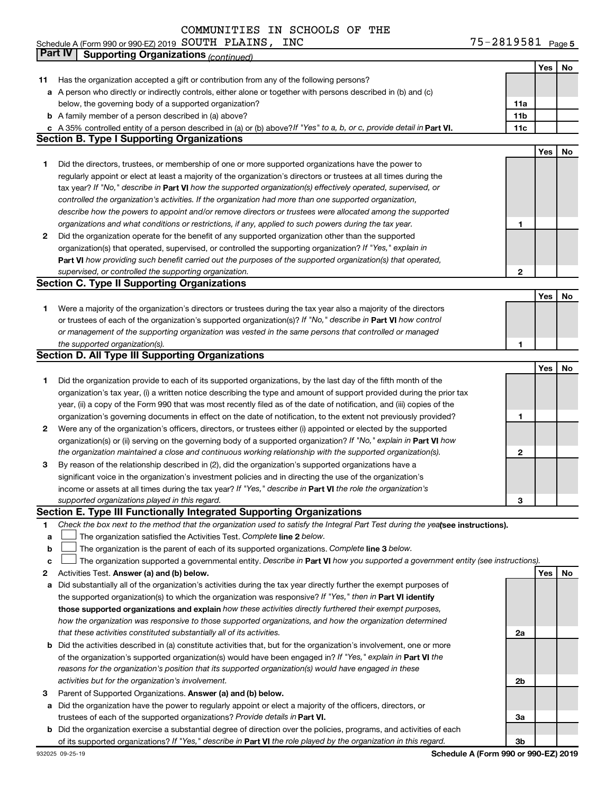75-2819581 Page 5 Schedule A (Form 990 or 990-EZ) 2019 SOUTH PLAINS,INC / 5-Z8IY58I Page SOUTH PLAINS, INC<br>
75-2819581

|    | Part IV<br><b>Supporting Organizations (continued)</b>                                                                                                                                                                                 |                 |            |    |
|----|----------------------------------------------------------------------------------------------------------------------------------------------------------------------------------------------------------------------------------------|-----------------|------------|----|
|    |                                                                                                                                                                                                                                        |                 | Yes        | No |
| 11 | Has the organization accepted a gift or contribution from any of the following persons?                                                                                                                                                |                 |            |    |
|    | a A person who directly or indirectly controls, either alone or together with persons described in (b) and (c)                                                                                                                         |                 |            |    |
|    | below, the governing body of a supported organization?                                                                                                                                                                                 | 11a             |            |    |
|    | <b>b</b> A family member of a person described in (a) above?                                                                                                                                                                           | 11 <sub>b</sub> |            |    |
|    | c A 35% controlled entity of a person described in (a) or (b) above? If "Yes" to a, b, or c, provide detail in Part VI.                                                                                                                | 11c             |            |    |
|    | <b>Section B. Type I Supporting Organizations</b>                                                                                                                                                                                      |                 |            |    |
|    |                                                                                                                                                                                                                                        |                 | Yes        | No |
| 1. | Did the directors, trustees, or membership of one or more supported organizations have the power to                                                                                                                                    |                 |            |    |
|    | regularly appoint or elect at least a majority of the organization's directors or trustees at all times during the                                                                                                                     |                 |            |    |
|    | tax year? If "No," describe in Part VI how the supported organization(s) effectively operated, supervised, or                                                                                                                          |                 |            |    |
|    | controlled the organization's activities. If the organization had more than one supported organization,                                                                                                                                |                 |            |    |
|    | describe how the powers to appoint and/or remove directors or trustees were allocated among the supported                                                                                                                              |                 |            |    |
|    | organizations and what conditions or restrictions, if any, applied to such powers during the tax year.                                                                                                                                 | 1               |            |    |
| 2  | Did the organization operate for the benefit of any supported organization other than the supported                                                                                                                                    |                 |            |    |
|    | organization(s) that operated, supervised, or controlled the supporting organization? If "Yes," explain in                                                                                                                             |                 |            |    |
|    | Part VI how providing such benefit carried out the purposes of the supported organization(s) that operated,                                                                                                                            |                 |            |    |
|    | supervised, or controlled the supporting organization.                                                                                                                                                                                 | 2               |            |    |
|    | <b>Section C. Type II Supporting Organizations</b>                                                                                                                                                                                     |                 |            |    |
|    |                                                                                                                                                                                                                                        |                 | <b>Yes</b> | No |
| 1. | Were a majority of the organization's directors or trustees during the tax year also a majority of the directors                                                                                                                       |                 |            |    |
|    | or trustees of each of the organization's supported organization(s)? If "No," describe in Part VI how control                                                                                                                          |                 |            |    |
|    | or management of the supporting organization was vested in the same persons that controlled or managed                                                                                                                                 |                 |            |    |
|    | the supported organization(s).                                                                                                                                                                                                         | 1               |            |    |
|    | <b>Section D. All Type III Supporting Organizations</b>                                                                                                                                                                                |                 |            |    |
|    |                                                                                                                                                                                                                                        |                 | Yes        | No |
| 1  | Did the organization provide to each of its supported organizations, by the last day of the fifth month of the                                                                                                                         |                 |            |    |
|    | organization's tax year, (i) a written notice describing the type and amount of support provided during the prior tax                                                                                                                  |                 |            |    |
|    | year, (ii) a copy of the Form 990 that was most recently filed as of the date of notification, and (iii) copies of the                                                                                                                 |                 |            |    |
|    | organization's governing documents in effect on the date of notification, to the extent not previously provided?                                                                                                                       | 1               |            |    |
| 2  |                                                                                                                                                                                                                                        |                 |            |    |
|    | Were any of the organization's officers, directors, or trustees either (i) appointed or elected by the supported<br>organization(s) or (ii) serving on the governing body of a supported organization? If "No," explain in Part VI how |                 |            |    |
|    |                                                                                                                                                                                                                                        | $\mathbf{2}$    |            |    |
|    | the organization maintained a close and continuous working relationship with the supported organization(s).                                                                                                                            |                 |            |    |
| 3  | By reason of the relationship described in (2), did the organization's supported organizations have a                                                                                                                                  |                 |            |    |
|    | significant voice in the organization's investment policies and in directing the use of the organization's<br>income or assets at all times during the tax year? If "Yes," describe in Part VI the role the organization's             |                 |            |    |
|    | supported organizations played in this regard.                                                                                                                                                                                         |                 |            |    |
|    | Section E. Type III Functionally Integrated Supporting Organizations                                                                                                                                                                   | 3               |            |    |
| 1  | Check the box next to the method that the organization used to satisfy the Integral Part Test during the yealsee instructions).                                                                                                        |                 |            |    |
| а  | The organization satisfied the Activities Test. Complete line 2 below.                                                                                                                                                                 |                 |            |    |
| b  | The organization is the parent of each of its supported organizations. Complete line 3 below.                                                                                                                                          |                 |            |    |
| с  | The organization supported a governmental entity. Describe in Part VI how you supported a government entity (see instructions).                                                                                                        |                 |            |    |
| 2  | Activities Test. Answer (a) and (b) below.                                                                                                                                                                                             |                 | Yes        | No |
| а  | Did substantially all of the organization's activities during the tax year directly further the exempt purposes of                                                                                                                     |                 |            |    |
|    | the supported organization(s) to which the organization was responsive? If "Yes," then in Part VI identify                                                                                                                             |                 |            |    |
|    | those supported organizations and explain how these activities directly furthered their exempt purposes,                                                                                                                               |                 |            |    |
|    | how the organization was responsive to those supported organizations, and how the organization determined                                                                                                                              |                 |            |    |
|    | that these activities constituted substantially all of its activities.                                                                                                                                                                 | 2a              |            |    |
| b  | Did the activities described in (a) constitute activities that, but for the organization's involvement, one or more                                                                                                                    |                 |            |    |
|    | of the organization's supported organization(s) would have been engaged in? If "Yes," explain in Part VI the                                                                                                                           |                 |            |    |
|    | reasons for the organization's position that its supported organization(s) would have engaged in these                                                                                                                                 |                 |            |    |
|    | activities but for the organization's involvement.                                                                                                                                                                                     | 2b              |            |    |
| 3  | Parent of Supported Organizations. Answer (a) and (b) below.                                                                                                                                                                           |                 |            |    |
|    | Did the organization have the power to regularly appoint or elect a majority of the officers, directors, or                                                                                                                            |                 |            |    |
| а  | trustees of each of the supported organizations? Provide details in Part VI.                                                                                                                                                           | За              |            |    |
|    | <b>b</b> Did the organization exercise a substantial degree of direction over the policies, programs, and activities of each                                                                                                           |                 |            |    |
|    | of its supported organizations? If "Yes," describe in Part VI the role played by the organization in this regard.                                                                                                                      | 3b              |            |    |
|    |                                                                                                                                                                                                                                        |                 |            |    |

**Schedule A (Form 990 or 990-EZ) 2019**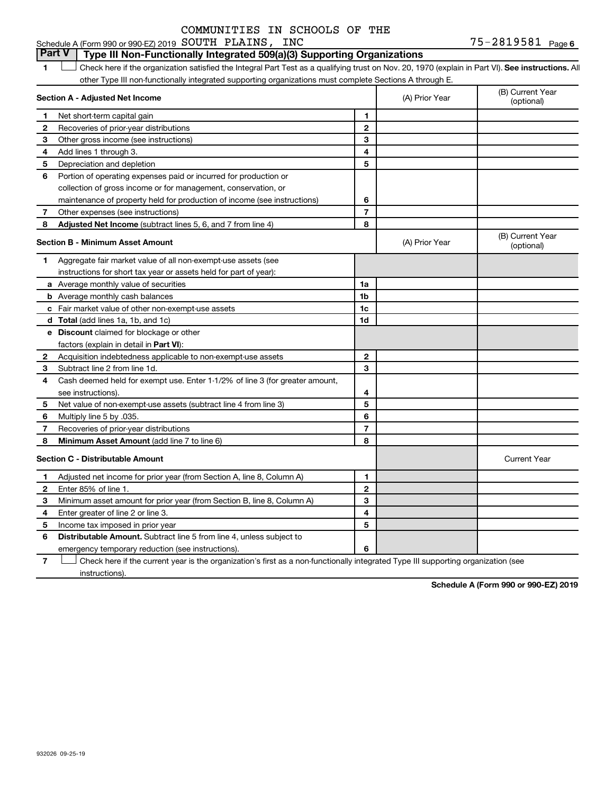#### **1 Lett** Check here if the organization satisfied the Integral Part Test as a qualifying trust on Nov. 20, 1970 (explain in Part VI). See instructions. All **Section A - Adjusted Net Income 1 2 3 4 5 6 7 8 1 2 3 4 5 6 7 Adjusted Net Income** (subtract lines 5, 6, and 7 from line 4) **8 8 Section B - Minimum Asset Amount 1 2 3 4 5 6 7 8 a** Average monthly value of securities **b** Average monthly cash balances **c** Fair market value of other non-exempt-use assets **d Total**  (add lines 1a, 1b, and 1c) **e Discount** claimed for blockage or other **1a 1b 1c 1d 2 3 4 5 6 7 8** factors (explain in detail in Part VI): **Minimum Asset Amount**  (add line 7 to line 6) **Section C - Distributable Amount 1 2 3 4 5 6 1 2 3 4 5 6** Distributable Amount. Subtract line 5 from line 4, unless subject to other Type III non-functionally integrated supporting organizations must complete Sections A through E. (B) Current Year<br>(optional) (A) Prior Year Net short-term capital gain Recoveries of prior-year distributions Other gross income (see instructions) Add lines 1 through 3. Depreciation and depletion Portion of operating expenses paid or incurred for production or collection of gross income or for management, conservation, or maintenance of property held for production of income (see instructions) Other expenses (see instructions) (B) Current Year  $(A)$  Prior Year  $\left\{\n\begin{array}{ccc}\n\end{array}\n\right\}$  (optional) Aggregate fair market value of all non-exempt-use assets (see instructions for short tax year or assets held for part of year): Acquisition indebtedness applicable to non-exempt-use assets Subtract line 2 from line 1d. Cash deemed held for exempt use. Enter 1-1/2% of line 3 (for greater amount, see instructions). Net value of non-exempt-use assets (subtract line 4 from line 3) Multiply line 5 by .035. Recoveries of prior-year distributions Current Year Adjusted net income for prior year (from Section A, line 8, Column A) Enter 85% of line 1. Minimum asset amount for prior year (from Section B, line 8, Column A) Enter greater of line 2 or line 3. Income tax imposed in prior year emergency temporary reduction (see instructions). **Part V Type III Non-Functionally Integrated 509(a)(3) Supporting Organizations**   $\Box$

**7** Check here if the current year is the organization's first as a non-functionally integrated Type III supporting organization (see † instructions).

**Schedule A (Form 990 or 990-EZ) 2019**

## Schedule A (Form 990 or 990-EZ) 2019 Page SOUTH PLAINS, INC 75-2819581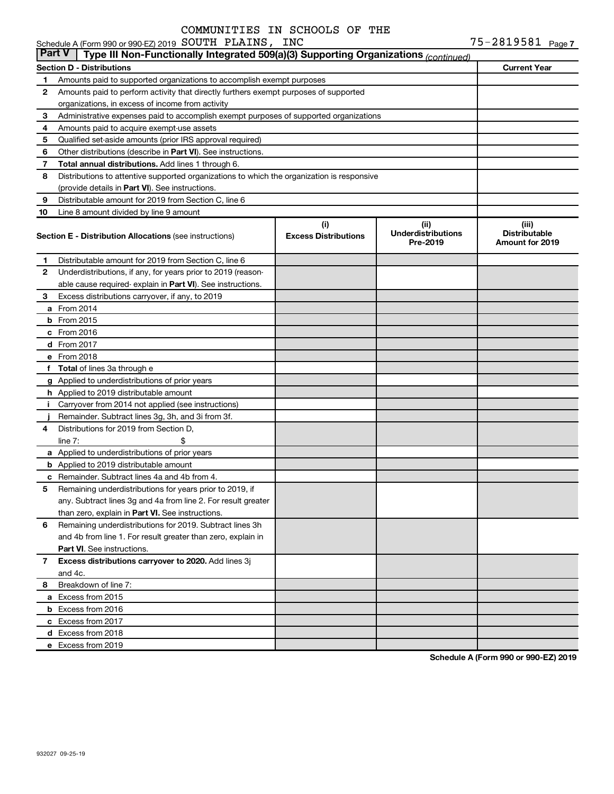| <b>Part V</b> | Type III Non-Functionally Integrated 509(a)(3) Supporting Organizations (continued)        |                                               |                                                         |                     |
|---------------|--------------------------------------------------------------------------------------------|-----------------------------------------------|---------------------------------------------------------|---------------------|
|               | <b>Section D - Distributions</b>                                                           |                                               |                                                         | <b>Current Year</b> |
| 1.            | Amounts paid to supported organizations to accomplish exempt purposes                      |                                               |                                                         |                     |
| 2             | Amounts paid to perform activity that directly furthers exempt purposes of supported       |                                               |                                                         |                     |
|               | organizations, in excess of income from activity                                           |                                               |                                                         |                     |
| 3             | Administrative expenses paid to accomplish exempt purposes of supported organizations      |                                               |                                                         |                     |
| 4             | Amounts paid to acquire exempt-use assets                                                  |                                               |                                                         |                     |
| 5             | Qualified set-aside amounts (prior IRS approval required)                                  |                                               |                                                         |                     |
| 6             | Other distributions (describe in Part VI). See instructions.                               |                                               |                                                         |                     |
| 7             | <b>Total annual distributions.</b> Add lines 1 through 6.                                  |                                               |                                                         |                     |
| 8             | Distributions to attentive supported organizations to which the organization is responsive |                                               |                                                         |                     |
|               | (provide details in Part VI). See instructions.                                            |                                               |                                                         |                     |
| 9             | Distributable amount for 2019 from Section C, line 6                                       |                                               |                                                         |                     |
| 10            | Line 8 amount divided by line 9 amount                                                     | (i)                                           |                                                         |                     |
|               | <b>Section E - Distribution Allocations (see instructions)</b>                             | (ii)<br><b>Underdistributions</b><br>Pre-2019 | (iii)<br><b>Distributable</b><br><b>Amount for 2019</b> |                     |
| 1             | Distributable amount for 2019 from Section C, line 6                                       |                                               |                                                         |                     |
| 2             | Underdistributions, if any, for years prior to 2019 (reason-                               |                                               |                                                         |                     |
|               | able cause required- explain in <b>Part VI</b> ). See instructions.                        |                                               |                                                         |                     |
| 3             | Excess distributions carryover, if any, to 2019                                            |                                               |                                                         |                     |
|               | <b>a</b> From 2014                                                                         |                                               |                                                         |                     |
|               | <b>b</b> From 2015                                                                         |                                               |                                                         |                     |
|               | c From 2016                                                                                |                                               |                                                         |                     |
|               | d From 2017                                                                                |                                               |                                                         |                     |
|               | e From 2018                                                                                |                                               |                                                         |                     |
|               | f Total of lines 3a through e                                                              |                                               |                                                         |                     |
|               | g Applied to underdistributions of prior years                                             |                                               |                                                         |                     |
|               | <b>h</b> Applied to 2019 distributable amount                                              |                                               |                                                         |                     |
|               | i Carryover from 2014 not applied (see instructions)                                       |                                               |                                                         |                     |
|               | Remainder. Subtract lines 3g, 3h, and 3i from 3f.                                          |                                               |                                                         |                     |
| 4             | Distributions for 2019 from Section D,                                                     |                                               |                                                         |                     |
|               | \$<br>$line 7$ :                                                                           |                                               |                                                         |                     |
|               | a Applied to underdistributions of prior years                                             |                                               |                                                         |                     |
|               | <b>b</b> Applied to 2019 distributable amount                                              |                                               |                                                         |                     |
|               | <b>c</b> Remainder. Subtract lines 4a and 4b from 4.                                       |                                               |                                                         |                     |
| 5             | Remaining underdistributions for years prior to 2019, if                                   |                                               |                                                         |                     |
|               | any. Subtract lines 3g and 4a from line 2. For result greater                              |                                               |                                                         |                     |
|               | than zero, explain in Part VI. See instructions.                                           |                                               |                                                         |                     |
| 6             | Remaining underdistributions for 2019. Subtract lines 3h                                   |                                               |                                                         |                     |
|               | and 4b from line 1. For result greater than zero, explain in                               |                                               |                                                         |                     |
|               | <b>Part VI.</b> See instructions.                                                          |                                               |                                                         |                     |
| 7             | Excess distributions carryover to 2020. Add lines 3j                                       |                                               |                                                         |                     |
|               | and 4c.                                                                                    |                                               |                                                         |                     |
| 8             | Breakdown of line 7:                                                                       |                                               |                                                         |                     |
|               | a Excess from 2015                                                                         |                                               |                                                         |                     |
|               | <b>b</b> Excess from 2016                                                                  |                                               |                                                         |                     |
|               | c Excess from 2017                                                                         |                                               |                                                         |                     |
|               | d Excess from 2018                                                                         |                                               |                                                         |                     |
|               | e Excess from 2019                                                                         |                                               |                                                         |                     |

**Schedule A (Form 990 or 990-EZ) 2019**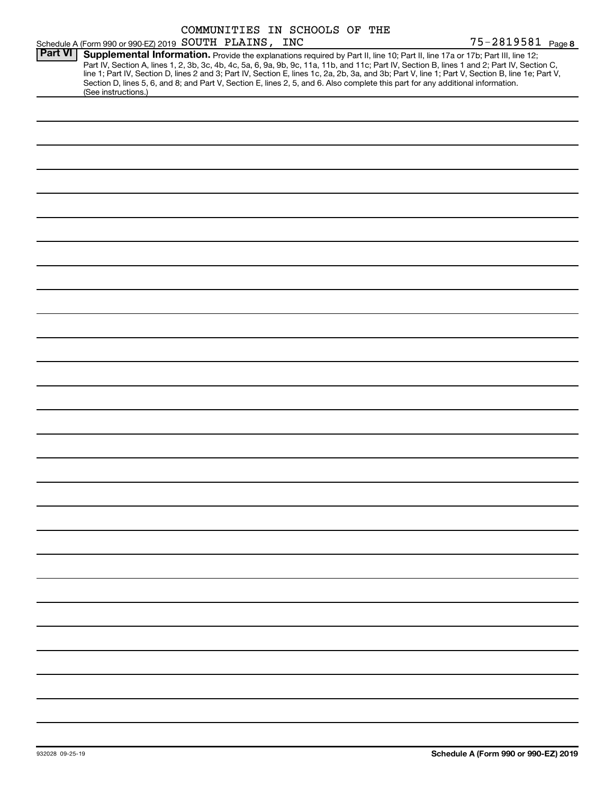|                |                                                                                                                                                                                                                                                                                                                                                                                                                                                                                                                                                                                             |  | COMMUNITIES IN SCHOOLS OF THE |                   |  |
|----------------|---------------------------------------------------------------------------------------------------------------------------------------------------------------------------------------------------------------------------------------------------------------------------------------------------------------------------------------------------------------------------------------------------------------------------------------------------------------------------------------------------------------------------------------------------------------------------------------------|--|-------------------------------|-------------------|--|
|                | Schedule A (Form 990 or 990-EZ) 2019 SOUTH PLAINS, INC                                                                                                                                                                                                                                                                                                                                                                                                                                                                                                                                      |  |                               | 75-2819581 Page 8 |  |
| <b>Part VI</b> | Supplemental Information. Provide the explanations required by Part II, line 10; Part II, line 17a or 17b; Part III, line 12;<br>Part IV, Section A, lines 1, 2, 3b, 3c, 4b, 4c, 5a, 6, 9a, 9b, 9c, 11a, 11b, and 11c; Part IV, Section B, lines 1 and 2; Part IV, Section C,<br>line 1; Part IV, Section D, lines 2 and 3; Part IV, Section E, lines 1c, 2a, 2b, 3a, and 3b; Part V, line 1; Part V, Section B, line 1e; Part V,<br>Section D, lines 5, 6, and 8; and Part V, Section E, lines 2, 5, and 6. Also complete this part for any additional information.<br>(See instructions.) |  |                               |                   |  |
|                |                                                                                                                                                                                                                                                                                                                                                                                                                                                                                                                                                                                             |  |                               |                   |  |
|                |                                                                                                                                                                                                                                                                                                                                                                                                                                                                                                                                                                                             |  |                               |                   |  |
|                |                                                                                                                                                                                                                                                                                                                                                                                                                                                                                                                                                                                             |  |                               |                   |  |
|                |                                                                                                                                                                                                                                                                                                                                                                                                                                                                                                                                                                                             |  |                               |                   |  |
|                |                                                                                                                                                                                                                                                                                                                                                                                                                                                                                                                                                                                             |  |                               |                   |  |
|                |                                                                                                                                                                                                                                                                                                                                                                                                                                                                                                                                                                                             |  |                               |                   |  |
|                |                                                                                                                                                                                                                                                                                                                                                                                                                                                                                                                                                                                             |  |                               |                   |  |
|                |                                                                                                                                                                                                                                                                                                                                                                                                                                                                                                                                                                                             |  |                               |                   |  |
|                |                                                                                                                                                                                                                                                                                                                                                                                                                                                                                                                                                                                             |  |                               |                   |  |
|                |                                                                                                                                                                                                                                                                                                                                                                                                                                                                                                                                                                                             |  |                               |                   |  |
|                |                                                                                                                                                                                                                                                                                                                                                                                                                                                                                                                                                                                             |  |                               |                   |  |
|                |                                                                                                                                                                                                                                                                                                                                                                                                                                                                                                                                                                                             |  |                               |                   |  |
|                |                                                                                                                                                                                                                                                                                                                                                                                                                                                                                                                                                                                             |  |                               |                   |  |
|                |                                                                                                                                                                                                                                                                                                                                                                                                                                                                                                                                                                                             |  |                               |                   |  |
|                |                                                                                                                                                                                                                                                                                                                                                                                                                                                                                                                                                                                             |  |                               |                   |  |
|                |                                                                                                                                                                                                                                                                                                                                                                                                                                                                                                                                                                                             |  |                               |                   |  |
|                |                                                                                                                                                                                                                                                                                                                                                                                                                                                                                                                                                                                             |  |                               |                   |  |
|                |                                                                                                                                                                                                                                                                                                                                                                                                                                                                                                                                                                                             |  |                               |                   |  |
|                |                                                                                                                                                                                                                                                                                                                                                                                                                                                                                                                                                                                             |  |                               |                   |  |
|                |                                                                                                                                                                                                                                                                                                                                                                                                                                                                                                                                                                                             |  |                               |                   |  |
|                |                                                                                                                                                                                                                                                                                                                                                                                                                                                                                                                                                                                             |  |                               |                   |  |
|                |                                                                                                                                                                                                                                                                                                                                                                                                                                                                                                                                                                                             |  |                               |                   |  |
|                |                                                                                                                                                                                                                                                                                                                                                                                                                                                                                                                                                                                             |  |                               |                   |  |
|                |                                                                                                                                                                                                                                                                                                                                                                                                                                                                                                                                                                                             |  |                               |                   |  |
|                |                                                                                                                                                                                                                                                                                                                                                                                                                                                                                                                                                                                             |  |                               |                   |  |
|                |                                                                                                                                                                                                                                                                                                                                                                                                                                                                                                                                                                                             |  |                               |                   |  |
|                |                                                                                                                                                                                                                                                                                                                                                                                                                                                                                                                                                                                             |  |                               |                   |  |
|                |                                                                                                                                                                                                                                                                                                                                                                                                                                                                                                                                                                                             |  |                               |                   |  |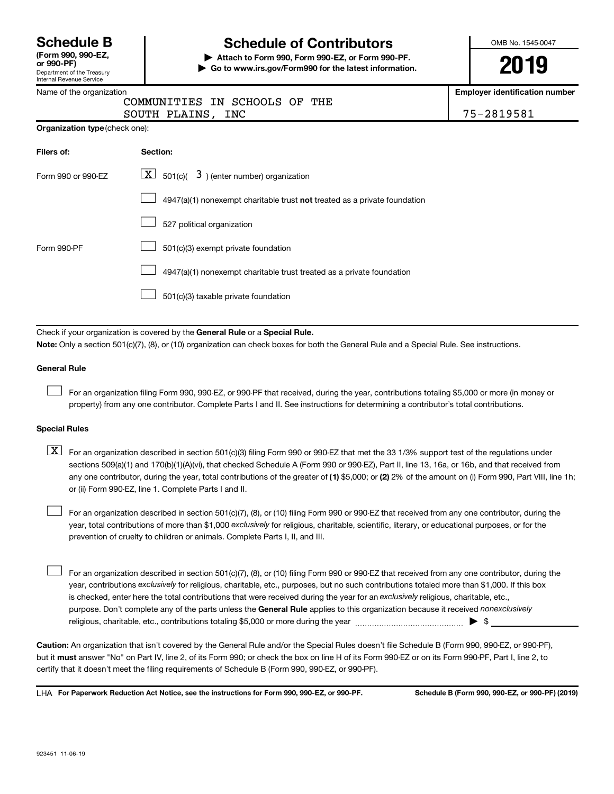| <b>Schedule B</b>  |
|--------------------|
| (Form 990, 990-EZ, |

Department of the Treasury Internal Revenue Service

## **Schedule of Contributors**

**or 990-PF) | Attach to Form 990, Form 990-EZ, or Form 990-PF. | Go to www.irs.gov/Form990 for the latest information.** OMB No. 1545-0047

**2019**

**Employer identification number**

**Organization type** (check one):

SOUTH PLAINS, INC 75-2819581

| Filers of:         | <b>Section:</b>                                                                    |
|--------------------|------------------------------------------------------------------------------------|
| Form 990 or 990-EZ | $\lfloor \underline{X} \rfloor$ 501(c)( 3) (enter number) organization             |
|                    | $4947(a)(1)$ nonexempt charitable trust <b>not</b> treated as a private foundation |
|                    | 527 political organization                                                         |
| Form 990-PF        | 501(c)(3) exempt private foundation                                                |
|                    | 4947(a)(1) nonexempt charitable trust treated as a private foundation              |
|                    | 501(c)(3) taxable private foundation                                               |

Check if your organization is covered by the General Rule or a Special Rule. **Note:**  Only a section 501(c)(7), (8), or (10) organization can check boxes for both the General Rule and a Special Rule. See instructions.

### **General Rule**

 $\Box$ 

For an organization filing Form 990, 990-EZ, or 990-PF that received, during the year, contributions totaling \$5,000 or more (in money or property) from any one contributor. Complete Parts I and II. See instructions for determining a contributor's total contributions.

### **Special Rules**

any one contributor, during the year, total contributions of the greater of (1) \$5,000; or (2) 2% of the amount on (i) Form 990, Part VIII, line 1h;  $\boxed{\text{X}}$  For an organization described in section 501(c)(3) filing Form 990 or 990-EZ that met the 33 1/3% support test of the regulations under sections 509(a)(1) and 170(b)(1)(A)(vi), that checked Schedule A (Form 990 or 990-EZ), Part II, line 13, 16a, or 16b, and that received from or (ii) Form 990-EZ, line 1. Complete Parts I and II.

year, total contributions of more than \$1,000 *exclusively* for religious, charitable, scientific, literary, or educational purposes, or for the For an organization described in section 501(c)(7), (8), or (10) filing Form 990 or 990-EZ that received from any one contributor, during the prevention of cruelty to children or animals. Complete Parts I, II, and III.  $\Box$ 

purpose. Don't complete any of the parts unless the General Rule applies to this organization because it received nonexclusively year, contributions exclusively for religious, charitable, etc., purposes, but no such contributions totaled more than \$1,000. If this box is checked, enter here the total contributions that were received during the year for an exclusively religious, charitable, etc., For an organization described in section 501(c)(7), (8), or (10) filing Form 990 or 990-EZ that received from any one contributor, during the religious, charitable, etc., contributions totaling \$5,000 or more during the year  $\ldots$  $\ldots$  $\ldots$  $\ldots$  $\ldots$  $\ldots$  $\Box$ 

**Caution:**  An organization that isn't covered by the General Rule and/or the Special Rules doesn't file Schedule B (Form 990, 990-EZ, or 990-PF),  **must** but it answer "No" on Part IV, line 2, of its Form 990; or check the box on line H of its Form 990-EZ or on its Form 990-PF, Part I, line 2, to certify that it doesn't meet the filing requirements of Schedule B (Form 990, 990-EZ, or 990-PF).

**For Paperwork Reduction Act Notice, see the instructions for Form 990, 990-EZ, or 990-PF. Schedule B (Form 990, 990-EZ, or 990-PF) (2019)** LHA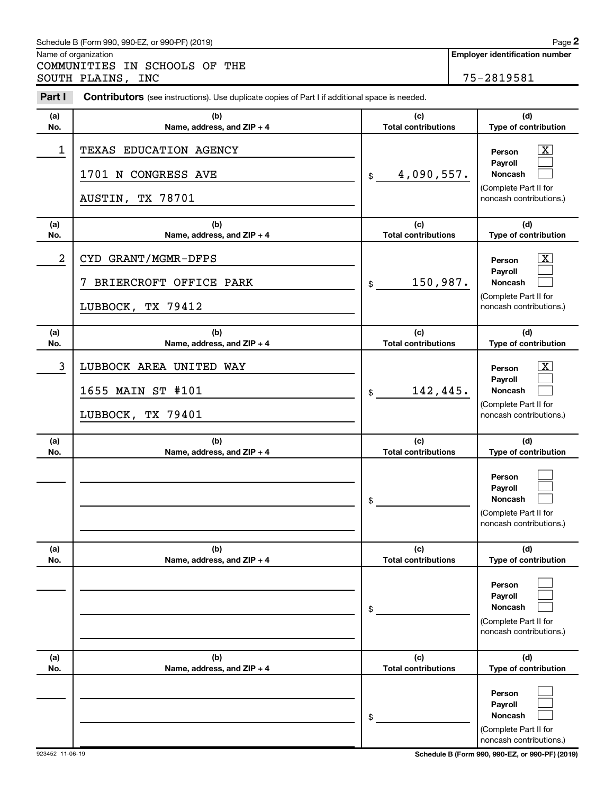### Schedule B (Form 990, 990-EZ, or 990-PF) (2019)

Name of organization

COMMUNITIES IN SCHOOLS OF THE SOUTH PLAINS, INC 75-2819581

| Part I     | <b>Contributors</b> (see instructions). Use duplicate copies of Part I if additional space is needed. |                                   |                                                                                                                 |
|------------|-------------------------------------------------------------------------------------------------------|-----------------------------------|-----------------------------------------------------------------------------------------------------------------|
| (a)        | (b)                                                                                                   | (c)                               | (d)                                                                                                             |
| No.        | Name, address, and ZIP + 4                                                                            | <b>Total contributions</b>        | Type of contribution                                                                                            |
| 1          | TEXAS EDUCATION AGENCY<br>1701 N CONGRESS AVE<br>AUSTIN, TX 78701                                     | 4,090,557.<br>\$                  | $\boxed{\textbf{X}}$<br>Person<br>Payroll<br>Noncash<br>(Complete Part II for<br>noncash contributions.)        |
| (a)<br>No. | (b)<br>Name, address, and ZIP + 4                                                                     | (c)<br><b>Total contributions</b> | (d)<br>Type of contribution                                                                                     |
| 2          | CYD GRANT/MGMR-DFPS<br>BRIERCROFT OFFICE PARK<br>7<br>LUBBOCK, TX 79412                               | 150,987.<br>\$                    | $\boxed{\text{X}}$<br>Person<br>Payroll<br>Noncash<br>(Complete Part II for<br>noncash contributions.)          |
| (a)<br>No. | (b)<br>Name, address, and ZIP + 4                                                                     | (c)<br><b>Total contributions</b> | (d)<br>Type of contribution                                                                                     |
| 3          | LUBBOCK AREA UNITED WAY<br>1655 MAIN ST #101<br>LUBBOCK, TX 79401                                     | 142,445.<br>\$                    | $\boxed{\textbf{X}}$<br>Person<br>Payroll<br>Noncash<br>(Complete Part II for<br>noncash contributions.)        |
| (a)        | (b)                                                                                                   | (c)                               | (d)                                                                                                             |
| No.        | Name, address, and ZIP + 4                                                                            | <b>Total contributions</b><br>\$  | Type of contribution<br>Person<br>Payroll<br>Noncash<br>(Complete Part II for<br>noncash contributions.)        |
| (a)<br>No. | (b)                                                                                                   | (c)<br><b>Total contributions</b> | (d)                                                                                                             |
|            | Name, address, and ZIP + 4                                                                            | \$                                | Type of contribution<br>Person<br>Payroll<br><b>Noncash</b><br>(Complete Part II for<br>noncash contributions.) |
| (a)<br>No. | (b)<br>Name, address, and ZIP + 4                                                                     | (c)<br><b>Total contributions</b> | (d)<br>Type of contribution                                                                                     |
|            |                                                                                                       | \$                                | Person<br>Payroll<br><b>Noncash</b><br>(Complete Part II for<br>noncash contributions.)                         |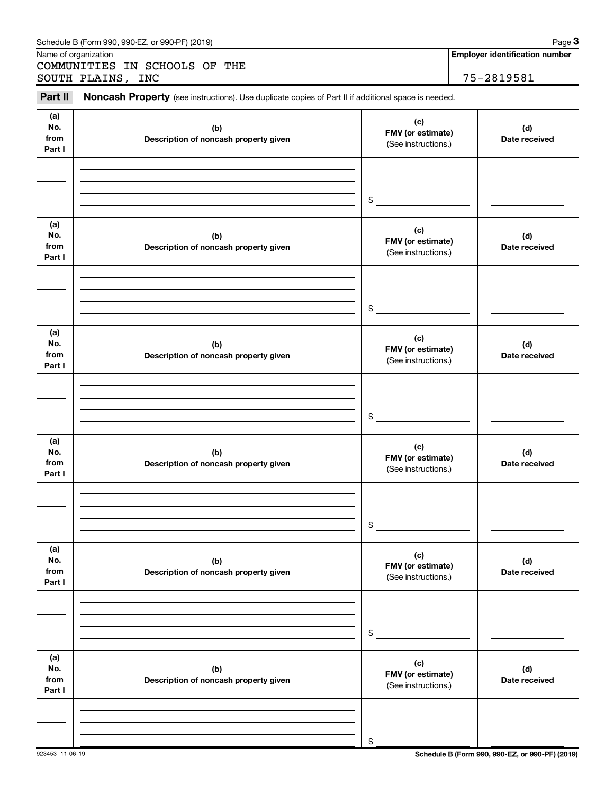|                              | Schedule B (Form 990, 990-EZ, or 990-PF) (2019)                                                     |                                                 | Page 3                                |
|------------------------------|-----------------------------------------------------------------------------------------------------|-------------------------------------------------|---------------------------------------|
|                              | Name of organization<br>COMMUNITIES IN SCHOOLS OF THE                                               |                                                 | <b>Employer identification number</b> |
|                              | SOUTH PLAINS, INC                                                                                   |                                                 | 75-2819581                            |
| Part II                      | Noncash Property (see instructions). Use duplicate copies of Part II if additional space is needed. |                                                 |                                       |
| (a)<br>No.<br>from<br>Part I | (b)<br>Description of noncash property given                                                        | (c)<br>FMV (or estimate)<br>(See instructions.) | (d)<br>Date received                  |
|                              |                                                                                                     | \$                                              |                                       |
| (a)<br>No.<br>from<br>Part I | (b)<br>Description of noncash property given                                                        | (c)<br>FMV (or estimate)<br>(See instructions.) | (d)<br>Date received                  |
|                              |                                                                                                     | \$                                              |                                       |
| (a)<br>No.<br>from<br>Part I | (b)<br>Description of noncash property given                                                        | (c)<br>FMV (or estimate)<br>(See instructions.) | (d)<br>Date received                  |
|                              |                                                                                                     | \$                                              |                                       |
| (a)<br>No.<br>from<br>Part I | (b)<br>Description of noncash property given                                                        | (c)<br>FMV (or estimate)<br>(See instructions.) | (d)<br>Date received                  |
|                              |                                                                                                     | \$                                              |                                       |
| (a)<br>No.<br>from<br>Part I | (b)<br>Description of noncash property given                                                        | (c)<br>FMV (or estimate)<br>(See instructions.) | (d)<br>Date received                  |
|                              |                                                                                                     | \$                                              |                                       |
| (a)<br>No.<br>from<br>Part I | (b)<br>Description of noncash property given                                                        | (c)<br>FMV (or estimate)<br>(See instructions.) | (d)<br>Date received                  |
|                              |                                                                                                     | \$                                              |                                       |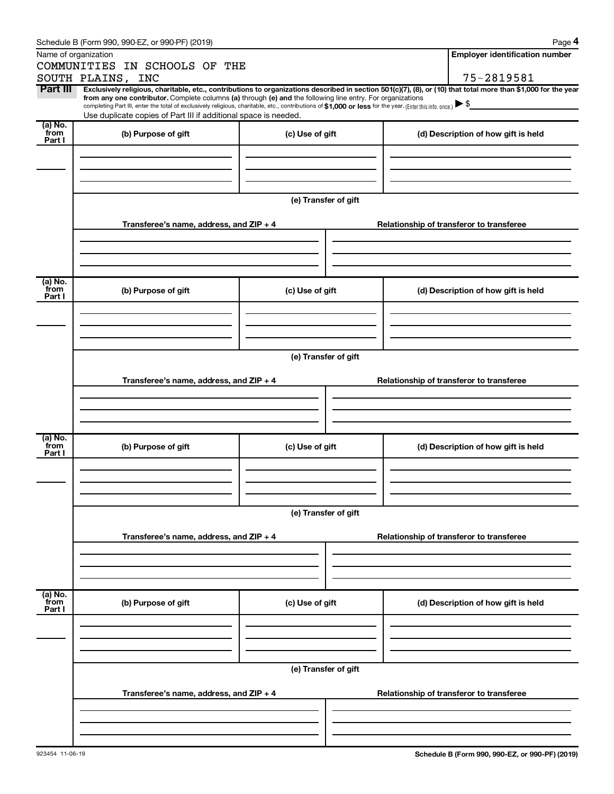|                           | Schedule B (Form 990, 990-EZ, or 990-PF) (2019)                                                                                                                                                                                                                                                                                                                                                                                          |                      |                                          |                                     | Page 4                                   |  |  |  |  |
|---------------------------|------------------------------------------------------------------------------------------------------------------------------------------------------------------------------------------------------------------------------------------------------------------------------------------------------------------------------------------------------------------------------------------------------------------------------------------|----------------------|------------------------------------------|-------------------------------------|------------------------------------------|--|--|--|--|
|                           | Name of organization                                                                                                                                                                                                                                                                                                                                                                                                                     |                      |                                          |                                     | <b>Employer identification number</b>    |  |  |  |  |
|                           | COMMUNITIES IN SCHOOLS OF THE                                                                                                                                                                                                                                                                                                                                                                                                            |                      |                                          |                                     |                                          |  |  |  |  |
|                           | SOUTH PLAINS, INC                                                                                                                                                                                                                                                                                                                                                                                                                        |                      |                                          |                                     | 75-2819581                               |  |  |  |  |
| Part III                  | Exclusively religious, charitable, etc., contributions to organizations described in section 501(c)(7), (8), or (10) that total more than \$1,000 for the year<br>from any one contributor. Complete columns (a) through (e) and the following line entry. For organizations<br>completing Part III, enter the total of exclusively religious, charitable, etc., contributions of \$1,000 or less for the year. (Enter this info. once.) |                      |                                          |                                     |                                          |  |  |  |  |
|                           | Use duplicate copies of Part III if additional space is needed.                                                                                                                                                                                                                                                                                                                                                                          |                      |                                          |                                     |                                          |  |  |  |  |
| (a) No.<br>from<br>Part I | (b) Purpose of gift                                                                                                                                                                                                                                                                                                                                                                                                                      | (c) Use of gift      |                                          | (d) Description of how gift is held |                                          |  |  |  |  |
|                           |                                                                                                                                                                                                                                                                                                                                                                                                                                          |                      |                                          |                                     |                                          |  |  |  |  |
|                           |                                                                                                                                                                                                                                                                                                                                                                                                                                          | (e) Transfer of gift |                                          |                                     |                                          |  |  |  |  |
|                           | Transferee's name, address, and ZIP + 4                                                                                                                                                                                                                                                                                                                                                                                                  |                      |                                          |                                     | Relationship of transferor to transferee |  |  |  |  |
| (a) No.                   |                                                                                                                                                                                                                                                                                                                                                                                                                                          |                      |                                          |                                     |                                          |  |  |  |  |
| from<br>Part I            | (b) Purpose of gift                                                                                                                                                                                                                                                                                                                                                                                                                      | (c) Use of gift      |                                          |                                     | (d) Description of how gift is held      |  |  |  |  |
|                           |                                                                                                                                                                                                                                                                                                                                                                                                                                          |                      |                                          |                                     |                                          |  |  |  |  |
|                           | (e) Transfer of gift                                                                                                                                                                                                                                                                                                                                                                                                                     |                      |                                          |                                     |                                          |  |  |  |  |
|                           | Transferee's name, address, and ZIP + 4                                                                                                                                                                                                                                                                                                                                                                                                  |                      | Relationship of transferor to transferee |                                     |                                          |  |  |  |  |
|                           |                                                                                                                                                                                                                                                                                                                                                                                                                                          |                      |                                          |                                     |                                          |  |  |  |  |
| (a) No.<br>from<br>Part I | (b) Purpose of gift                                                                                                                                                                                                                                                                                                                                                                                                                      | (c) Use of gift      |                                          |                                     | (d) Description of how gift is held      |  |  |  |  |
|                           |                                                                                                                                                                                                                                                                                                                                                                                                                                          |                      |                                          |                                     |                                          |  |  |  |  |
|                           |                                                                                                                                                                                                                                                                                                                                                                                                                                          | (e) Transfer of gift |                                          |                                     |                                          |  |  |  |  |
|                           | Transferee's name, address, and $ZIP + 4$                                                                                                                                                                                                                                                                                                                                                                                                |                      |                                          |                                     | Relationship of transferor to transferee |  |  |  |  |
|                           |                                                                                                                                                                                                                                                                                                                                                                                                                                          |                      |                                          |                                     |                                          |  |  |  |  |
| (a) No.<br>from<br>Part I | (b) Purpose of gift                                                                                                                                                                                                                                                                                                                                                                                                                      | (c) Use of gift      |                                          | (d) Description of how gift is held |                                          |  |  |  |  |
|                           |                                                                                                                                                                                                                                                                                                                                                                                                                                          |                      |                                          |                                     |                                          |  |  |  |  |
|                           | (e) Transfer of gift                                                                                                                                                                                                                                                                                                                                                                                                                     |                      |                                          |                                     |                                          |  |  |  |  |
|                           | Transferee's name, address, and ZIP + 4                                                                                                                                                                                                                                                                                                                                                                                                  |                      | Relationship of transferor to transferee |                                     |                                          |  |  |  |  |
|                           |                                                                                                                                                                                                                                                                                                                                                                                                                                          |                      |                                          |                                     |                                          |  |  |  |  |
|                           |                                                                                                                                                                                                                                                                                                                                                                                                                                          |                      |                                          |                                     |                                          |  |  |  |  |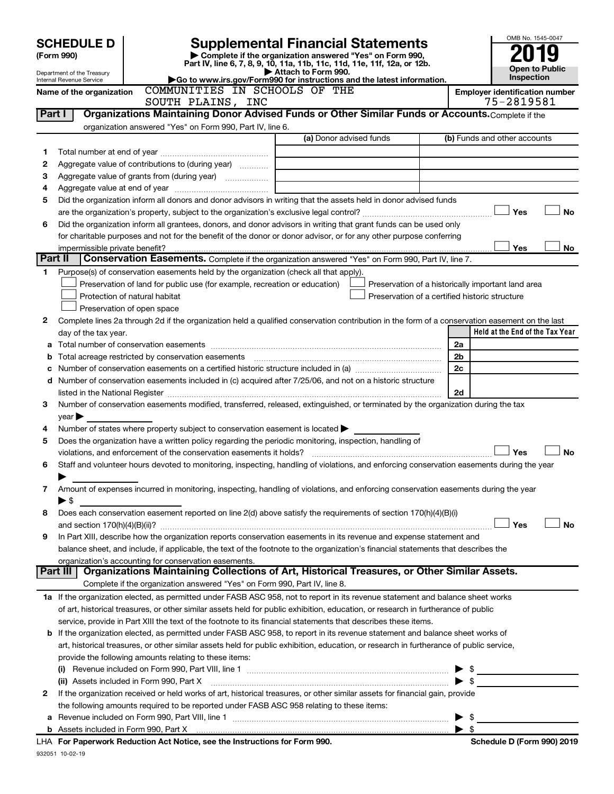|         | <b>SCHEDULE D</b>              | <b>Supplemental Financial Statements</b>                                                                                                                                                                                  | OMB No. 1545-0047                                        |  |  |                          |                                                     |  |
|---------|--------------------------------|---------------------------------------------------------------------------------------------------------------------------------------------------------------------------------------------------------------------------|----------------------------------------------------------|--|--|--------------------------|-----------------------------------------------------|--|
|         | (Form 990)                     |                                                                                                                                                                                                                           | Complete if the organization answered "Yes" on Form 990, |  |  |                          |                                                     |  |
|         | Department of the Treasury     | Part IV, line 6, 7, 8, 9, 10, 11a, 11b, 11c, 11d, 11e, 11f, 12a, or 12b.                                                                                                                                                  | Attach to Form 990.                                      |  |  |                          | <b>Open to Public</b>                               |  |
|         | Internal Revenue Service       | Go to www.irs.gov/Form990 for instructions and the latest information.                                                                                                                                                    |                                                          |  |  |                          | Inspection                                          |  |
|         | Name of the organization       | COMMUNITIES IN SCHOOLS OF THE                                                                                                                                                                                             |                                                          |  |  |                          | <b>Employer identification number</b><br>75-2819581 |  |
| Part I  |                                | SOUTH PLAINS, INC<br>Organizations Maintaining Donor Advised Funds or Other Similar Funds or Accounts. Complete if the                                                                                                    |                                                          |  |  |                          |                                                     |  |
|         |                                | organization answered "Yes" on Form 990, Part IV, line 6.                                                                                                                                                                 |                                                          |  |  |                          |                                                     |  |
|         |                                |                                                                                                                                                                                                                           | (a) Donor advised funds                                  |  |  |                          | (b) Funds and other accounts                        |  |
| 1       |                                |                                                                                                                                                                                                                           |                                                          |  |  |                          |                                                     |  |
| 2       |                                | Aggregate value of contributions to (during year)                                                                                                                                                                         |                                                          |  |  |                          |                                                     |  |
| З       |                                |                                                                                                                                                                                                                           |                                                          |  |  |                          |                                                     |  |
| 4       |                                |                                                                                                                                                                                                                           |                                                          |  |  |                          |                                                     |  |
| 5       |                                | Did the organization inform all donors and donor advisors in writing that the assets held in donor advised funds                                                                                                          |                                                          |  |  |                          |                                                     |  |
|         |                                |                                                                                                                                                                                                                           |                                                          |  |  |                          | Yes<br><b>No</b>                                    |  |
| 6       |                                | Did the organization inform all grantees, donors, and donor advisors in writing that grant funds can be used only                                                                                                         |                                                          |  |  |                          |                                                     |  |
|         |                                | for charitable purposes and not for the benefit of the donor or donor advisor, or for any other purpose conferring                                                                                                        |                                                          |  |  |                          |                                                     |  |
|         | impermissible private benefit? |                                                                                                                                                                                                                           |                                                          |  |  |                          | Yes<br>No                                           |  |
| Part II |                                | Conservation Easements. Complete if the organization answered "Yes" on Form 990, Part IV, line 7.                                                                                                                         |                                                          |  |  |                          |                                                     |  |
| 1       |                                | Purpose(s) of conservation easements held by the organization (check all that apply).                                                                                                                                     |                                                          |  |  |                          |                                                     |  |
|         |                                | Preservation of land for public use (for example, recreation or education)                                                                                                                                                |                                                          |  |  |                          | Preservation of a historically important land area  |  |
|         |                                | Protection of natural habitat                                                                                                                                                                                             |                                                          |  |  |                          | Preservation of a certified historic structure      |  |
|         |                                | Preservation of open space                                                                                                                                                                                                |                                                          |  |  |                          |                                                     |  |
| 2       |                                | Complete lines 2a through 2d if the organization held a qualified conservation contribution in the form of a conservation easement on the last                                                                            |                                                          |  |  |                          | Held at the End of the Tax Year                     |  |
|         | day of the tax year.           |                                                                                                                                                                                                                           |                                                          |  |  | 2a                       |                                                     |  |
| b       |                                | Total acreage restricted by conservation easements                                                                                                                                                                        |                                                          |  |  | 2 <sub>b</sub>           |                                                     |  |
| с       |                                |                                                                                                                                                                                                                           |                                                          |  |  | 2c                       |                                                     |  |
|         |                                | d Number of conservation easements included in (c) acquired after 7/25/06, and not on a historic structure                                                                                                                |                                                          |  |  |                          |                                                     |  |
|         |                                |                                                                                                                                                                                                                           |                                                          |  |  | 2d                       |                                                     |  |
| 3       |                                | Number of conservation easements modified, transferred, released, extinguished, or terminated by the organization during the tax                                                                                          |                                                          |  |  |                          |                                                     |  |
|         | $year \blacktriangleright$     |                                                                                                                                                                                                                           |                                                          |  |  |                          |                                                     |  |
| 4       |                                | Number of states where property subject to conservation easement is located >                                                                                                                                             |                                                          |  |  |                          |                                                     |  |
| 5       |                                | Does the organization have a written policy regarding the periodic monitoring, inspection, handling of                                                                                                                    |                                                          |  |  |                          |                                                     |  |
|         |                                | violations, and enforcement of the conservation easements it holds?                                                                                                                                                       |                                                          |  |  |                          | Yes<br><b>No</b>                                    |  |
| 6       |                                | Staff and volunteer hours devoted to monitoring, inspecting, handling of violations, and enforcing conservation easements during the year                                                                                 |                                                          |  |  |                          |                                                     |  |
|         |                                |                                                                                                                                                                                                                           |                                                          |  |  |                          |                                                     |  |
| 7       |                                | Amount of expenses incurred in monitoring, inspecting, handling of violations, and enforcing conservation easements during the year                                                                                       |                                                          |  |  |                          |                                                     |  |
|         | ▶ \$                           | Does each conservation easement reported on line 2(d) above satisfy the requirements of section 170(h)(4)(B)(i)                                                                                                           |                                                          |  |  |                          |                                                     |  |
| 8       |                                |                                                                                                                                                                                                                           |                                                          |  |  |                          | Yes<br><b>No</b>                                    |  |
| 9       |                                | In Part XIII, describe how the organization reports conservation easements in its revenue and expense statement and                                                                                                       |                                                          |  |  |                          |                                                     |  |
|         |                                | balance sheet, and include, if applicable, the text of the footnote to the organization's financial statements that describes the                                                                                         |                                                          |  |  |                          |                                                     |  |
|         |                                | organization's accounting for conservation easements.                                                                                                                                                                     |                                                          |  |  |                          |                                                     |  |
|         | Part III                       | Organizations Maintaining Collections of Art, Historical Treasures, or Other Similar Assets.                                                                                                                              |                                                          |  |  |                          |                                                     |  |
|         |                                | Complete if the organization answered "Yes" on Form 990, Part IV, line 8.                                                                                                                                                 |                                                          |  |  |                          |                                                     |  |
|         |                                | 1a If the organization elected, as permitted under FASB ASC 958, not to report in its revenue statement and balance sheet works                                                                                           |                                                          |  |  |                          |                                                     |  |
|         |                                | of art, historical treasures, or other similar assets held for public exhibition, education, or research in furtherance of public                                                                                         |                                                          |  |  |                          |                                                     |  |
|         |                                | service, provide in Part XIII the text of the footnote to its financial statements that describes these items.                                                                                                            |                                                          |  |  |                          |                                                     |  |
|         |                                | <b>b</b> If the organization elected, as permitted under FASB ASC 958, to report in its revenue statement and balance sheet works of                                                                                      |                                                          |  |  |                          |                                                     |  |
|         |                                | art, historical treasures, or other similar assets held for public exhibition, education, or research in furtherance of public service,                                                                                   |                                                          |  |  |                          |                                                     |  |
|         |                                | provide the following amounts relating to these items:                                                                                                                                                                    |                                                          |  |  |                          |                                                     |  |
|         |                                |                                                                                                                                                                                                                           |                                                          |  |  |                          | $\triangleright$ \$<br>$\blacktriangleright$ \$     |  |
|         |                                | (ii) Assets included in Form 990, Part X <b>Process and Section</b> Assets included in Form 990, Part X                                                                                                                   |                                                          |  |  |                          |                                                     |  |
| 2       |                                | If the organization received or held works of art, historical treasures, or other similar assets for financial gain, provide<br>the following amounts required to be reported under FASB ASC 958 relating to these items: |                                                          |  |  |                          |                                                     |  |
| а       |                                |                                                                                                                                                                                                                           |                                                          |  |  | $\blacktriangleright$ \$ |                                                     |  |
| b       |                                |                                                                                                                                                                                                                           |                                                          |  |  |                          |                                                     |  |
|         |                                | LHA For Paperwork Reduction Act Notice, see the Instructions for Form 990.                                                                                                                                                |                                                          |  |  |                          | Schedule D (Form 990) 2019                          |  |
|         |                                |                                                                                                                                                                                                                           |                                                          |  |  |                          |                                                     |  |

932051 10-02-19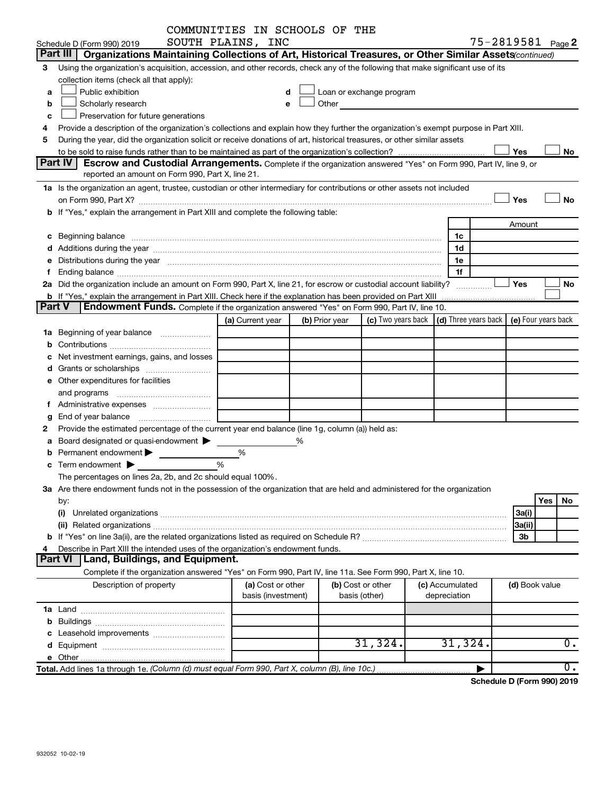|        |                                                                                                                                                                                                                                | COMMUNITIES IN SCHOOLS OF THE |   |                |                                                                                                                                                                                                                                |                                                                             |                   |     |                  |
|--------|--------------------------------------------------------------------------------------------------------------------------------------------------------------------------------------------------------------------------------|-------------------------------|---|----------------|--------------------------------------------------------------------------------------------------------------------------------------------------------------------------------------------------------------------------------|-----------------------------------------------------------------------------|-------------------|-----|------------------|
|        | Schedule D (Form 990) 2019                                                                                                                                                                                                     | SOUTH PLAINS, INC             |   |                |                                                                                                                                                                                                                                |                                                                             | 75-2819581 Page 2 |     |                  |
|        | Part III<br>Organizations Maintaining Collections of Art, Historical Treasures, or Other Similar Assets (continued)                                                                                                            |                               |   |                |                                                                                                                                                                                                                                |                                                                             |                   |     |                  |
| 3      | Using the organization's acquisition, accession, and other records, check any of the following that make significant use of its                                                                                                |                               |   |                |                                                                                                                                                                                                                                |                                                                             |                   |     |                  |
|        | collection items (check all that apply):                                                                                                                                                                                       |                               |   |                |                                                                                                                                                                                                                                |                                                                             |                   |     |                  |
| a      | Public exhibition                                                                                                                                                                                                              |                               | d |                | Loan or exchange program                                                                                                                                                                                                       |                                                                             |                   |     |                  |
| b      | Scholarly research                                                                                                                                                                                                             |                               | e |                | Other and the control of the control of the control of the control of the control of the control of the control of the control of the control of the control of the control of the control of the control of the control of th |                                                                             |                   |     |                  |
| c      | Preservation for future generations                                                                                                                                                                                            |                               |   |                |                                                                                                                                                                                                                                |                                                                             |                   |     |                  |
| 4      | Provide a description of the organization's collections and explain how they further the organization's exempt purpose in Part XIII.                                                                                           |                               |   |                |                                                                                                                                                                                                                                |                                                                             |                   |     |                  |
| 5      | During the year, did the organization solicit or receive donations of art, historical treasures, or other similar assets                                                                                                       |                               |   |                |                                                                                                                                                                                                                                |                                                                             |                   |     |                  |
|        |                                                                                                                                                                                                                                |                               |   |                |                                                                                                                                                                                                                                |                                                                             | Yes               |     | No               |
|        | Part IV<br>Escrow and Custodial Arrangements. Complete if the organization answered "Yes" on Form 990, Part IV, line 9, or                                                                                                     |                               |   |                |                                                                                                                                                                                                                                |                                                                             |                   |     |                  |
|        | reported an amount on Form 990, Part X, line 21.                                                                                                                                                                               |                               |   |                |                                                                                                                                                                                                                                |                                                                             |                   |     |                  |
|        | 1a Is the organization an agent, trustee, custodian or other intermediary for contributions or other assets not included                                                                                                       |                               |   |                |                                                                                                                                                                                                                                |                                                                             |                   |     |                  |
|        | on Form 990, Part X? [11] matter and the contract of the contract of the contract of the contract of the contract of the contract of the contract of the contract of the contract of the contract of the contract of the contr |                               |   |                |                                                                                                                                                                                                                                |                                                                             | Yes               |     | <b>No</b>        |
|        | b If "Yes," explain the arrangement in Part XIII and complete the following table:                                                                                                                                             |                               |   |                |                                                                                                                                                                                                                                |                                                                             |                   |     |                  |
|        |                                                                                                                                                                                                                                |                               |   |                |                                                                                                                                                                                                                                |                                                                             | Amount            |     |                  |
|        |                                                                                                                                                                                                                                |                               |   |                |                                                                                                                                                                                                                                | 1c                                                                          |                   |     |                  |
|        |                                                                                                                                                                                                                                |                               |   |                |                                                                                                                                                                                                                                | 1d                                                                          |                   |     |                  |
|        | e Distributions during the year manufactured and an account of the year manufactured and account of the year manufactured and account of the USA of the Distributions during the year                                          |                               |   |                |                                                                                                                                                                                                                                | 1e                                                                          |                   |     |                  |
|        | Ending balance <i>www.communicality.communicality.communicality.communicality.communicality.communicality.com</i>                                                                                                              |                               |   |                |                                                                                                                                                                                                                                | 1f                                                                          |                   |     |                  |
|        | 2a Did the organization include an amount on Form 990, Part X, line 21, for escrow or custodial account liability?                                                                                                             |                               |   |                |                                                                                                                                                                                                                                |                                                                             | Yes               |     | No               |
|        |                                                                                                                                                                                                                                |                               |   |                |                                                                                                                                                                                                                                |                                                                             |                   |     |                  |
| Part V | Endowment Funds. Complete if the organization answered "Yes" on Form 990, Part IV, line 10.                                                                                                                                    |                               |   |                |                                                                                                                                                                                                                                |                                                                             |                   |     |                  |
|        |                                                                                                                                                                                                                                | (a) Current year              |   | (b) Prior year |                                                                                                                                                                                                                                | (c) Two years back $\vert$ (d) Three years back $\vert$ (e) Four years back |                   |     |                  |
|        | 1a Beginning of year balance                                                                                                                                                                                                   |                               |   |                |                                                                                                                                                                                                                                |                                                                             |                   |     |                  |
| b      |                                                                                                                                                                                                                                |                               |   |                |                                                                                                                                                                                                                                |                                                                             |                   |     |                  |
|        | Net investment earnings, gains, and losses                                                                                                                                                                                     |                               |   |                |                                                                                                                                                                                                                                |                                                                             |                   |     |                  |
|        |                                                                                                                                                                                                                                |                               |   |                |                                                                                                                                                                                                                                |                                                                             |                   |     |                  |
|        | e Other expenditures for facilities                                                                                                                                                                                            |                               |   |                |                                                                                                                                                                                                                                |                                                                             |                   |     |                  |
|        |                                                                                                                                                                                                                                |                               |   |                |                                                                                                                                                                                                                                |                                                                             |                   |     |                  |
|        | and programs                                                                                                                                                                                                                   |                               |   |                |                                                                                                                                                                                                                                |                                                                             |                   |     |                  |
| Ť.     |                                                                                                                                                                                                                                |                               |   |                |                                                                                                                                                                                                                                |                                                                             |                   |     |                  |
| g      | End of year balance                                                                                                                                                                                                            |                               |   |                |                                                                                                                                                                                                                                |                                                                             |                   |     |                  |
| 2      | Provide the estimated percentage of the current year end balance (line 1g, column (a)) held as:                                                                                                                                |                               |   |                |                                                                                                                                                                                                                                |                                                                             |                   |     |                  |
| а      | Board designated or quasi-endowment                                                                                                                                                                                            |                               | % |                |                                                                                                                                                                                                                                |                                                                             |                   |     |                  |
| b      | Permanent endowment                                                                                                                                                                                                            | %                             |   |                |                                                                                                                                                                                                                                |                                                                             |                   |     |                  |
|        | Term endowment $\blacktriangleright$                                                                                                                                                                                           | %                             |   |                |                                                                                                                                                                                                                                |                                                                             |                   |     |                  |
|        | The percentages on lines 2a, 2b, and 2c should equal 100%.                                                                                                                                                                     |                               |   |                |                                                                                                                                                                                                                                |                                                                             |                   |     |                  |
|        | 3a Are there endowment funds not in the possession of the organization that are held and administered for the organization                                                                                                     |                               |   |                |                                                                                                                                                                                                                                |                                                                             |                   |     |                  |
|        | by:                                                                                                                                                                                                                            |                               |   |                |                                                                                                                                                                                                                                |                                                                             |                   | Yes | No               |
|        |                                                                                                                                                                                                                                |                               |   |                |                                                                                                                                                                                                                                |                                                                             | 3a(i)             |     |                  |
|        |                                                                                                                                                                                                                                |                               |   |                |                                                                                                                                                                                                                                |                                                                             | 3a(ii)            |     |                  |
|        |                                                                                                                                                                                                                                |                               |   |                |                                                                                                                                                                                                                                |                                                                             | 3 <sub>b</sub>    |     |                  |
|        | Describe in Part XIII the intended uses of the organization's endowment funds.                                                                                                                                                 |                               |   |                |                                                                                                                                                                                                                                |                                                                             |                   |     |                  |
|        | Part VI<br>Land, Buildings, and Equipment.                                                                                                                                                                                     |                               |   |                |                                                                                                                                                                                                                                |                                                                             |                   |     |                  |
|        | Complete if the organization answered "Yes" on Form 990, Part IV, line 11a. See Form 990, Part X, line 10.                                                                                                                     |                               |   |                |                                                                                                                                                                                                                                |                                                                             |                   |     |                  |
|        | Description of property                                                                                                                                                                                                        | (a) Cost or other             |   |                | (b) Cost or other                                                                                                                                                                                                              | (c) Accumulated                                                             | (d) Book value    |     |                  |
|        |                                                                                                                                                                                                                                | basis (investment)            |   |                | basis (other)                                                                                                                                                                                                                  | depreciation                                                                |                   |     |                  |
|        |                                                                                                                                                                                                                                |                               |   |                |                                                                                                                                                                                                                                |                                                                             |                   |     |                  |
|        |                                                                                                                                                                                                                                |                               |   |                |                                                                                                                                                                                                                                |                                                                             |                   |     |                  |
|        |                                                                                                                                                                                                                                |                               |   |                |                                                                                                                                                                                                                                |                                                                             |                   |     |                  |
|        |                                                                                                                                                                                                                                |                               |   |                | 31,324.                                                                                                                                                                                                                        | 31,324.                                                                     |                   |     | $\overline{0}$ . |
|        |                                                                                                                                                                                                                                |                               |   |                |                                                                                                                                                                                                                                |                                                                             |                   |     |                  |
|        |                                                                                                                                                                                                                                |                               |   |                |                                                                                                                                                                                                                                |                                                                             |                   |     | $\overline{0}$ . |

**Schedule D (Form 990) 2019**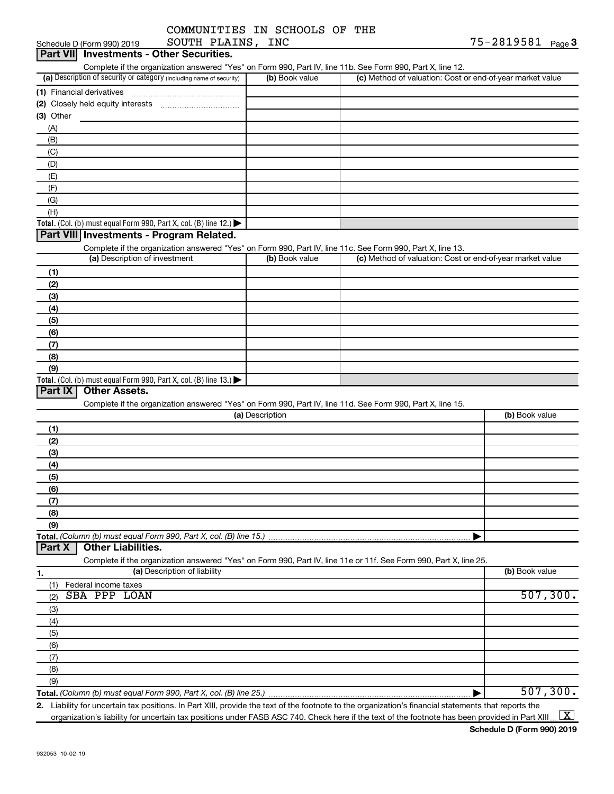| COMMUNITIES IN SCHOOLS OF THE |  |  |
|-------------------------------|--|--|
| -------- ------               |  |  |

|                 | Schedule D (Form 990) 2019                                                               | SOUTH PLAINS, INC            |                 |                                                                                                                   | $75 - 2819581$ Page 3 |  |
|-----------------|------------------------------------------------------------------------------------------|------------------------------|-----------------|-------------------------------------------------------------------------------------------------------------------|-----------------------|--|
| <b>Part VII</b> | <b>Investments - Other Securities.</b>                                                   |                              |                 |                                                                                                                   |                       |  |
|                 |                                                                                          |                              |                 | Complete if the organization answered "Yes" on Form 990, Part IV, line 11b. See Form 990, Part X, line 12.        |                       |  |
|                 | (a) Description of security or category (including name of security)                     |                              | (b) Book value  | (c) Method of valuation: Cost or end-of-year market value                                                         |                       |  |
|                 | (1) Financial derivatives                                                                |                              |                 |                                                                                                                   |                       |  |
|                 |                                                                                          |                              |                 |                                                                                                                   |                       |  |
| (3) Other       |                                                                                          |                              |                 |                                                                                                                   |                       |  |
| (A)             |                                                                                          |                              |                 |                                                                                                                   |                       |  |
| (B)             |                                                                                          |                              |                 |                                                                                                                   |                       |  |
| (C)             |                                                                                          |                              |                 |                                                                                                                   |                       |  |
| (D)             |                                                                                          |                              |                 |                                                                                                                   |                       |  |
| (E)             |                                                                                          |                              |                 |                                                                                                                   |                       |  |
| (F)             |                                                                                          |                              |                 |                                                                                                                   |                       |  |
| (G)             |                                                                                          |                              |                 |                                                                                                                   |                       |  |
| (H)             |                                                                                          |                              |                 |                                                                                                                   |                       |  |
|                 | Total. (Col. (b) must equal Form 990, Part X, col. (B) line 12.)                         |                              |                 |                                                                                                                   |                       |  |
|                 | Part VIII Investments - Program Related.                                                 |                              |                 |                                                                                                                   |                       |  |
|                 |                                                                                          |                              |                 | Complete if the organization answered "Yes" on Form 990, Part IV, line 11c. See Form 990, Part X, line 13.        |                       |  |
|                 | (a) Description of investment                                                            |                              | (b) Book value  | (c) Method of valuation: Cost or end-of-year market value                                                         |                       |  |
| (1)             |                                                                                          |                              |                 |                                                                                                                   |                       |  |
| (2)             |                                                                                          |                              |                 |                                                                                                                   |                       |  |
| (3)             |                                                                                          |                              |                 |                                                                                                                   |                       |  |
| (4)             |                                                                                          |                              |                 |                                                                                                                   |                       |  |
| (5)             |                                                                                          |                              |                 |                                                                                                                   |                       |  |
|                 |                                                                                          |                              |                 |                                                                                                                   |                       |  |
| (6)             |                                                                                          |                              |                 |                                                                                                                   |                       |  |
| (7)             |                                                                                          |                              |                 |                                                                                                                   |                       |  |
| (8)             |                                                                                          |                              |                 |                                                                                                                   |                       |  |
| (9)             |                                                                                          |                              |                 |                                                                                                                   |                       |  |
| <b>Part IX</b>  | Total. (Col. (b) must equal Form 990, Part X, col. (B) line 13.)<br><b>Other Assets.</b> |                              |                 |                                                                                                                   |                       |  |
|                 |                                                                                          |                              |                 |                                                                                                                   |                       |  |
|                 |                                                                                          |                              | (a) Description | Complete if the organization answered "Yes" on Form 990, Part IV, line 11d. See Form 990, Part X, line 15.        | (b) Book value        |  |
|                 |                                                                                          |                              |                 |                                                                                                                   |                       |  |
| (1)             |                                                                                          |                              |                 |                                                                                                                   |                       |  |
| (2)             |                                                                                          |                              |                 |                                                                                                                   |                       |  |
| (3)             |                                                                                          |                              |                 |                                                                                                                   |                       |  |
| (4)             |                                                                                          |                              |                 |                                                                                                                   |                       |  |
| (5)             |                                                                                          |                              |                 |                                                                                                                   |                       |  |
| (6)             |                                                                                          |                              |                 |                                                                                                                   |                       |  |
| (7)             |                                                                                          |                              |                 |                                                                                                                   |                       |  |
| (8)             |                                                                                          |                              |                 |                                                                                                                   |                       |  |
| (9)             |                                                                                          |                              |                 |                                                                                                                   |                       |  |
|                 | Total. (Column (b) must equal Form 990, Part X, col. (B) line 15.)                       |                              |                 |                                                                                                                   |                       |  |
| <b>Part X</b>   | <b>Other Liabilities.</b>                                                                |                              |                 |                                                                                                                   |                       |  |
|                 |                                                                                          |                              |                 | Complete if the organization answered "Yes" on Form 990, Part IV, line 11e or 11f. See Form 990, Part X, line 25. |                       |  |
| 1.              |                                                                                          | (a) Description of liability |                 |                                                                                                                   | (b) Book value        |  |
| (1)             | Federal income taxes                                                                     |                              |                 |                                                                                                                   |                       |  |
| (2)             | SBA PPP LOAN                                                                             |                              |                 |                                                                                                                   | 507,300.              |  |
| (3)             |                                                                                          |                              |                 |                                                                                                                   |                       |  |
| (4)             |                                                                                          |                              |                 |                                                                                                                   |                       |  |
| (5)             |                                                                                          |                              |                 |                                                                                                                   |                       |  |
| (6)             |                                                                                          |                              |                 |                                                                                                                   |                       |  |
| (7)             |                                                                                          |                              |                 |                                                                                                                   |                       |  |
| (8)             |                                                                                          |                              |                 |                                                                                                                   |                       |  |
| (9)             |                                                                                          |                              |                 |                                                                                                                   |                       |  |
|                 |                                                                                          |                              |                 |                                                                                                                   | 507,300.              |  |

**2.** Liability for uncertain tax positions. In Part XIII, provide the text of the footnote to the organization's financial statements that reports the organization's liability for uncertain tax positions under FASB ASC 740. Check here if the text of the footnote has been provided in Part XIII ...  $\fbox{\bf X}$ 

**Schedule D (Form 990) 2019**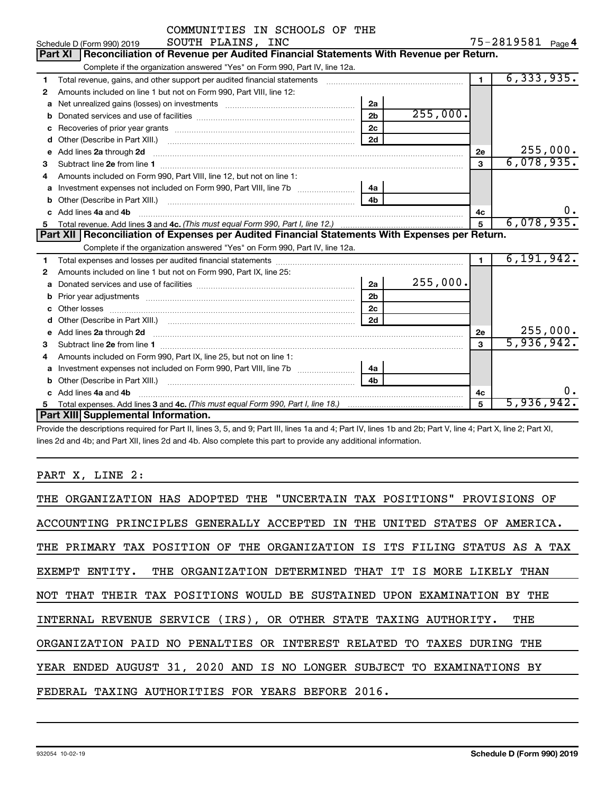|   | COMMUNITIES IN SCHOOLS OF THE                                                                                                                                                                                                       |                |                   |                |              |  |  |  |  |
|---|-------------------------------------------------------------------------------------------------------------------------------------------------------------------------------------------------------------------------------------|----------------|-------------------|----------------|--------------|--|--|--|--|
|   | SOUTH PLAINS, INC<br>Schedule D (Form 990) 2019                                                                                                                                                                                     |                | 75-2819581 Page 4 |                |              |  |  |  |  |
|   | Part XI   Reconciliation of Revenue per Audited Financial Statements With Revenue per Return.                                                                                                                                       |                |                   |                |              |  |  |  |  |
|   | Complete if the organization answered "Yes" on Form 990, Part IV, line 12a.                                                                                                                                                         |                |                   |                |              |  |  |  |  |
| 1 | Total revenue, gains, and other support per audited financial statements [111] [11] Total revenue, gains, and other support per audited financial statements                                                                        |                |                   | $\blacksquare$ | 6, 333, 935. |  |  |  |  |
| 2 | Amounts included on line 1 but not on Form 990, Part VIII, line 12:                                                                                                                                                                 |                |                   |                |              |  |  |  |  |
| a | Net unrealized gains (losses) on investments [111] [12] matter and the unrealized gains (losses) on investments                                                                                                                     | 2a             |                   |                |              |  |  |  |  |
| b |                                                                                                                                                                                                                                     | 2 <sub>b</sub> | 255,000.          |                |              |  |  |  |  |
| c |                                                                                                                                                                                                                                     | 2 <sub>c</sub> |                   |                |              |  |  |  |  |
| d |                                                                                                                                                                                                                                     | 2d             |                   |                |              |  |  |  |  |
| е | Add lines 2a through 2d                                                                                                                                                                                                             |                |                   | 2е             | 255,000.     |  |  |  |  |
| 3 |                                                                                                                                                                                                                                     |                |                   | 3              | 6,078,935.   |  |  |  |  |
| 4 | Amounts included on Form 990, Part VIII, line 12, but not on line 1:                                                                                                                                                                |                |                   |                |              |  |  |  |  |
| a |                                                                                                                                                                                                                                     | 4a             |                   |                |              |  |  |  |  |
|   |                                                                                                                                                                                                                                     |                |                   |                |              |  |  |  |  |
|   | c Add lines 4a and 4b                                                                                                                                                                                                               |                |                   | 4c             | 0.           |  |  |  |  |
| 5 |                                                                                                                                                                                                                                     |                |                   | 5              | 6,078,935.   |  |  |  |  |
|   | Part XII   Reconciliation of Expenses per Audited Financial Statements With Expenses per Return.                                                                                                                                    |                |                   |                |              |  |  |  |  |
|   | Complete if the organization answered "Yes" on Form 990, Part IV, line 12a.                                                                                                                                                         |                |                   |                |              |  |  |  |  |
| 1 |                                                                                                                                                                                                                                     |                |                   | $\blacksquare$ | 6, 191, 942. |  |  |  |  |
| 2 | Amounts included on line 1 but not on Form 990, Part IX, line 25:                                                                                                                                                                   |                |                   |                |              |  |  |  |  |
| a |                                                                                                                                                                                                                                     | 2a             | 255,000.          |                |              |  |  |  |  |
|   | Prior year adjustments information and continuum and contact the contract of the contract of the contract of the contract of the contract of the contract of the contract of the contract of the contract of the contract of t      | 2 <sub>b</sub> |                   |                |              |  |  |  |  |
|   |                                                                                                                                                                                                                                     | 2c             |                   |                |              |  |  |  |  |
|   |                                                                                                                                                                                                                                     | 2d             |                   |                |              |  |  |  |  |
| е | Add lines 2a through 2d <b>contract and all anomalisation</b> and all and all anomalisation of the state of the state of the state of the state of the state of the state of the state of the state of the state of the state of th |                |                   | 2e             | 255,000.     |  |  |  |  |
| 3 |                                                                                                                                                                                                                                     |                |                   | 3              | 5,936,942.   |  |  |  |  |
| 4 | Amounts included on Form 990, Part IX, line 25, but not on line 1:                                                                                                                                                                  |                |                   |                |              |  |  |  |  |
| a | Investment expenses not included on Form 990, Part VIII, line 7b [11, 111, 111]                                                                                                                                                     | 4a             |                   |                |              |  |  |  |  |
| b |                                                                                                                                                                                                                                     | 4 <sub>h</sub> |                   |                |              |  |  |  |  |
|   | Add lines 4a and 4b                                                                                                                                                                                                                 |                |                   | 4c             | 0.           |  |  |  |  |
| 5 |                                                                                                                                                                                                                                     |                |                   | $\overline{5}$ | 5,936,942.   |  |  |  |  |
|   | Part XIII Supplemental Information.                                                                                                                                                                                                 |                |                   |                |              |  |  |  |  |

Provide the descriptions required for Part II, lines 3, 5, and 9; Part III, lines 1a and 4; Part IV, lines 1b and 2b; Part V, line 4; Part X, line 2; Part XI, lines 2d and 4b; and Part XII, lines 2d and 4b. Also complete this part to provide any additional information.

## PART X, LINE 2:

| THE ORGANIZATION HAS ADOPTED THE "UNCERTAIN TAX POSITIONS" PROVISIONS OF   |
|----------------------------------------------------------------------------|
| ACCOUNTING PRINCIPLES GENERALLY ACCEPTED IN THE UNITED STATES OF AMERICA.  |
| THE PRIMARY TAX POSITION OF THE ORGANIZATION IS ITS FILING STATUS AS A TAX |
| EXEMPT ENTITY. THE ORGANIZATION DETERMINED THAT IT IS MORE LIKELY THAN     |
| NOT THAT THEIR TAX POSITIONS WOULD BE SUSTAINED UPON EXAMINATION BY THE    |
| INTERNAL REVENUE SERVICE (IRS), OR OTHER STATE TAXING AUTHORITY.<br>THE    |
| ORGANIZATION PAID NO PENALTIES OR INTEREST RELATED TO TAXES DURING THE     |
| YEAR ENDED AUGUST 31, 2020 AND IS NO LONGER SUBJECT TO EXAMINATIONS BY     |
| FEDERAL TAXING AUTHORITIES FOR YEARS BEFORE 2016.                          |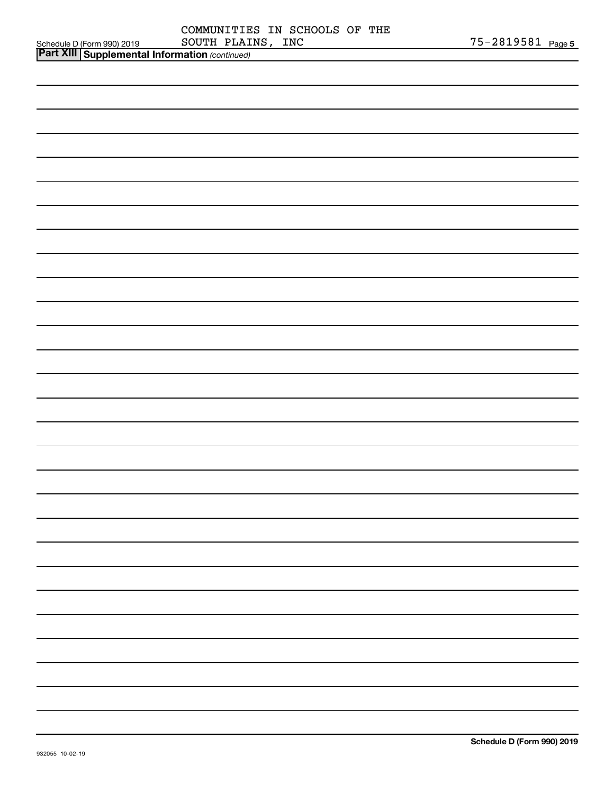|                                       | SOUTH PLAINS, INC |  | <u>75-2819581 Page 5</u> |  |
|---------------------------------------|-------------------|--|--------------------------|--|
| Schedule D (Form 990) 2019 SOUTH PLAI |                   |  |                          |  |
|                                       |                   |  |                          |  |
|                                       |                   |  |                          |  |
|                                       |                   |  |                          |  |
|                                       |                   |  |                          |  |
|                                       |                   |  |                          |  |
|                                       |                   |  |                          |  |
|                                       |                   |  |                          |  |
|                                       |                   |  |                          |  |
|                                       |                   |  |                          |  |
|                                       |                   |  |                          |  |
|                                       |                   |  |                          |  |
|                                       |                   |  |                          |  |
|                                       |                   |  |                          |  |
|                                       |                   |  |                          |  |
|                                       |                   |  |                          |  |
|                                       |                   |  |                          |  |
|                                       |                   |  |                          |  |
|                                       |                   |  |                          |  |
|                                       |                   |  |                          |  |
|                                       |                   |  |                          |  |
|                                       |                   |  |                          |  |
|                                       |                   |  |                          |  |
|                                       |                   |  |                          |  |
|                                       |                   |  |                          |  |
|                                       |                   |  |                          |  |
|                                       |                   |  |                          |  |
|                                       |                   |  |                          |  |
|                                       |                   |  |                          |  |
|                                       |                   |  |                          |  |
|                                       |                   |  |                          |  |
|                                       |                   |  |                          |  |
|                                       |                   |  |                          |  |
|                                       |                   |  |                          |  |
|                                       |                   |  |                          |  |
|                                       |                   |  |                          |  |
|                                       |                   |  |                          |  |
|                                       |                   |  |                          |  |
|                                       |                   |  |                          |  |
|                                       |                   |  |                          |  |
|                                       |                   |  |                          |  |
|                                       |                   |  |                          |  |
|                                       |                   |  |                          |  |
|                                       |                   |  |                          |  |
|                                       |                   |  |                          |  |
|                                       |                   |  |                          |  |
|                                       |                   |  |                          |  |
|                                       |                   |  |                          |  |
|                                       |                   |  |                          |  |
|                                       |                   |  |                          |  |
|                                       |                   |  |                          |  |
|                                       |                   |  |                          |  |
|                                       |                   |  |                          |  |
|                                       |                   |  |                          |  |
|                                       |                   |  |                          |  |
|                                       |                   |  |                          |  |
|                                       |                   |  |                          |  |
|                                       |                   |  |                          |  |
|                                       |                   |  |                          |  |
|                                       |                   |  |                          |  |
|                                       |                   |  |                          |  |
|                                       |                   |  |                          |  |
|                                       |                   |  |                          |  |
|                                       |                   |  |                          |  |
|                                       |                   |  |                          |  |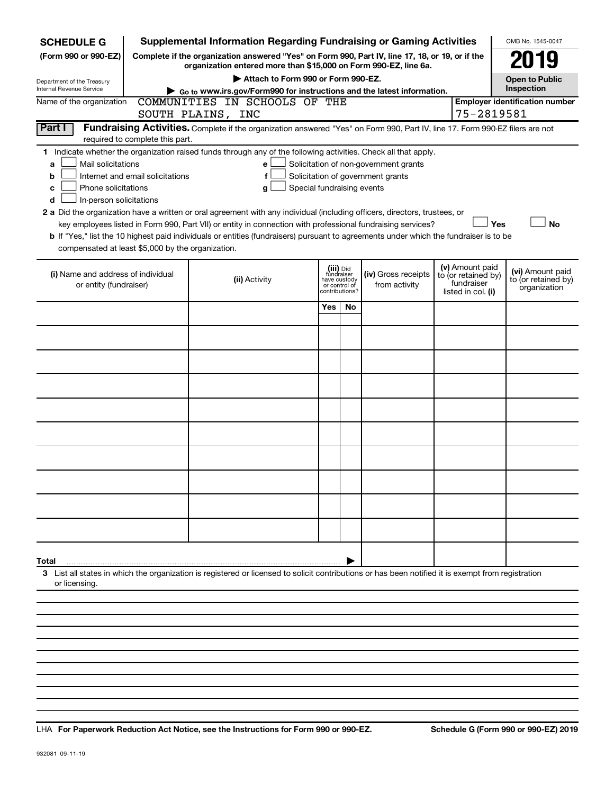| <b>SCHEDULE G</b>                                                                                                                     |                                                                                                                                                                  | <b>Supplemental Information Regarding Fundraising or Gaming Activities</b>                                                                                                                                                                           |                                                                            |    |                                       |                                                         |                                                         | OMB No. 1545-0047 |  |  |
|---------------------------------------------------------------------------------------------------------------------------------------|------------------------------------------------------------------------------------------------------------------------------------------------------------------|------------------------------------------------------------------------------------------------------------------------------------------------------------------------------------------------------------------------------------------------------|----------------------------------------------------------------------------|----|---------------------------------------|---------------------------------------------------------|---------------------------------------------------------|-------------------|--|--|
| (Form 990 or 990-EZ)                                                                                                                  |                                                                                                                                                                  | Complete if the organization answered "Yes" on Form 990, Part IV, line 17, 18, or 19, or if the<br>organization entered more than \$15,000 on Form 990-EZ, line 6a.                                                                                  |                                                                            |    |                                       |                                                         |                                                         |                   |  |  |
| Department of the Treasury                                                                                                            | Attach to Form 990 or Form 990-EZ.<br><b>Open to Public</b><br>Inspection                                                                                        |                                                                                                                                                                                                                                                      |                                                                            |    |                                       |                                                         |                                                         |                   |  |  |
| <b>Internal Revenue Service</b>                                                                                                       | Go to www.irs.gov/Form990 for instructions and the latest information.                                                                                           |                                                                                                                                                                                                                                                      |                                                                            |    |                                       |                                                         |                                                         |                   |  |  |
| <b>Employer identification number</b><br>COMMUNITIES IN SCHOOLS OF THE<br>Name of the organization<br>75-2819581<br>SOUTH PLAINS, INC |                                                                                                                                                                  |                                                                                                                                                                                                                                                      |                                                                            |    |                                       |                                                         |                                                         |                   |  |  |
| Part I                                                                                                                                | Fundraising Activities. Complete if the organization answered "Yes" on Form 990, Part IV, line 17. Form 990-EZ filers are not<br>required to complete this part. |                                                                                                                                                                                                                                                      |                                                                            |    |                                       |                                                         |                                                         |                   |  |  |
|                                                                                                                                       | 1 Indicate whether the organization raised funds through any of the following activities. Check all that apply.                                                  |                                                                                                                                                                                                                                                      |                                                                            |    |                                       |                                                         |                                                         |                   |  |  |
| Mail solicitations<br>a                                                                                                               |                                                                                                                                                                  | e                                                                                                                                                                                                                                                    |                                                                            |    | Solicitation of non-government grants |                                                         |                                                         |                   |  |  |
| b<br>Phone solicitations<br>с                                                                                                         | Internet and email solicitations                                                                                                                                 | f<br>Special fundraising events<br>g                                                                                                                                                                                                                 |                                                                            |    | Solicitation of government grants     |                                                         |                                                         |                   |  |  |
| In-person solicitations<br>d                                                                                                          |                                                                                                                                                                  |                                                                                                                                                                                                                                                      |                                                                            |    |                                       |                                                         |                                                         |                   |  |  |
|                                                                                                                                       |                                                                                                                                                                  | 2 a Did the organization have a written or oral agreement with any individual (including officers, directors, trustees, or                                                                                                                           |                                                                            |    |                                       |                                                         |                                                         |                   |  |  |
|                                                                                                                                       |                                                                                                                                                                  | key employees listed in Form 990, Part VII) or entity in connection with professional fundraising services?<br>b If "Yes," list the 10 highest paid individuals or entities (fundraisers) pursuant to agreements under which the fundraiser is to be |                                                                            |    |                                       |                                                         | Yes                                                     | <b>No</b>         |  |  |
| compensated at least \$5,000 by the organization.                                                                                     |                                                                                                                                                                  |                                                                                                                                                                                                                                                      |                                                                            |    |                                       |                                                         |                                                         |                   |  |  |
|                                                                                                                                       |                                                                                                                                                                  |                                                                                                                                                                                                                                                      |                                                                            |    |                                       | (v) Amount paid                                         |                                                         |                   |  |  |
| (i) Name and address of individual<br>or entity (fundraiser)                                                                          |                                                                                                                                                                  | (ii) Activity                                                                                                                                                                                                                                        | (iii) Did<br>fundraiser<br>have custody<br>or control of<br>contributions? |    | (iv) Gross receipts<br>from activity  | to (or retained by)<br>fundraiser<br>listed in col. (i) | (vi) Amount paid<br>to (or retained by)<br>organization |                   |  |  |
|                                                                                                                                       |                                                                                                                                                                  |                                                                                                                                                                                                                                                      | Yes                                                                        | No |                                       |                                                         |                                                         |                   |  |  |
|                                                                                                                                       |                                                                                                                                                                  |                                                                                                                                                                                                                                                      |                                                                            |    |                                       |                                                         |                                                         |                   |  |  |
|                                                                                                                                       |                                                                                                                                                                  |                                                                                                                                                                                                                                                      |                                                                            |    |                                       |                                                         |                                                         |                   |  |  |
|                                                                                                                                       |                                                                                                                                                                  |                                                                                                                                                                                                                                                      |                                                                            |    |                                       |                                                         |                                                         |                   |  |  |
|                                                                                                                                       |                                                                                                                                                                  |                                                                                                                                                                                                                                                      |                                                                            |    |                                       |                                                         |                                                         |                   |  |  |
|                                                                                                                                       |                                                                                                                                                                  |                                                                                                                                                                                                                                                      |                                                                            |    |                                       |                                                         |                                                         |                   |  |  |
|                                                                                                                                       |                                                                                                                                                                  |                                                                                                                                                                                                                                                      |                                                                            |    |                                       |                                                         |                                                         |                   |  |  |
|                                                                                                                                       |                                                                                                                                                                  |                                                                                                                                                                                                                                                      |                                                                            |    |                                       |                                                         |                                                         |                   |  |  |
|                                                                                                                                       |                                                                                                                                                                  |                                                                                                                                                                                                                                                      |                                                                            |    |                                       |                                                         |                                                         |                   |  |  |
|                                                                                                                                       |                                                                                                                                                                  |                                                                                                                                                                                                                                                      |                                                                            |    |                                       |                                                         |                                                         |                   |  |  |
|                                                                                                                                       |                                                                                                                                                                  |                                                                                                                                                                                                                                                      |                                                                            |    |                                       |                                                         |                                                         |                   |  |  |
|                                                                                                                                       |                                                                                                                                                                  |                                                                                                                                                                                                                                                      |                                                                            |    |                                       |                                                         |                                                         |                   |  |  |
| Total                                                                                                                                 |                                                                                                                                                                  |                                                                                                                                                                                                                                                      |                                                                            |    |                                       |                                                         |                                                         |                   |  |  |
| or licensing                                                                                                                          |                                                                                                                                                                  | 3 List all states in which the organization is registered or licensed to solicit contributions or has been notified it is exempt from registration                                                                                                   |                                                                            |    |                                       |                                                         |                                                         |                   |  |  |
|                                                                                                                                       |                                                                                                                                                                  |                                                                                                                                                                                                                                                      |                                                                            |    |                                       |                                                         |                                                         |                   |  |  |

**For Paperwork Reduction Act Notice, see the Instructions for Form 990 or 990-EZ. Schedule G (Form 990 or 990-EZ) 2019** LHA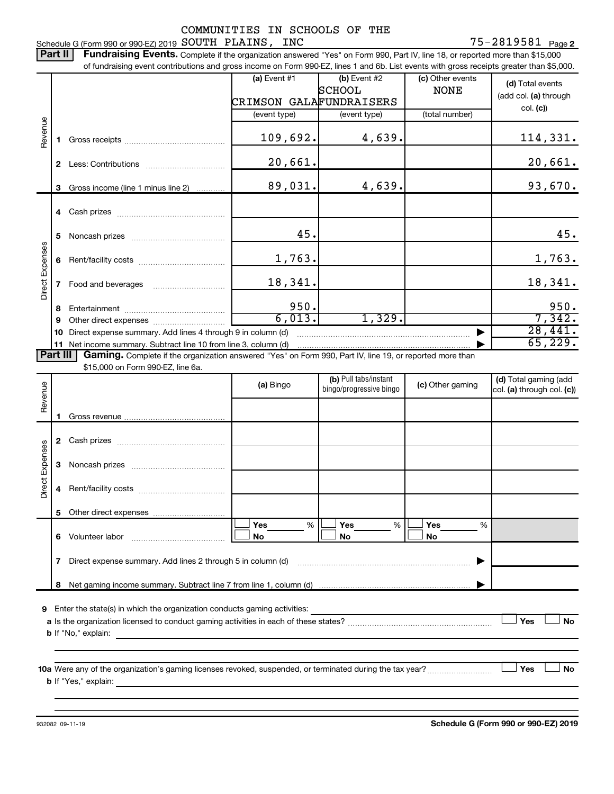75-2819581 Page 2 Schedule G (Form 990 or 990-EZ) 2019 Page SOUTH PLAINS, INC 75-2819581

Part II | Fundraising Events. Complete if the organization answered "Yes" on Form 990, Part IV, line 18, or reported more than \$15,000

|                 |    | of fundraising event contributions and gross income on Form 990-EZ, lines 1 and 6b. List events with gross receipts greater than \$5,000.     |                |                                                  |                  |                                                     |
|-----------------|----|-----------------------------------------------------------------------------------------------------------------------------------------------|----------------|--------------------------------------------------|------------------|-----------------------------------------------------|
|                 |    | (a) Event #1<br>(b) Event #2<br>(c) Other events<br>SCHOOL<br><b>NONE</b><br>CRIMSON GALAFUNDRAISERS                                          |                |                                                  |                  | (d) Total events<br>(add col. (a) through           |
|                 |    |                                                                                                                                               | (event type)   | (event type)                                     | (total number)   | col. (c)                                            |
| Revenue         |    |                                                                                                                                               |                |                                                  |                  |                                                     |
|                 | 1. |                                                                                                                                               | 109,692.       | 4,639.                                           |                  | 114,331.                                            |
|                 |    |                                                                                                                                               | 20,661.        |                                                  |                  | 20,661.                                             |
|                 | 3  | Gross income (line 1 minus line 2)                                                                                                            | 89,031.        | 4,639.                                           |                  | 93,670.                                             |
|                 |    |                                                                                                                                               |                |                                                  |                  |                                                     |
|                 |    |                                                                                                                                               | 45.            |                                                  |                  | 45.                                                 |
|                 | 5  |                                                                                                                                               |                |                                                  |                  |                                                     |
|                 | 6  |                                                                                                                                               | 1,763.         |                                                  |                  | 1,763.                                              |
| Direct Expenses | 7  |                                                                                                                                               | 18,341.        |                                                  |                  | 18,341.                                             |
|                 | 8  |                                                                                                                                               | 950.           |                                                  |                  | 950.                                                |
|                 | 9  |                                                                                                                                               | 6,013.         | 1,329.                                           |                  | 7,342.                                              |
|                 | 10 | Direct expense summary. Add lines 4 through 9 in column (d)                                                                                   |                |                                                  |                  | 28,441.                                             |
|                 |    | 11 Net income summary. Subtract line 10 from line 3, column (d)                                                                               |                |                                                  |                  | 65,229.                                             |
| <b>Part III</b> |    | Gaming. Complete if the organization answered "Yes" on Form 990, Part IV, line 19, or reported more than<br>\$15,000 on Form 990-EZ, line 6a. |                |                                                  |                  |                                                     |
| Revenue         |    |                                                                                                                                               | (a) Bingo      | (b) Pull tabs/instant<br>bingo/progressive bingo | (c) Other gaming | (d) Total gaming (add<br>col. (a) through col. (c)) |
|                 | 1. |                                                                                                                                               |                |                                                  |                  |                                                     |
|                 |    |                                                                                                                                               |                |                                                  |                  |                                                     |
| Direct Expenses | 3  |                                                                                                                                               |                |                                                  |                  |                                                     |
|                 | 4  |                                                                                                                                               |                |                                                  |                  |                                                     |
|                 |    | 5 Other direct expenses                                                                                                                       |                |                                                  |                  |                                                     |
|                 |    | 6 Volunteer labor                                                                                                                             | Yes<br>%<br>No | Yes<br>%<br>No                                   | Yes<br>%<br>No   |                                                     |
|                 | 7  | Direct expense summary. Add lines 2 through 5 in column (d)                                                                                   |                |                                                  |                  |                                                     |
|                 |    |                                                                                                                                               |                |                                                  |                  |                                                     |
|                 |    | 9 Enter the state(s) in which the organization conducts gaming activities:                                                                    |                |                                                  |                  |                                                     |
|                 |    |                                                                                                                                               |                |                                                  |                  | Yes<br>No                                           |
|                 |    | <b>b</b> If "No," explain:                                                                                                                    |                |                                                  |                  |                                                     |
|                 |    |                                                                                                                                               |                |                                                  |                  |                                                     |
|                 |    | 10a Were any of the organization's gaming licenses revoked, suspended, or terminated during the tax year?                                     |                |                                                  |                  | Yes<br><b>No</b>                                    |

**b** If "Yes," explain:

932082 09-11-19

**Schedule G (Form 990 or 990-EZ) 2019**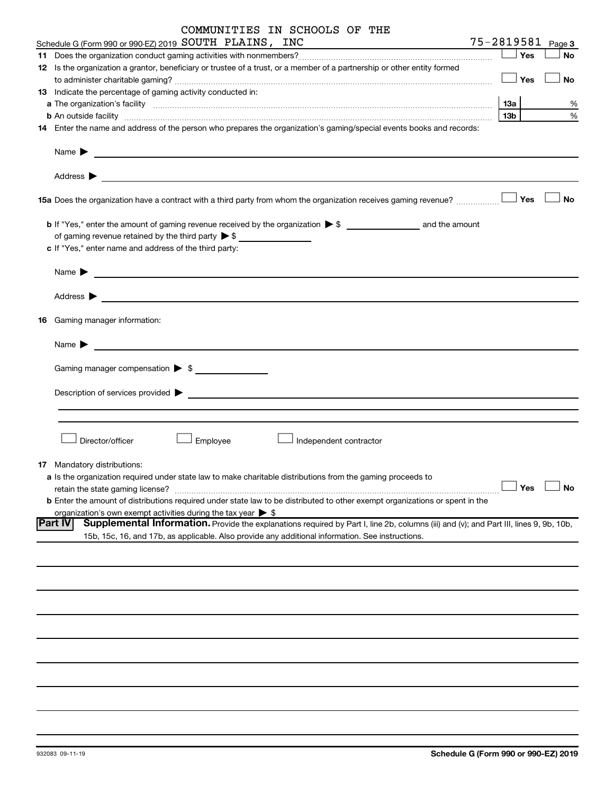|    | COMMUNITIES IN SCHOOLS OF THE                                                                                                                                                                                                                                  |     |             |                       |
|----|----------------------------------------------------------------------------------------------------------------------------------------------------------------------------------------------------------------------------------------------------------------|-----|-------------|-----------------------|
|    | Schedule G (Form 990 or 990-EZ) 2019 SOUTH PLAINS, INC<br><u> 1980 - Johann Barn, mars an t-Amerikaansk kommunister (</u>                                                                                                                                      |     |             | $75 - 2819581$ Page 3 |
|    |                                                                                                                                                                                                                                                                |     | Yes         | No                    |
|    | 12 Is the organization a grantor, beneficiary or trustee of a trust, or a member of a partnership or other entity formed                                                                                                                                       |     |             |                       |
|    |                                                                                                                                                                                                                                                                |     | <b>」Yes</b> | No                    |
|    | 13 Indicate the percentage of gaming activity conducted in:                                                                                                                                                                                                    |     |             |                       |
|    |                                                                                                                                                                                                                                                                | 1За |             | %                     |
|    | <b>b</b> An outside facility <b>contained and the contract of the contract of the contract of the contract of the contract of the contract of the contract of the contract of the contract of the contract of the contract of the con</b>                      | 13b |             | %                     |
|    | 14 Enter the name and address of the person who prepares the organization's gaming/special events books and records:                                                                                                                                           |     |             |                       |
|    | Name $\blacktriangleright$<br><u> 1989 - Johann Harry Harry Harry Harry Harry Harry Harry Harry Harry Harry Harry Harry Harry Harry Harry Harry</u>                                                                                                            |     |             |                       |
|    | Address $\blacktriangleright$<br>the control of the control of the control of the control of the control of the control of the control of the control of the control of the control of the control of the control of the control of the control of the control |     |             |                       |
|    | 15a Does the organization have a contract with a third party from whom the organization receives gaming revenue?                                                                                                                                               |     | Yes         | <b>No</b>             |
|    |                                                                                                                                                                                                                                                                |     |             |                       |
|    | of gaming revenue retained by the third party $\triangleright$ \$                                                                                                                                                                                              |     |             |                       |
|    | c If "Yes," enter name and address of the third party:                                                                                                                                                                                                         |     |             |                       |
|    |                                                                                                                                                                                                                                                                |     |             |                       |
|    | Name $\sum_{n=1}^{\infty}$                                                                                                                                                                                                                                     |     |             |                       |
|    | Address $\blacktriangleright$<br><u> 1989 - Johann Harry Harry Harry Harry Harry Harry Harry Harry Harry Harry Harry Harry Harry Harry Harry Harry</u>                                                                                                         |     |             |                       |
| 16 | Gaming manager information:                                                                                                                                                                                                                                    |     |             |                       |
|    | Name $\blacktriangleright$<br><u> 1989 - Johann Barn, amerikan besteman besteman besteman besteman besteman besteman besteman besteman bestema</u>                                                                                                             |     |             |                       |
|    | Gaming manager compensation > \$                                                                                                                                                                                                                               |     |             |                       |
|    |                                                                                                                                                                                                                                                                |     |             |                       |
|    |                                                                                                                                                                                                                                                                |     |             |                       |
|    |                                                                                                                                                                                                                                                                |     |             |                       |
|    | Director/officer<br>Employee<br>Independent contractor                                                                                                                                                                                                         |     |             |                       |
|    | 17 Mandatory distributions:                                                                                                                                                                                                                                    |     |             |                       |
|    | <b>a</b> Is the organization required under state law to make charitable distributions from the gaming proceeds to                                                                                                                                             |     |             |                       |
|    | retain the state gaming license?                                                                                                                                                                                                                               |     | Yes         | No                    |
|    | <b>b</b> Enter the amount of distributions required under state law to be distributed to other exempt organizations or spent in the                                                                                                                            |     |             |                       |
|    | organization's own exempt activities during the tax year $\triangleright$ \$                                                                                                                                                                                   |     |             |                       |
|    | Supplemental Information. Provide the explanations required by Part I, line 2b, columns (iii) and (v); and Part III, lines 9, 9b, 10b,<br>IPart IV                                                                                                             |     |             |                       |
|    | 15b, 15c, 16, and 17b, as applicable. Also provide any additional information. See instructions.                                                                                                                                                               |     |             |                       |
|    |                                                                                                                                                                                                                                                                |     |             |                       |
|    |                                                                                                                                                                                                                                                                |     |             |                       |
|    |                                                                                                                                                                                                                                                                |     |             |                       |
|    |                                                                                                                                                                                                                                                                |     |             |                       |
|    |                                                                                                                                                                                                                                                                |     |             |                       |
|    |                                                                                                                                                                                                                                                                |     |             |                       |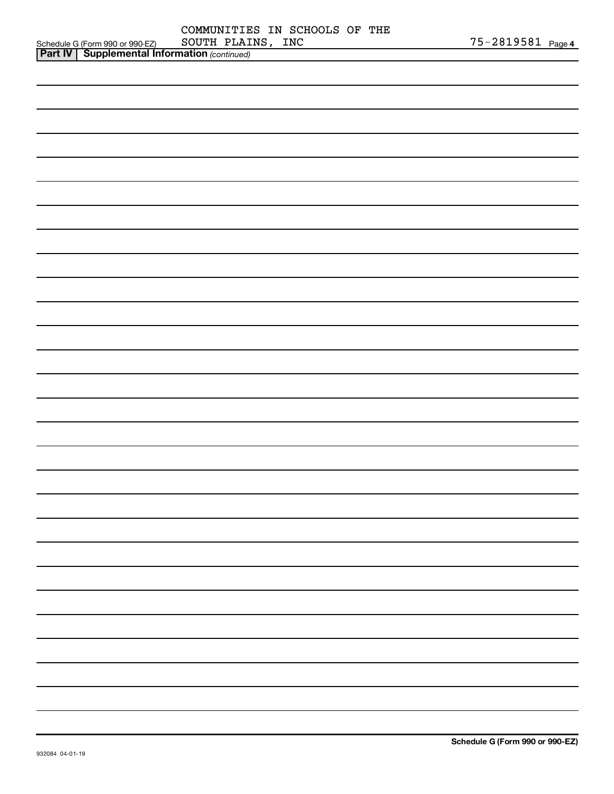|                                                       | COMMUNITIES IN SCHOOLS OF THE |                       |
|-------------------------------------------------------|-------------------------------|-----------------------|
| Schedule G (Form 990 or 990-EZ)                       | SOUTH PLAINS, INC             | $75 - 2819581$ Page 4 |
| <b>Part IV   Supplemental Information (continued)</b> |                               |                       |

|  | Schedule G (Form 990 or 990-EZ) SOUTH PLAINS, INC<br><b>Part IV</b> Supplemental Information (continued) |  | 75-2819581 Page 4 |  |
|--|----------------------------------------------------------------------------------------------------------|--|-------------------|--|
|  |                                                                                                          |  |                   |  |
|  |                                                                                                          |  |                   |  |
|  |                                                                                                          |  |                   |  |
|  |                                                                                                          |  |                   |  |
|  |                                                                                                          |  |                   |  |
|  |                                                                                                          |  |                   |  |
|  |                                                                                                          |  |                   |  |
|  |                                                                                                          |  |                   |  |
|  |                                                                                                          |  |                   |  |
|  |                                                                                                          |  |                   |  |
|  |                                                                                                          |  |                   |  |
|  |                                                                                                          |  |                   |  |
|  |                                                                                                          |  |                   |  |
|  |                                                                                                          |  |                   |  |
|  |                                                                                                          |  |                   |  |
|  |                                                                                                          |  |                   |  |
|  |                                                                                                          |  |                   |  |
|  |                                                                                                          |  |                   |  |
|  |                                                                                                          |  |                   |  |
|  |                                                                                                          |  |                   |  |
|  |                                                                                                          |  |                   |  |
|  |                                                                                                          |  |                   |  |
|  |                                                                                                          |  |                   |  |
|  |                                                                                                          |  |                   |  |
|  |                                                                                                          |  |                   |  |
|  |                                                                                                          |  |                   |  |
|  |                                                                                                          |  |                   |  |
|  |                                                                                                          |  |                   |  |
|  |                                                                                                          |  |                   |  |
|  |                                                                                                          |  |                   |  |
|  |                                                                                                          |  |                   |  |
|  |                                                                                                          |  |                   |  |
|  |                                                                                                          |  |                   |  |
|  |                                                                                                          |  |                   |  |
|  |                                                                                                          |  |                   |  |
|  |                                                                                                          |  |                   |  |
|  |                                                                                                          |  |                   |  |
|  |                                                                                                          |  |                   |  |
|  |                                                                                                          |  |                   |  |
|  |                                                                                                          |  |                   |  |
|  |                                                                                                          |  |                   |  |
|  |                                                                                                          |  |                   |  |
|  |                                                                                                          |  |                   |  |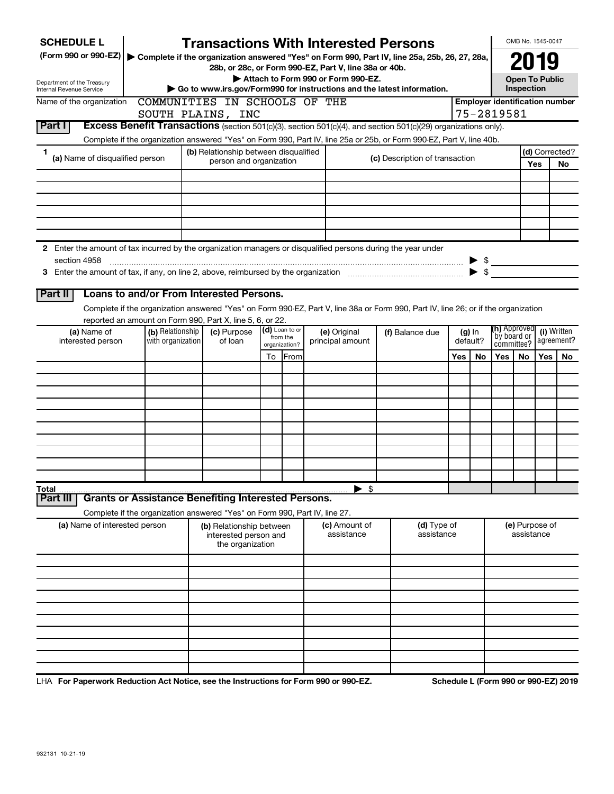|                         | <b>SCHEDULE L</b>                                                                                             |                   | <b>Transactions With Interested Persons</b>                      |    |                           |                                    |  |                                                                                                                                    |          |                          |                     | OMB No. 1545-0047          |     |                                       |
|-------------------------|---------------------------------------------------------------------------------------------------------------|-------------------|------------------------------------------------------------------|----|---------------------------|------------------------------------|--|------------------------------------------------------------------------------------------------------------------------------------|----------|--------------------------|---------------------|----------------------------|-----|---------------------------------------|
|                         | (Form 990 or 990-EZ)                                                                                          |                   |                                                                  |    |                           |                                    |  | ▶ Complete if the organization answered "Yes" on Form 990, Part IV, line 25a, 25b, 26, 27, 28a,                                    |          |                          |                     | 2019                       |     |                                       |
|                         |                                                                                                               |                   | 28b, or 28c, or Form 990-EZ, Part V, line 38a or 40b.            |    |                           | Attach to Form 990 or Form 990-EZ. |  |                                                                                                                                    |          |                          |                     | <b>Open To Public</b>      |     |                                       |
|                         | Department of the Treasury<br><b>Internal Revenue Service</b>                                                 |                   |                                                                  |    |                           |                                    |  | Go to www.irs.gov/Form990 for instructions and the latest information.                                                             |          |                          |                     | Inspection                 |     |                                       |
|                         | Name of the organization                                                                                      |                   | COMMUNITIES IN SCHOOLS OF THE                                    |    |                           |                                    |  |                                                                                                                                    |          |                          |                     |                            |     | <b>Employer identification number</b> |
|                         |                                                                                                               |                   | SOUTH PLAINS, INC                                                |    |                           |                                    |  |                                                                                                                                    |          |                          | 75-2819581          |                            |     |                                       |
| Part I                  |                                                                                                               |                   |                                                                  |    |                           |                                    |  | Excess Benefit Transactions (section 501(c)(3), section 501(c)(4), and section 501(c)(29) organizations only).                     |          |                          |                     |                            |     |                                       |
|                         |                                                                                                               |                   |                                                                  |    |                           |                                    |  | Complete if the organization answered "Yes" on Form 990, Part IV, line 25a or 25b, or Form 990-EZ, Part V, line 40b.               |          |                          |                     |                            |     |                                       |
| 1                       | (a) Name of disqualified person                                                                               |                   | (b) Relationship between disqualified<br>person and organization |    |                           |                                    |  | (c) Description of transaction                                                                                                     |          |                          |                     |                            | Yes | (d) Corrected?<br>No                  |
|                         |                                                                                                               |                   |                                                                  |    |                           |                                    |  |                                                                                                                                    |          |                          |                     |                            |     |                                       |
|                         |                                                                                                               |                   |                                                                  |    |                           |                                    |  |                                                                                                                                    |          |                          |                     |                            |     |                                       |
|                         |                                                                                                               |                   |                                                                  |    |                           |                                    |  |                                                                                                                                    |          |                          |                     |                            |     |                                       |
|                         |                                                                                                               |                   |                                                                  |    |                           |                                    |  |                                                                                                                                    |          |                          |                     |                            |     |                                       |
|                         |                                                                                                               |                   |                                                                  |    |                           |                                    |  |                                                                                                                                    |          |                          |                     |                            |     |                                       |
|                         | 2 Enter the amount of tax incurred by the organization managers or disqualified persons during the year under |                   |                                                                  |    |                           |                                    |  |                                                                                                                                    |          |                          |                     |                            |     |                                       |
|                         | section 4958                                                                                                  |                   |                                                                  |    |                           |                                    |  |                                                                                                                                    |          |                          | $\triangleright$ \$ |                            |     |                                       |
|                         |                                                                                                               |                   |                                                                  |    |                           |                                    |  |                                                                                                                                    |          | $\blacktriangleright$ \$ |                     |                            |     |                                       |
|                         |                                                                                                               |                   |                                                                  |    |                           |                                    |  |                                                                                                                                    |          |                          |                     |                            |     |                                       |
| Part II                 | Loans to and/or From Interested Persons.                                                                      |                   |                                                                  |    |                           |                                    |  |                                                                                                                                    |          |                          |                     |                            |     |                                       |
|                         |                                                                                                               |                   |                                                                  |    |                           |                                    |  | Complete if the organization answered "Yes" on Form 990-EZ, Part V, line 38a or Form 990, Part IV, line 26; or if the organization |          |                          |                     |                            |     |                                       |
|                         | reported an amount on Form 990, Part X, line 5, 6, or 22.<br>(a) Name of                                      | (b) Relationship  | (c) Purpose                                                      |    | (d) Loan to or            | (e) Original                       |  | (f) Balance due                                                                                                                    |          | $(g)$ In                 | <b>(h)</b> Approved |                            |     | (i) Written                           |
|                         | interested person                                                                                             | with organization | of loan                                                          |    | from the<br>organization? | principal amount                   |  |                                                                                                                                    | default? |                          |                     | `by board or<br>committee? |     | agreement?                            |
|                         |                                                                                                               |                   |                                                                  | To | From                      |                                    |  |                                                                                                                                    | Yes      | No.                      | Yes                 | No.                        | Yes | No.                                   |
|                         |                                                                                                               |                   |                                                                  |    |                           |                                    |  |                                                                                                                                    |          |                          |                     |                            |     |                                       |
|                         |                                                                                                               |                   |                                                                  |    |                           |                                    |  |                                                                                                                                    |          |                          |                     |                            |     |                                       |
|                         |                                                                                                               |                   |                                                                  |    |                           |                                    |  |                                                                                                                                    |          |                          |                     |                            |     |                                       |
|                         |                                                                                                               |                   |                                                                  |    |                           |                                    |  |                                                                                                                                    |          |                          |                     |                            |     |                                       |
|                         |                                                                                                               |                   |                                                                  |    |                           |                                    |  |                                                                                                                                    |          |                          |                     |                            |     |                                       |
|                         |                                                                                                               |                   |                                                                  |    |                           |                                    |  |                                                                                                                                    |          |                          |                     |                            |     |                                       |
|                         |                                                                                                               |                   |                                                                  |    |                           |                                    |  |                                                                                                                                    |          |                          |                     |                            |     |                                       |
|                         |                                                                                                               |                   |                                                                  |    |                           |                                    |  |                                                                                                                                    |          |                          |                     |                            |     |                                       |
|                         |                                                                                                               |                   |                                                                  |    |                           |                                    |  |                                                                                                                                    |          |                          |                     |                            |     |                                       |
| <b>Total</b><br>Part II | <b>Grants or Assistance Benefiting Interested Persons.</b>                                                    |                   |                                                                  |    |                           | -\$                                |  |                                                                                                                                    |          |                          |                     |                            |     |                                       |
|                         | Complete if the organization answered "Yes" on Form 990, Part IV, line 27.                                    |                   |                                                                  |    |                           |                                    |  |                                                                                                                                    |          |                          |                     |                            |     |                                       |
|                         | (a) Name of interested person                                                                                 |                   | (b) Relationship between                                         |    |                           | (c) Amount of                      |  | (d) Type of                                                                                                                        |          |                          |                     | (e) Purpose of             |     |                                       |
|                         |                                                                                                               |                   | interested person and<br>the organization                        |    |                           | assistance                         |  | assistance                                                                                                                         |          |                          |                     | assistance                 |     |                                       |
|                         |                                                                                                               |                   |                                                                  |    |                           |                                    |  |                                                                                                                                    |          |                          |                     |                            |     |                                       |
|                         |                                                                                                               |                   |                                                                  |    |                           |                                    |  |                                                                                                                                    |          |                          |                     |                            |     |                                       |
|                         |                                                                                                               |                   |                                                                  |    |                           |                                    |  |                                                                                                                                    |          |                          |                     |                            |     |                                       |
|                         |                                                                                                               |                   |                                                                  |    |                           |                                    |  |                                                                                                                                    |          |                          |                     |                            |     |                                       |
|                         |                                                                                                               |                   |                                                                  |    |                           |                                    |  |                                                                                                                                    |          |                          |                     |                            |     |                                       |
|                         |                                                                                                               |                   |                                                                  |    |                           |                                    |  |                                                                                                                                    |          |                          |                     |                            |     |                                       |
|                         |                                                                                                               |                   |                                                                  |    |                           |                                    |  |                                                                                                                                    |          |                          |                     |                            |     |                                       |
|                         |                                                                                                               |                   |                                                                  |    |                           |                                    |  |                                                                                                                                    |          |                          |                     |                            |     |                                       |
|                         |                                                                                                               |                   |                                                                  |    |                           |                                    |  |                                                                                                                                    |          |                          |                     |                            |     |                                       |

LHA For Paperwork Reduction Act Notice, see the Instructions for Form 990 or 990-EZ. Schedule L (Form 990 or 990-EZ) 2019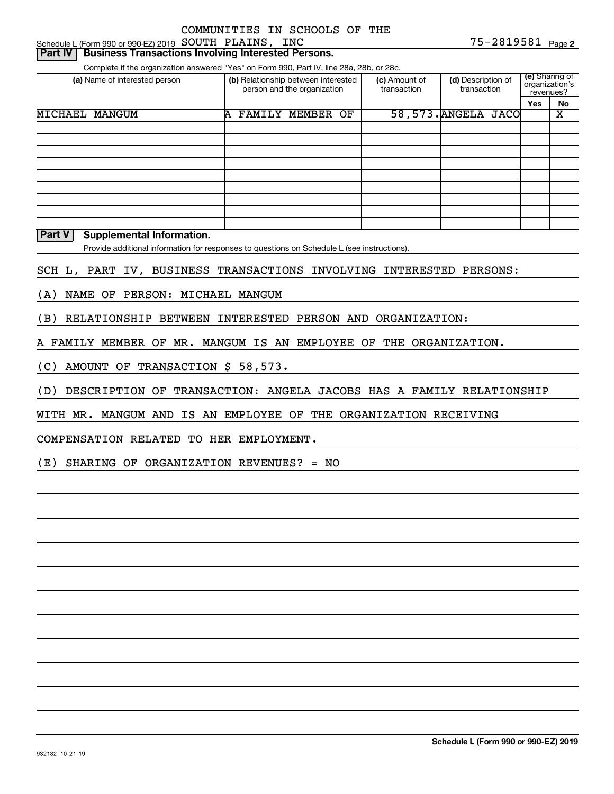|  | <b>Part IV   Business Transactions Involving Interested Persons.</b> |  |
|--|----------------------------------------------------------------------|--|
|  |                                                                      |  |

Complete if the organization answered "Yes" on Form 990, Part IV, line 28a, 28b, or 28c.

| OUTIPICIO II GIO ORGANZANON ANONGICA - TOJ - ON FONT JJO, FAILTY, INIC ZOA, ZOD, OF ZOO. |                                                                    |                              |                                   |           |                                  |  |  |  |  |
|------------------------------------------------------------------------------------------|--------------------------------------------------------------------|------------------------------|-----------------------------------|-----------|----------------------------------|--|--|--|--|
| (a) Name of interested person                                                            | (b) Relationship between interested<br>person and the organization | (c) Amount of<br>transaction | (d) Description of<br>transaction | revenues? | (e) Sharing of<br>organization's |  |  |  |  |
|                                                                                          |                                                                    |                              |                                   | Yes       | No                               |  |  |  |  |
| MICHAEL MANGUM                                                                           | FAMILY MEMBER OF<br>A                                              |                              | 58, 573. ANGELA JACO              |           | х                                |  |  |  |  |
|                                                                                          |                                                                    |                              |                                   |           |                                  |  |  |  |  |
|                                                                                          |                                                                    |                              |                                   |           |                                  |  |  |  |  |
|                                                                                          |                                                                    |                              |                                   |           |                                  |  |  |  |  |
|                                                                                          |                                                                    |                              |                                   |           |                                  |  |  |  |  |
|                                                                                          |                                                                    |                              |                                   |           |                                  |  |  |  |  |
|                                                                                          |                                                                    |                              |                                   |           |                                  |  |  |  |  |
|                                                                                          |                                                                    |                              |                                   |           |                                  |  |  |  |  |
|                                                                                          |                                                                    |                              |                                   |           |                                  |  |  |  |  |
|                                                                                          |                                                                    |                              |                                   |           |                                  |  |  |  |  |

**Part V** Supplemental Information.

Provide additional information for responses to questions on Schedule L (see instructions).

SCH L, PART IV, BUSINESS TRANSACTIONS INVOLVING INTERESTED PERSONS:

(A) NAME OF PERSON: MICHAEL MANGUM

(B) RELATIONSHIP BETWEEN INTERESTED PERSON AND ORGANIZATION:

A FAMILY MEMBER OF MR. MANGUM IS AN EMPLOYEE OF THE ORGANIZATION.

(C) AMOUNT OF TRANSACTION \$ 58,573.

(D) DESCRIPTION OF TRANSACTION: ANGELA JACOBS HAS A FAMILY RELATIONSHIP

WITH MR. MANGUM AND IS AN EMPLOYEE OF THE ORGANIZATION RECEIVING

COMPENSATION RELATED TO HER EMPLOYMENT.

(E) SHARING OF ORGANIZATION REVENUES? = NO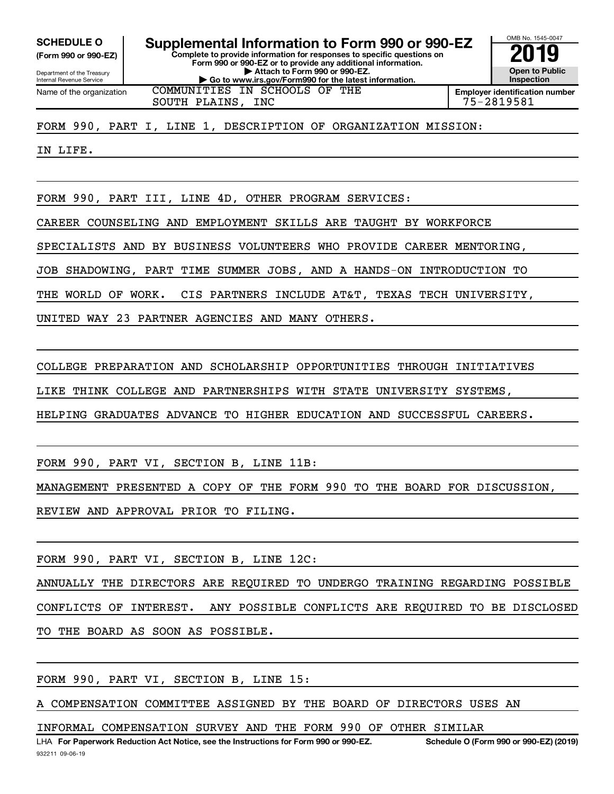**(Form 990 or 990-EZ)**

Department of the Treasury Internal Revenue Service Name of the organization

**Complete to provide information for responses to specific questions on Form 990 or 990-EZ or to provide any additional information. | Attach to Form 990 or 990-EZ. | Go to www.irs.gov/Form990 for the latest information. SCHEDULE O Supplemental Information to Form 990 or 990-EZ 2019** COMMUNITIES IN SCHOOLS OF THE

OMB No. 1545-0047 **Open to Public Inspection Employer identification number**

SOUTH PLAINS, INC 75-2819581

FORM 990, PART I, LINE 1, DESCRIPTION OF ORGANIZATION MISSION:

IN LIFE.

FORM 990, PART III, LINE 4D, OTHER PROGRAM SERVICES:

CAREER COUNSELING AND EMPLOYMENT SKILLS ARE TAUGHT BY WORKFORCE

SPECIALISTS AND BY BUSINESS VOLUNTEERS WHO PROVIDE CAREER MENTORING,

JOB SHADOWING, PART TIME SUMMER JOBS, AND A HANDS-ON INTRODUCTION TO

THE WORLD OF WORK. CIS PARTNERS INCLUDE AT&T, TEXAS TECH UNIVERSITY,

UNITED WAY 23 PARTNER AGENCIES AND MANY OTHERS.

COLLEGE PREPARATION AND SCHOLARSHIP OPPORTUNITIES THROUGH INITIATIVES

LIKE THINK COLLEGE AND PARTNERSHIPS WITH STATE UNIVERSITY SYSTEMS,

HELPING GRADUATES ADVANCE TO HIGHER EDUCATION AND SUCCESSFUL CAREERS.

FORM 990, PART VI, SECTION B, LINE 11B:

MANAGEMENT PRESENTED A COPY OF THE FORM 990 TO THE BOARD FOR DISCUSSION,

REVIEW AND APPROVAL PRIOR TO FILING.

FORM 990, PART VI, SECTION B, LINE 12C:

ANNUALLY THE DIRECTORS ARE REQUIRED TO UNDERGO TRAINING REGARDING POSSIBLE CONFLICTS OF INTEREST. ANY POSSIBLE CONFLICTS ARE REQUIRED TO BE DISCLOSED TO THE BOARD AS SOON AS POSSIBLE.

FORM 990, PART VI, SECTION B, LINE 15:

A COMPENSATION COMMITTEE ASSIGNED BY THE BOARD OF DIRECTORS USES AN

INFORMAL COMPENSATION SURVEY AND THE FORM 990 OF OTHER SIMILAR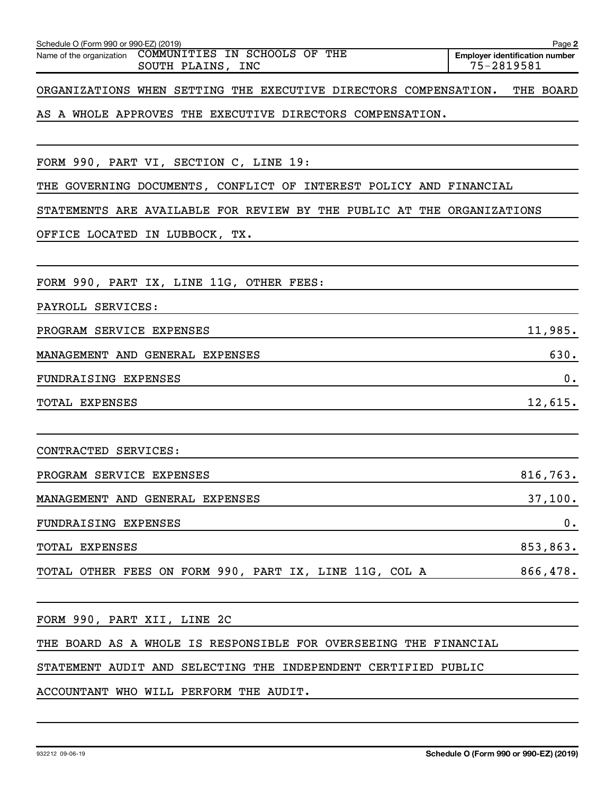| Schedule O (Form 990 or 990-EZ) (2019)                                         | Page 2                                              |
|--------------------------------------------------------------------------------|-----------------------------------------------------|
| COMMUNITIES IN SCHOOLS OF THE<br>Name of the organization<br>SOUTH PLAINS, INC | <b>Employer identification number</b><br>75-2819581 |
| ORGANIZATIONS WHEN SETTING THE EXECUTIVE DIRECTORS COMPENSATION.               | THE BOARD                                           |
| AS A WHOLE APPROVES THE EXECUTIVE DIRECTORS COMPENSATION.                      |                                                     |
|                                                                                |                                                     |
| FORM 990, PART VI, SECTION C, LINE 19:                                         |                                                     |
| THE GOVERNING DOCUMENTS, CONFLICT OF INTEREST POLICY AND FINANCIAL             |                                                     |
| STATEMENTS ARE AVAILABLE FOR REVIEW BY THE PUBLIC AT THE ORGANIZATIONS         |                                                     |
| OFFICE LOCATED IN LUBBOCK, TX.                                                 |                                                     |
| FORM 990, PART IX, LINE 11G, OTHER FEES:                                       |                                                     |
| PAYROLL SERVICES:                                                              |                                                     |
| PROGRAM SERVICE EXPENSES                                                       | 11,985.                                             |
| MANAGEMENT AND GENERAL EXPENSES                                                | 630.                                                |
| FUNDRAISING EXPENSES                                                           | 0.                                                  |
| TOTAL EXPENSES                                                                 | 12,615.                                             |
|                                                                                |                                                     |
| CONTRACTED SERVICES:                                                           |                                                     |
| PROGRAM SERVICE EXPENSES                                                       | 816,763.                                            |
| MANAGEMENT AND GENERAL EXPENSES                                                | 37,100.                                             |
| FUNDRAISING EXPENSES                                                           | $0$ .                                               |
| TOTAL EXPENSES                                                                 | 853,863.                                            |
| TOTAL OTHER FEES ON FORM 990, PART IX, LINE 11G, COL A                         | 866,478.                                            |
| FORM 990, PART XII, LINE 2C                                                    |                                                     |
| THE BOARD AS A WHOLE IS RESPONSIBLE FOR OVERSEEING THE FINANCIAL               |                                                     |
| STATEMENT AUDIT AND SELECTING THE INDEPENDENT CERTIFIED PUBLIC                 |                                                     |
|                                                                                |                                                     |

ACCOUNTANT WHO WILL PERFORM THE AUDIT.